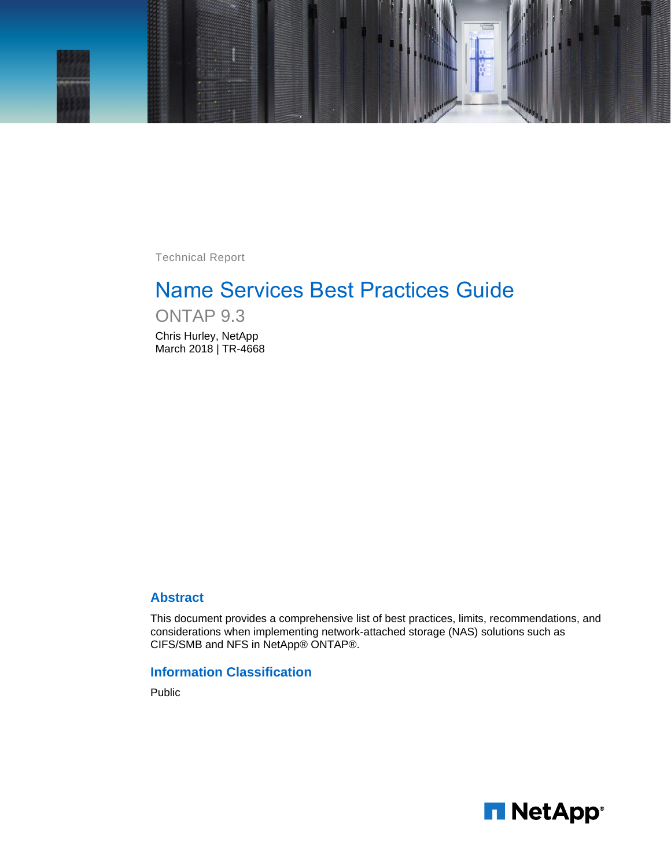

Technical Report

# Name Services Best Practices Guide

ONTAP 9.3 Chris Hurley, NetApp March 2018 | TR-4668

## **Abstract**

This document provides a comprehensive list of best practices, limits, recommendations, and considerations when implementing network-attached storage (NAS) solutions such as CIFS/SMB and NFS in NetApp® ONTAP®.

## **Information Classification**

Public

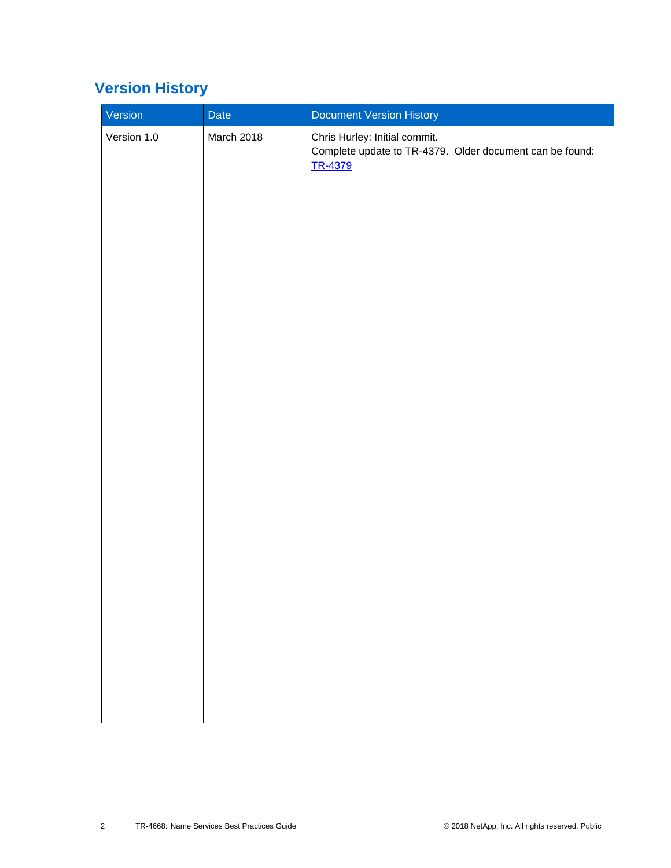# <span id="page-1-0"></span>**Version History**

| Version     | Date       | Document Version History                                                                             |
|-------------|------------|------------------------------------------------------------------------------------------------------|
| Version 1.0 | March 2018 | Chris Hurley: Initial commit.<br>Complete update to TR-4379. Older document can be found:<br>TR-4379 |
|             |            |                                                                                                      |
|             |            |                                                                                                      |
|             |            |                                                                                                      |
|             |            |                                                                                                      |
|             |            |                                                                                                      |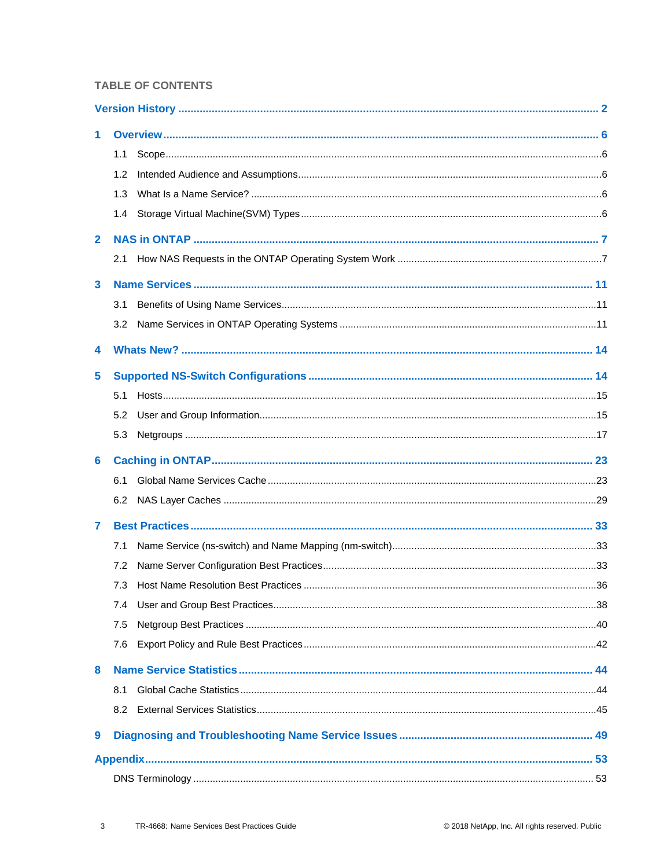## **TABLE OF CONTENTS**

| 1.           |     |  |
|--------------|-----|--|
|              | 1.1 |  |
|              | 1.2 |  |
|              | 1.3 |  |
|              | 1.4 |  |
| $\mathbf{2}$ |     |  |
|              | 2.1 |  |
| 3            |     |  |
|              | 3.1 |  |
|              | 3.2 |  |
| 4            |     |  |
| 5            |     |  |
|              | 5.1 |  |
|              | 5.2 |  |
|              | 5.3 |  |
| 6            |     |  |
|              | 6.1 |  |
|              | 6.2 |  |
| 7            |     |  |
|              | 7.1 |  |
|              | 7.2 |  |
|              | 7.3 |  |
|              | 7.4 |  |
|              | 7.5 |  |
|              | 7.6 |  |
| 8            |     |  |
|              | 8.1 |  |
|              | 8.2 |  |
| 9            |     |  |
|              |     |  |
|              |     |  |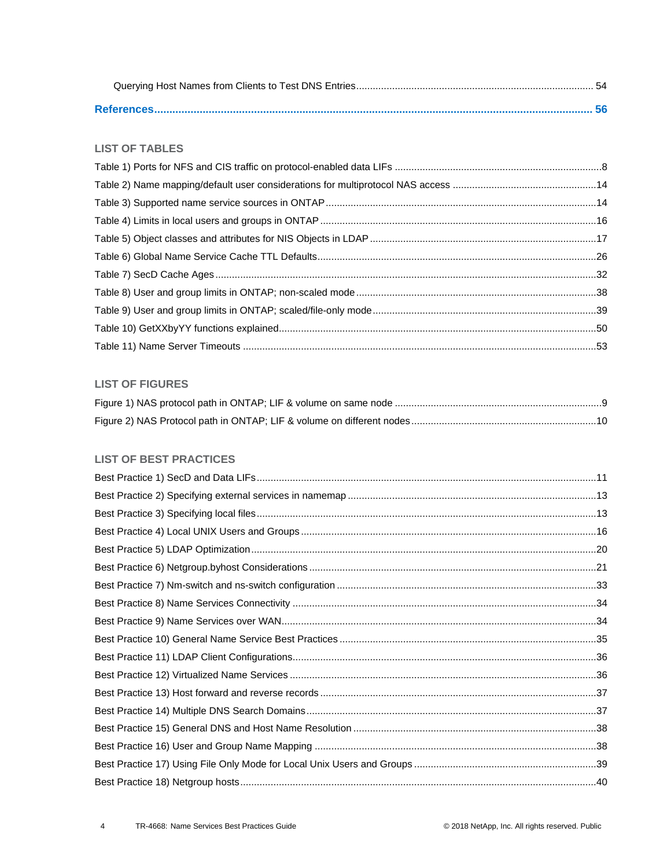### **LIST OF TABLES**

### **LIST OF FIGURES**

## **LIST OF BEST PRACTICES**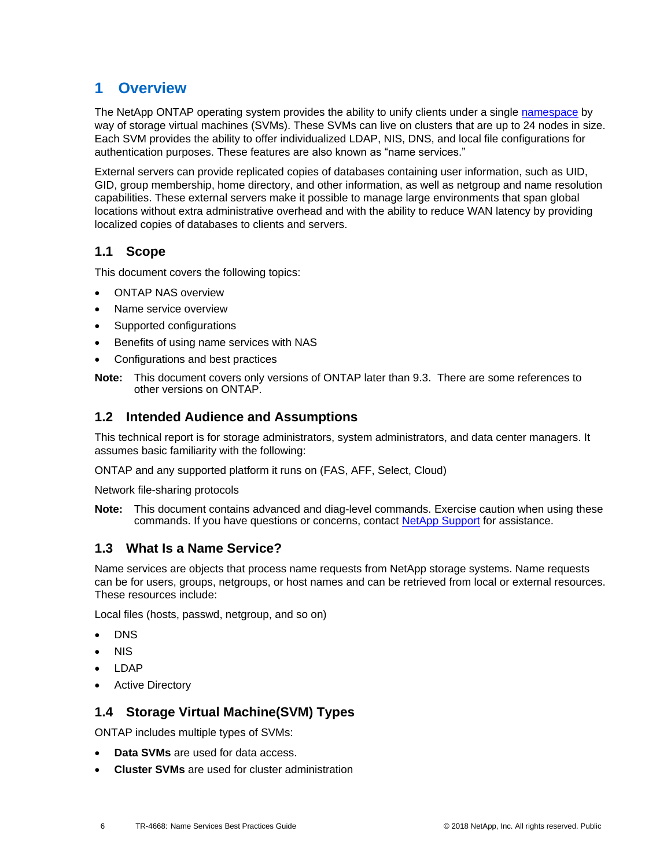# <span id="page-5-0"></span>**1 Overview**

The NetApp ONTAP operating system provides the ability to unify clients under a single [namespace](http://www.netapp.com/us/media/tr-4129.pdf) by way of storage virtual machines (SVMs). These SVMs can live on clusters that are up to 24 nodes in size. Each SVM provides the ability to offer individualized LDAP, NIS, DNS, and local file configurations for authentication purposes. These features are also known as "name services."

External servers can provide replicated copies of databases containing user information, such as UID, GID, group membership, home directory, and other information, as well as netgroup and name resolution capabilities. These external servers make it possible to manage large environments that span global locations without extra administrative overhead and with the ability to reduce WAN latency by providing localized copies of databases to clients and servers.

## <span id="page-5-1"></span>**1.1 Scope**

This document covers the following topics:

- ONTAP NAS overview
- Name service overview
- Supported configurations
- Benefits of using name services with NAS
- Configurations and best practices
- **Note:** This document covers only versions of ONTAP later than 9.3. There are some references to other versions on ONTAP.

## <span id="page-5-2"></span>**1.2 Intended Audience and Assumptions**

This technical report is for storage administrators, system administrators, and data center managers. It assumes basic familiarity with the following:

ONTAP and any supported platform it runs on (FAS, AFF, Select, Cloud)

Network file-sharing protocols

**Note:** This document contains advanced and diag-level commands. Exercise caution when using these commands. If you have questions or concerns, contact [NetApp Support](http://mysupport.netapp.com/) for assistance.

## <span id="page-5-3"></span>**1.3 What Is a Name Service?**

Name services are objects that process name requests from NetApp storage systems. Name requests can be for users, groups, netgroups, or host names and can be retrieved from local or external resources. These resources include:

Local files (hosts, passwd, netgroup, and so on)

- DNS
- NIS
- LDAP
- **Active Directory**

## <span id="page-5-4"></span>**1.4 Storage Virtual Machine(SVM) Types**

ONTAP includes multiple types of SVMs:

- **Data SVMs** are used for data access.
- **Cluster SVMs** are used for cluster administration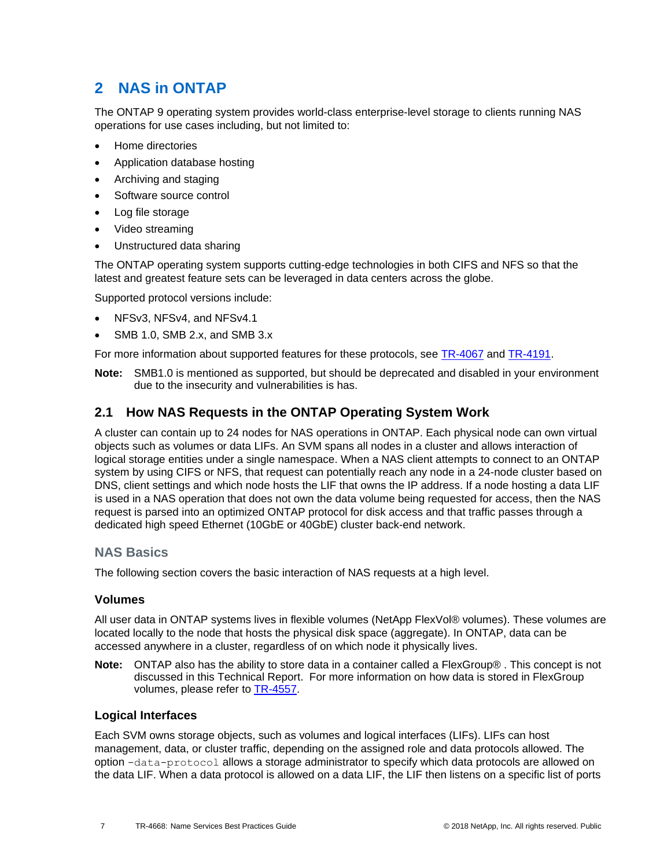# <span id="page-6-0"></span>**2 NAS in ONTAP**

The ONTAP 9 operating system provides world-class enterprise-level storage to clients running NAS operations for use cases including, but not limited to:

- Home directories
- Application database hosting
- Archiving and staging
- Software source control
- Log file storage
- Video streaming
- Unstructured data sharing

The ONTAP operating system supports cutting-edge technologies in both CIFS and NFS so that the latest and greatest feature sets can be leveraged in data centers across the globe.

Supported protocol versions include:

- NFSv3, NFSv4, and NFSv4.1
- SMB 1.0, SMB 2.x, and SMB 3.x

For more information about supported features for these protocols, see [TR-4067](http://www.netapp.com/us/media/tr-4067.pdf) and [TR-4191.](http://www.netapp.com/us/media/tr-4191.pdf)

**Note:** SMB1.0 is mentioned as supported, but should be deprecated and disabled in your environment due to the insecurity and vulnerabilities is has.

## <span id="page-6-1"></span>**2.1 How NAS Requests in the ONTAP Operating System Work**

A cluster can contain up to 24 nodes for NAS operations in ONTAP. Each physical node can own virtual objects such as volumes or data LIFs. An SVM spans all nodes in a cluster and allows interaction of logical storage entities under a single namespace. When a NAS client attempts to connect to an ONTAP system by using CIFS or NFS, that request can potentially reach any node in a 24-node cluster based on DNS, client settings and which node hosts the LIF that owns the IP address. If a node hosting a data LIF is used in a NAS operation that does not own the data volume being requested for access, then the NAS request is parsed into an optimized ONTAP protocol for disk access and that traffic passes through a dedicated high speed Ethernet (10GbE or 40GbE) cluster back-end network.

### **NAS Basics**

The following section covers the basic interaction of NAS requests at a high level.

### **Volumes**

All user data in ONTAP systems lives in flexible volumes (NetApp FlexVol® volumes). These volumes are located locally to the node that hosts the physical disk space (aggregate). In ONTAP, data can be accessed anywhere in a cluster, regardless of on which node it physically lives.

**Note:** ONTAP also has the ability to store data in a container called a FlexGroup® . This concept is not discussed in this Technical Report. For more information on how data is stored in FlexGroup volumes, please refer to [TR-4557.](http://www.netapp.com/us/media/tr-4557.pdf)

### **Logical Interfaces**

Each SVM owns storage objects, such as volumes and logical interfaces (LIFs). LIFs can host management, data, or cluster traffic, depending on the assigned role and data protocols allowed. The option -data-protocol allows a storage administrator to specify which data protocols are allowed on the data LIF. When a data protocol is allowed on a data LIF, the LIF then listens on a specific list of ports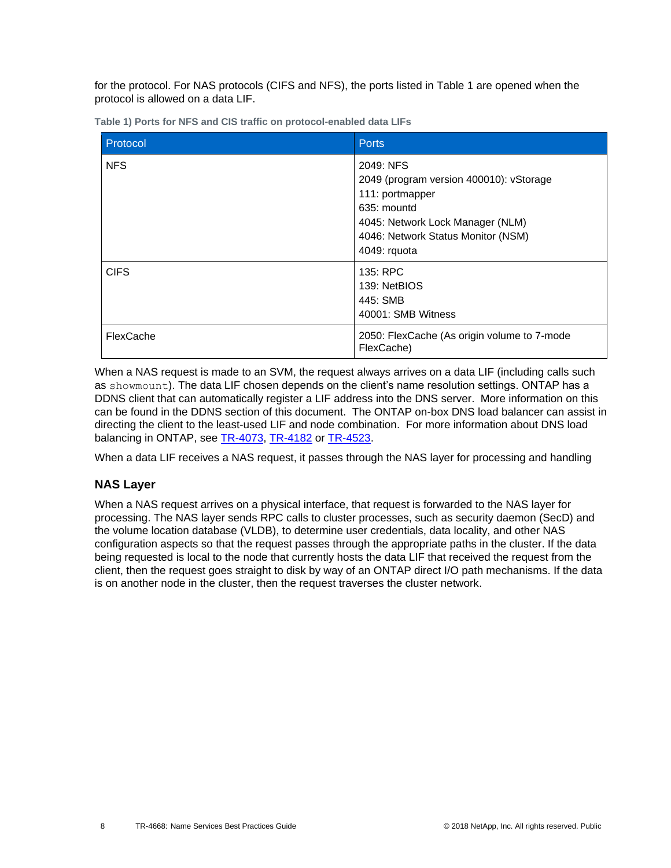for the protocol. For NAS protocols (CIFS and NFS), the ports listed in Table 1 are opened when the protocol is allowed on a data LIF.

| Protocol    | <b>Ports</b>                                                                                                                                                                     |
|-------------|----------------------------------------------------------------------------------------------------------------------------------------------------------------------------------|
| <b>NFS</b>  | 2049: NFS<br>2049 (program version 400010): vStorage<br>111: portmapper<br>635: mountd<br>4045: Network Lock Manager (NLM)<br>4046: Network Status Monitor (NSM)<br>4049: rquota |
| <b>CIFS</b> | 135: RPC<br>139: NetBIOS<br>445: SMB<br>40001: SMB Witness                                                                                                                       |
| FlexCache   | 2050: FlexCache (As origin volume to 7-mode<br>FlexCache)                                                                                                                        |

<span id="page-7-0"></span>**Table 1) Ports for NFS and CIS traffic on protocol-enabled data LIFs**

When a NAS request is made to an SVM, the request always arrives on a data LIF (including calls such as showmount). The data LIF chosen depends on the client's name resolution settings. ONTAP has a DDNS client that can automatically register a LIF address into the DNS server. More information on this can be found in the DDNS section of this document. The ONTAP on-box DNS load balancer can assist in directing the client to the least-used LIF and node combination. For more information about DNS load balancing in ONTAP, see [TR-4073,](http://www.netapp.com/us/media/tr-4073.pdf) [TR-4182](http://www.netapp.com/us/media/tr-4182.pdf) or [TR-4523.](http://www.netapp.com/us/media/tr-4523.pdf)

When a data LIF receives a NAS request, it passes through the NAS layer for processing and handling

## **NAS Layer**

When a NAS request arrives on a physical interface, that request is forwarded to the NAS layer for processing. The NAS layer sends RPC calls to cluster processes, such as security daemon (SecD) and the volume location database (VLDB), to determine user credentials, data locality, and other NAS configuration aspects so that the request passes through the appropriate paths in the cluster. If the data being requested is local to the node that currently hosts the data LIF that received the request from the client, then the request goes straight to disk by way of an ONTAP direct I/O path mechanisms. If the data is on another node in the cluster, then the request traverses the cluster network.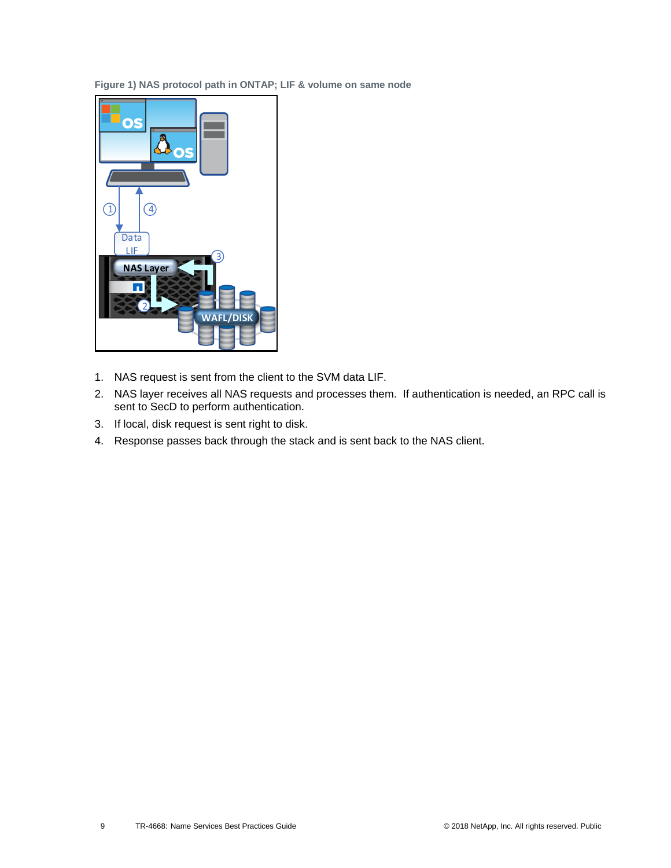<span id="page-8-0"></span>**Figure 1) NAS protocol path in ONTAP; LIF & volume on same node**



- 1. NAS request is sent from the client to the SVM data LIF.
- 2. NAS layer receives all NAS requests and processes them. If authentication is needed, an RPC call is sent to SecD to perform authentication.
- 3. If local, disk request is sent right to disk.
- 4. Response passes back through the stack and is sent back to the NAS client.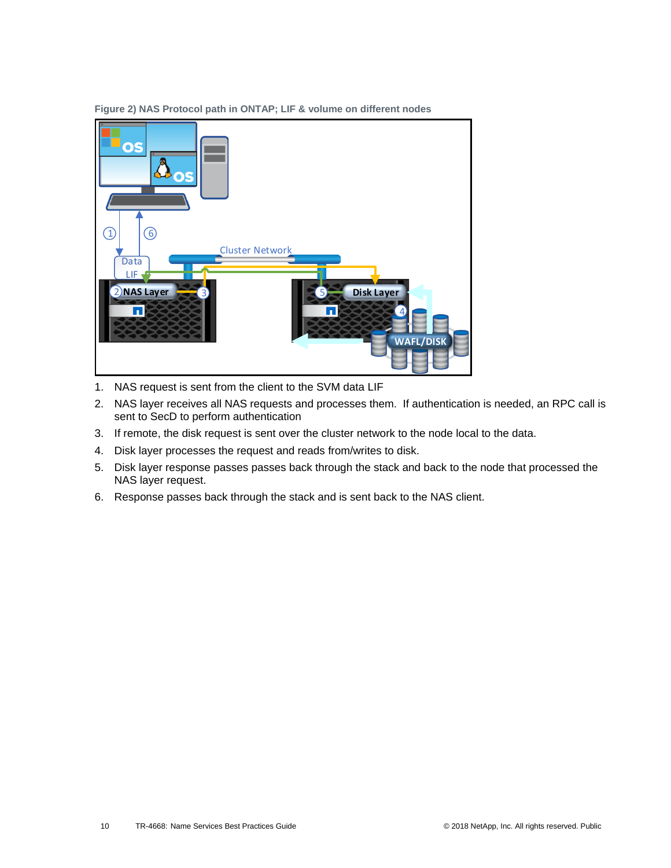

<span id="page-9-0"></span>**Figure 2) NAS Protocol path in ONTAP; LIF & volume on different nodes**

- 1. NAS request is sent from the client to the SVM data LIF
- 2. NAS layer receives all NAS requests and processes them. If authentication is needed, an RPC call is sent to SecD to perform authentication
- 3. If remote, the disk request is sent over the cluster network to the node local to the data.
- 4. Disk layer processes the request and reads from/writes to disk.
- 5. Disk layer response passes passes back through the stack and back to the node that processed the NAS layer request.
- 6. Response passes back through the stack and is sent back to the NAS client.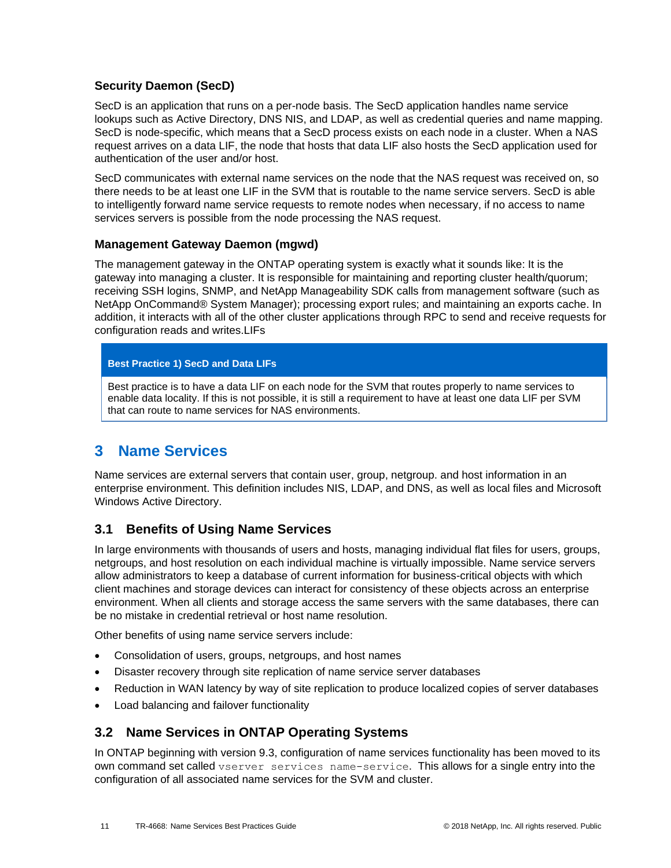### **Security Daemon (SecD)**

SecD is an application that runs on a per-node basis. The SecD application handles name service lookups such as Active Directory, DNS NIS, and LDAP, as well as credential queries and name mapping. SecD is node-specific, which means that a SecD process exists on each node in a cluster. When a NAS request arrives on a data LIF, the node that hosts that data LIF also hosts the SecD application used for authentication of the user and/or host.

SecD communicates with external name services on the node that the NAS request was received on, so there needs to be at least one LIF in the SVM that is routable to the name service servers. SecD is able to intelligently forward name service requests to remote nodes when necessary, if no access to name services servers is possible from the node processing the NAS request.

### **Management Gateway Daemon (mgwd)**

The management gateway in the ONTAP operating system is exactly what it sounds like: It is the gateway into managing a cluster. It is responsible for maintaining and reporting cluster health/quorum; receiving SSH logins, SNMP, and NetApp Manageability SDK calls from management software (such as NetApp OnCommand® System Manager); processing export rules; and maintaining an exports cache. In addition, it interacts with all of the other cluster applications through RPC to send and receive requests for configuration reads and writes.LIFs

### **Best Practice 1) SecD and Data LIFs**

Best practice is to have a data LIF on each node for the SVM that routes properly to name services to enable data locality. If this is not possible, it is still a requirement to have at least one data LIF per SVM that can route to name services for NAS environments.

# <span id="page-10-0"></span>**3 Name Services**

Name services are external servers that contain user, group, netgroup. and host information in an enterprise environment. This definition includes NIS, LDAP, and DNS, as well as local files and Microsoft Windows Active Directory.

## <span id="page-10-1"></span>**3.1 Benefits of Using Name Services**

In large environments with thousands of users and hosts, managing individual flat files for users, groups, netgroups, and host resolution on each individual machine is virtually impossible. Name service servers allow administrators to keep a database of current information for business-critical objects with which client machines and storage devices can interact for consistency of these objects across an enterprise environment. When all clients and storage access the same servers with the same databases, there can be no mistake in credential retrieval or host name resolution.

Other benefits of using name service servers include:

- Consolidation of users, groups, netgroups, and host names
- Disaster recovery through site replication of name service server databases
- Reduction in WAN latency by way of site replication to produce localized copies of server databases
- Load balancing and failover functionality

## <span id="page-10-2"></span>**3.2 Name Services in ONTAP Operating Systems**

In ONTAP beginning with version 9.3, configuration of name services functionality has been moved to its own command set called vserver services name-service. This allows for a single entry into the configuration of all associated name services for the SVM and cluster.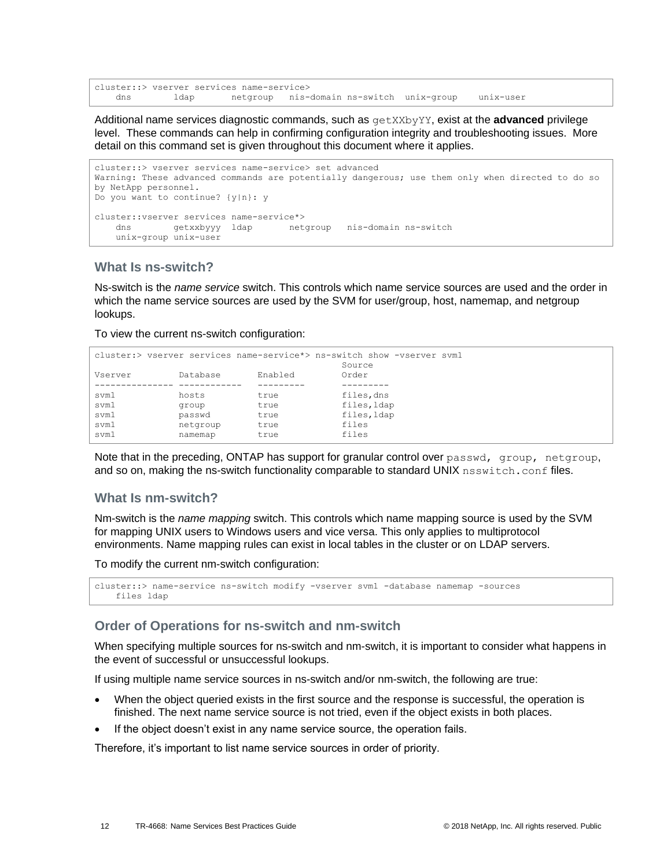```
cluster::> vserver services name-service>
    dns ldap netgroup nis-domain ns-switch unix-group unix-user
```
Additional name services diagnostic commands, such as getXXbyYY, exist at the **advanced** privilege level. These commands can help in confirming configuration integrity and troubleshooting issues. More detail on this command set is given throughout this document where it applies.

```
cluster::> vserver services name-service> set advanced
Warning: These advanced commands are potentially dangerous; use them only when directed to do so
by NetApp personnel.
Do you want to continue? {y|n}: y
cluster::vserver services name-service*>
    dns getxxbyyy ldap netgroup nis-domain ns-switch
    unix-group unix-user
```
### **What Is ns-switch?**

Ns-switch is the *name service* switch. This controls which name service sources are used and the order in which the name service sources are used by the SVM for user/group, host, namemap, and netgroup lookups.

To view the current ns-switch configuration:

```
cluster:> vserver services name-service*> ns-switch show -vserver svm1
Source Source Source
Vserver Database Enabled Order
--------------- ------------ --------- ---------
svm1 hosts true files,dns<br>svm1 group true files,ldap<br>svm1 passwd true files,ldap
svm1 group true files, Idap
svm1 passwd true files, Idap
svm1 netgroup true files
svm1 namemap true files
```
Note that in the preceding, ONTAP has support for granular control over passwd, group, netgroup, and so on, making the ns-switch functionality comparable to standard UNIX nsswitch.conf files.

#### **What Is nm-switch?**

Nm-switch is the *name mapping* switch. This controls which name mapping source is used by the SVM for mapping UNIX users to Windows users and vice versa. This only applies to multiprotocol environments. Name mapping rules can exist in local tables in the cluster or on LDAP servers.

To modify the current nm-switch configuration:

```
cluster::> name-service ns-switch modify -vserver svm1 -database namemap -sources
    files ldap
```
### **Order of Operations for ns-switch and nm-switch**

When specifying multiple sources for ns-switch and nm-switch, it is important to consider what happens in the event of successful or unsuccessful lookups.

If using multiple name service sources in ns-switch and/or nm-switch, the following are true:

- When the object queried exists in the first source and the response is successful, the operation is finished. The next name service source is not tried, even if the object exists in both places.
- If the object doesn't exist in any name service source, the operation fails.

Therefore, it's important to list name service sources in order of priority.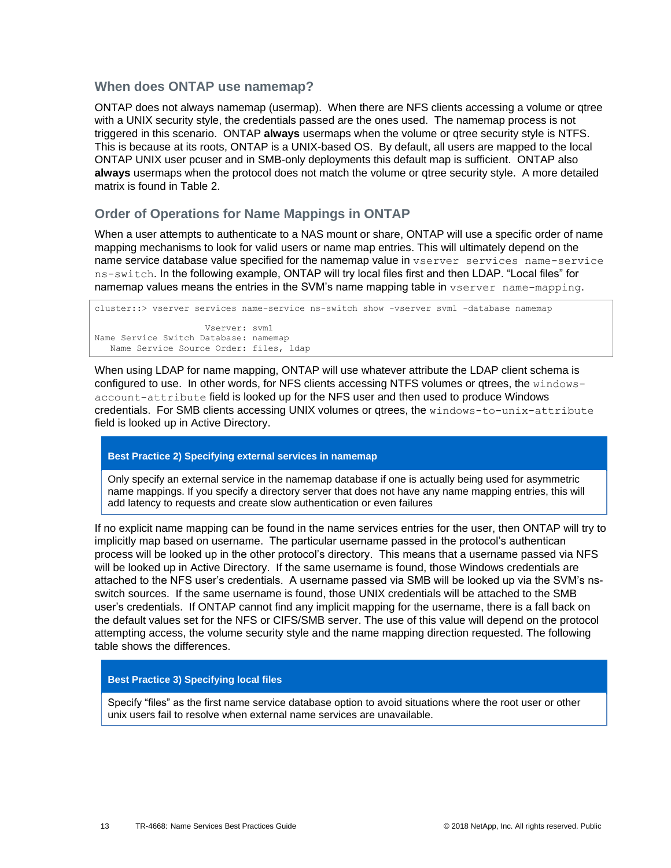### **When does ONTAP use namemap?**

ONTAP does not always namemap (usermap). When there are NFS clients accessing a volume or qtree with a UNIX security style, the credentials passed are the ones used. The namemap process is not triggered in this scenario. ONTAP **always** usermaps when the volume or qtree security style is NTFS. This is because at its roots, ONTAP is a UNIX-based OS. By default, all users are mapped to the local ONTAP UNIX user pcuser and in SMB-only deployments this default map is sufficient. ONTAP also **always** usermaps when the protocol does not match the volume or qtree security style. A more detailed matrix is found in Table 2.

### **Order of Operations for Name Mappings in ONTAP**

When a user attempts to authenticate to a NAS mount or share, ONTAP will use a specific order of name mapping mechanisms to look for valid users or name map entries. This will ultimately depend on the name service database value specified for the namemap value in vserver services name-service ns-switch. In the following example, ONTAP will try local files first and then LDAP. "Local files" for namemap values means the entries in the SVM's name mapping table in vserver name-mapping.

cluster::> vserver services name-service ns-switch show -vserver svm1 -database namemap Vserver: svm1 Name Service Switch Database: namemap Name Service Source Order: files, ldap

When using LDAP for name mapping, ONTAP will use whatever attribute the LDAP client schema is configured to use. In other words, for NFS clients accessing NTFS volumes or qtrees, the windowsaccount-attribute field is looked up for the NFS user and then used to produce Windows credentials. For SMB clients accessing UNIX volumes or qtrees, the windows-to-unix-attribute field is looked up in Active Directory.

#### **Best Practice 2) Specifying external services in namemap**

Only specify an external service in the namemap database if one is actually being used for asymmetric name mappings. If you specify a directory server that does not have any name mapping entries, this will add latency to requests and create slow authentication or even failures

If no explicit name mapping can be found in the name services entries for the user, then ONTAP will try to implicitly map based on username. The particular username passed in the protocol's authentican process will be looked up in the other protocol's directory. This means that a username passed via NFS will be looked up in Active Directory. If the same username is found, those Windows credentials are attached to the NFS user's credentials. A username passed via SMB will be looked up via the SVM's nsswitch sources. If the same username is found, those UNIX credentials will be attached to the SMB user's credentials. If ONTAP cannot find any implicit mapping for the username, there is a fall back on the default values set for the NFS or CIFS/SMB server. The use of this value will depend on the protocol attempting access, the volume security style and the name mapping direction requested. The following table shows the differences.

#### **Best Practice 3) Specifying local files**

Specify "files" as the first name service database option to avoid situations where the root user or other unix users fail to resolve when external name services are unavailable.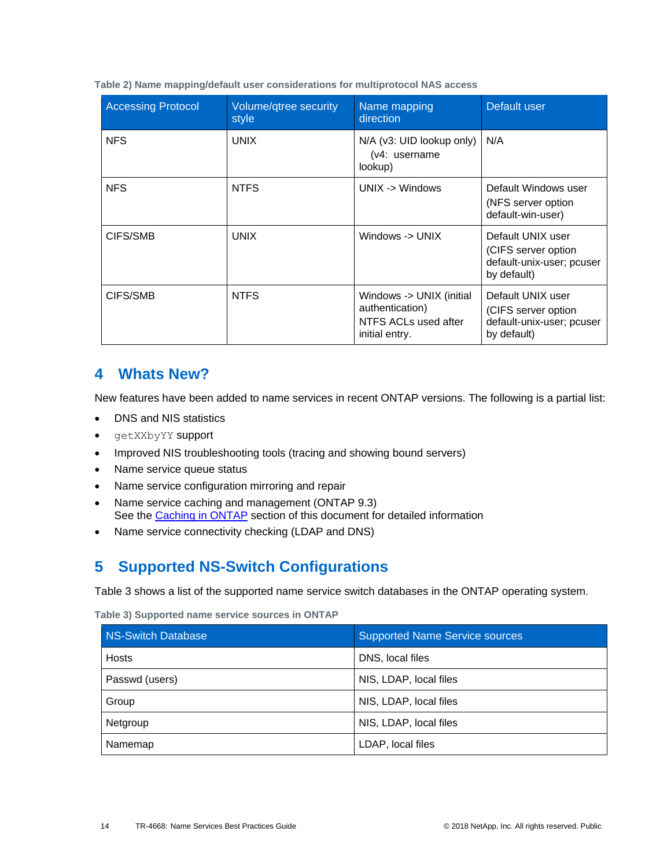<span id="page-13-2"></span>**Table 2) Name mapping/default user considerations for multiprotocol NAS access**

| <b>Accessing Protocol</b> | Volume/qtree security<br>style | Name mapping<br>direction                                                             | Default user                                                                         |
|---------------------------|--------------------------------|---------------------------------------------------------------------------------------|--------------------------------------------------------------------------------------|
| <b>NFS</b>                | <b>UNIX</b>                    | N/A (v3: UID lookup only)<br>(v4: username<br>lookup)                                 | N/A                                                                                  |
| <b>NFS</b>                | NTFS                           | $UNIX -> Windows$                                                                     | Default Windows user<br>(NFS server option)<br>default-win-user)                     |
| CIFS/SMB                  | <b>UNIX</b>                    | Windows -> UNIX                                                                       | Default UNIX user<br>(CIFS server option<br>default-unix-user; pcuser<br>by default) |
| CIFS/SMB                  | <b>NTFS</b>                    | Windows -> UNIX (initial<br>authentication)<br>NTFS ACLs used after<br>initial entry. | Default UNIX user<br>(CIFS server option<br>default-unix-user; pcuser<br>by default) |

## <span id="page-13-0"></span>**4 Whats New?**

New features have been added to name services in recent ONTAP versions. The following is a partial list:

- DNS and NIS statistics
- getXXbyYY support
- Improved NIS troubleshooting tools (tracing and showing bound servers)
- Name service queue status
- Name service configuration mirroring and repair
- Name service caching and management (ONTAP 9.3) See the [Caching in ONTAP](#page-22-0) section of this document for detailed information
- <span id="page-13-1"></span>Name service connectivity checking (LDAP and DNS)

# **5 Supported NS-Switch Configurations**

[Table 3](#page-13-3) shows a list of the supported name service switch databases in the ONTAP operating system.

<span id="page-13-3"></span>**Table 3) Supported name service sources in ONTAP**

| <b>NS-Switch Database</b> | <b>Supported Name Service sources</b> |  |
|---------------------------|---------------------------------------|--|
| <b>Hosts</b>              | DNS, local files                      |  |
| Passwd (users)            | NIS, LDAP, local files                |  |
| Group                     | NIS, LDAP, local files                |  |
| Netgroup                  | NIS, LDAP, local files                |  |
| Namemap                   | LDAP, local files                     |  |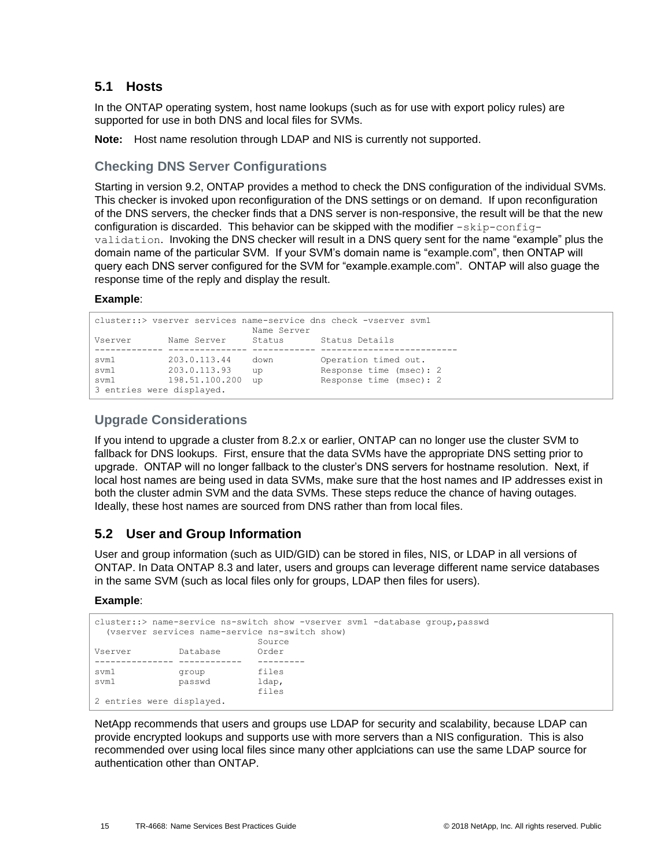## <span id="page-14-0"></span>**5.1 Hosts**

In the ONTAP operating system, host name lookups (such as for use with export policy rules) are supported for use in both DNS and local files for SVMs.

**Note:** Host name resolution through LDAP and NIS is currently not supported.

## **Checking DNS Server Configurations**

Starting in version 9.2, ONTAP provides a method to check the DNS configuration of the individual SVMs. This checker is invoked upon reconfiguration of the DNS settings or on demand. If upon reconfiguration of the DNS servers, the checker finds that a DNS server is non-responsive, the result will be that the new configuration is discarded. This behavior can be skipped with the modifier  $-skip-constant$ validation. Invoking the DNS checker will result in a DNS query sent for the name "example" plus the domain name of the particular SVM. If your SVM's domain name is "example.com", then ONTAP will query each DNS server configured for the SVM for "example.example.com". ONTAP will also guage the response time of the reply and display the result.

### **Example**:

|         |                           |        | cluster:: > vserver services name-service dns check -vserver svml |  |
|---------|---------------------------|--------|-------------------------------------------------------------------|--|
|         | Name Server               |        |                                                                   |  |
| Vserver | Name Server               | Status | Status Details                                                    |  |
|         |                           |        |                                                                   |  |
| svm1    | 203.0.113.44              | down   | Operation timed out.                                              |  |
| svm1    | 203.0.113.93              | up     | Response time (msec): 2                                           |  |
| svm1    | 198.51.100.200            | up     | Response time (msec): 2                                           |  |
|         | 3 entries were displayed. |        |                                                                   |  |

## **Upgrade Considerations**

If you intend to upgrade a cluster from 8.2.x or earlier, ONTAP can no longer use the cluster SVM to fallback for DNS lookups. First, ensure that the data SVMs have the appropriate DNS setting prior to upgrade. ONTAP will no longer fallback to the cluster's DNS servers for hostname resolution. Next, if local host names are being used in data SVMs, make sure that the host names and IP addresses exist in both the cluster admin SVM and the data SVMs. These steps reduce the chance of having outages. Ideally, these host names are sourced from DNS rather than from local files.

## <span id="page-14-1"></span>**5.2 User and Group Information**

User and group information (such as UID/GID) can be stored in files, NIS, or LDAP in all versions of ONTAP. In Data ONTAP 8.3 and later, users and groups can leverage different name service databases in the same SVM (such as local files only for groups, LDAP then files for users).

### **Example**:

```
cluster::> name-service ns-switch show -vserver svm1 -database group,passwd
  (vserver services name-service ns-switch show)
                             Source
Vserver Database Order
--------------- ------------ ---------
svm1 group files<br>
xvm1 passwd ldap,
svm1 passwd
                             files
2 entries were displayed.
```
NetApp recommends that users and groups use LDAP for security and scalability, because LDAP can provide encrypted lookups and supports use with more servers than a NIS configuration. This is also recommended over using local files since many other applciations can use the same LDAP source for authentication other than ONTAP.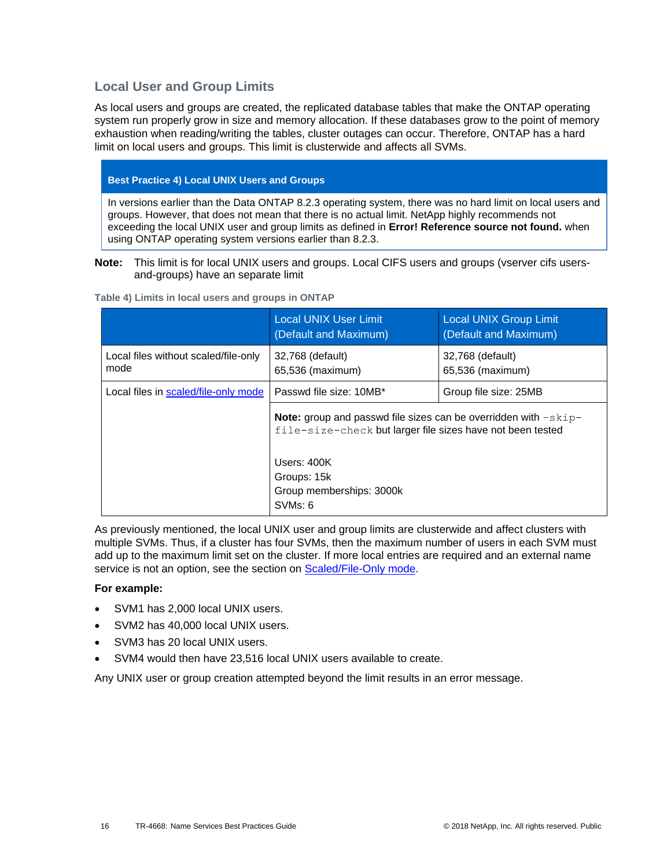## **Local User and Group Limits**

As local users and groups are created, the replicated database tables that make the ONTAP operating system run properly grow in size and memory allocation. If these databases grow to the point of memory exhaustion when reading/writing the tables, cluster outages can occur. Therefore, ONTAP has a hard limit on local users and groups. This limit is clusterwide and affects all SVMs.

### **Best Practice 4) Local UNIX Users and Groups**

In versions earlier than the Data ONTAP 8.2.3 operating system, there was no hard limit on local users and groups. However, that does not mean that there is no actual limit. NetApp highly recommends not exceeding the local UNIX user and group limits as defined in **Error! Reference source not found.** when using ONTAP operating system versions earlier than 8.2.3.

#### **Note:** This limit is for local UNIX users and groups. Local CIFS users and groups (vserver cifs usersand-groups) have an separate limit

|                                              | <b>Local UNIX User Limit</b><br>(Default and Maximum)                                                                                  | <b>Local UNIX Group Limit</b><br>(Default and Maximum) |
|----------------------------------------------|----------------------------------------------------------------------------------------------------------------------------------------|--------------------------------------------------------|
| Local files without scaled/file-only<br>mode | 32,768 (default)<br>65,536 (maximum)                                                                                                   | 32,768 (default)<br>65,536 (maximum)                   |
| Local files in scaled/file-only mode         | Passwd file size: 10MB*                                                                                                                | Group file size: 25MB                                  |
|                                              | <b>Note:</b> group and passwd file sizes can be overridden with $-skip-$<br>file-size-check but larger file sizes have not been tested |                                                        |
|                                              | Users: $400K$                                                                                                                          |                                                        |
|                                              | Groups: 15k                                                                                                                            |                                                        |
|                                              | Group memberships: 3000k                                                                                                               |                                                        |
|                                              | SVM <sub>s</sub> : 6                                                                                                                   |                                                        |

<span id="page-15-0"></span>**Table 4) Limits in local users and groups in ONTAP**

As previously mentioned, the local UNIX user and group limits are clusterwide and affect clusters with multiple SVMs. Thus, if a cluster has four SVMs, then the maximum number of users in each SVM must add up to the maximum limit set on the cluster. If more local entries are required and an external name service is not an option, see the section on [Scaled/File-Only mode.](#page-38-1)

#### **For example:**

- SVM1 has 2,000 local UNIX users.
- SVM2 has 40,000 local UNIX users.
- SVM3 has 20 local UNIX users.
- SVM4 would then have 23,516 local UNIX users available to create.

Any UNIX user or group creation attempted beyond the limit results in an error message.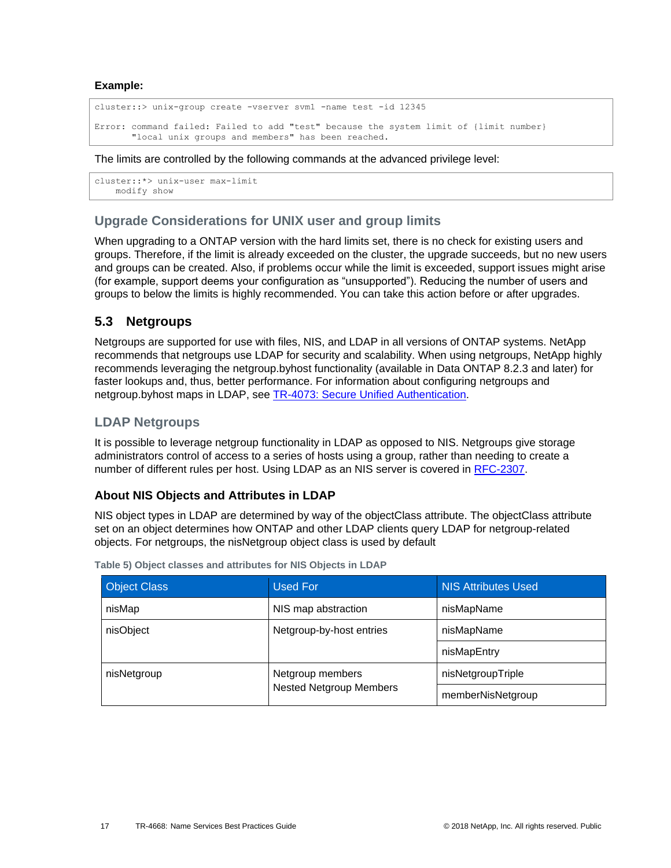**Example:**

```
cluster::> unix-group create -vserver svm1 -name test -id 12345
Error: command failed: Failed to add "test" because the system limit of {limit number}
        "local unix groups and members" has been reached.
```
#### The limits are controlled by the following commands at the advanced privilege level:

```
cluster::*> unix-user max-limit
    modify show
```
## **Upgrade Considerations for UNIX user and group limits**

When upgrading to a ONTAP version with the hard limits set, there is no check for existing users and groups. Therefore, if the limit is already exceeded on the cluster, the upgrade succeeds, but no new users and groups can be created. Also, if problems occur while the limit is exceeded, support issues might arise (for example, support deems your configuration as "unsupported"). Reducing the number of users and groups to below the limits is highly recommended. You can take this action before or after upgrades.

## <span id="page-16-0"></span>**5.3 Netgroups**

Netgroups are supported for use with files, NIS, and LDAP in all versions of ONTAP systems. NetApp recommends that netgroups use LDAP for security and scalability. When using netgroups, NetApp highly recommends leveraging the netgroup.byhost functionality (available in Data ONTAP 8.2.3 and later) for faster lookups and, thus, better performance. For information about configuring netgroups and netgroup.byhost maps in LDAP, see [TR-4073: Secure Unified](http://www.netapp.com/us/media/tr-4073.pdf) Authentication.

## **LDAP Netgroups**

It is possible to leverage netgroup functionality in LDAP as opposed to NIS. Netgroups give storage administrators control of access to a series of hosts using a group, rather than needing to create a number of different rules per host. Using LDAP as an NIS server is covered in [RFC-2307.](http://www.ietf.org/rfc/rfc2307.txt)

### **About NIS Objects and Attributes in LDAP**

NIS object types in LDAP are determined by way of the objectClass attribute. The objectClass attribute set on an object determines how ONTAP and other LDAP clients query LDAP for netgroup-related objects. For netgroups, the nisNetgroup object class is used by default

| <b>Object Class</b> | <b>Used For</b>                | <b>NIS Attributes Used</b> |
|---------------------|--------------------------------|----------------------------|
| nisMap              | NIS map abstraction            | nisMapName                 |
| nisObject           | Netgroup-by-host entries       | nisMapName                 |
|                     |                                | nisMapEntry                |
| nisNetgroup         | Netgroup members               | nisNetgroupTriple          |
|                     | <b>Nested Netgroup Members</b> | memberNisNetgroup          |

<span id="page-16-1"></span>**Table 5) Object classes and attributes for NIS Objects in LDAP**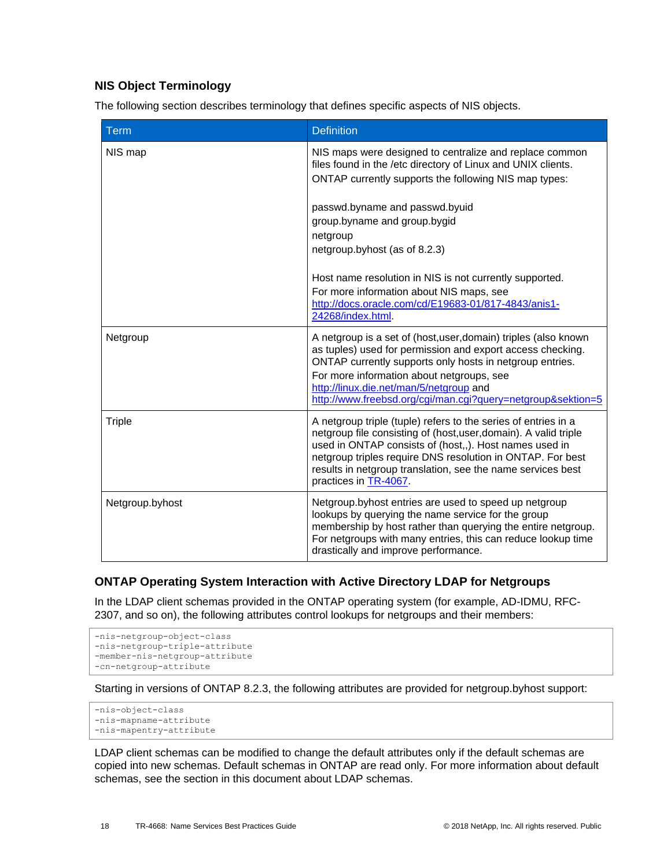## **NIS Object Terminology**

The following section describes terminology that defines specific aspects of NIS objects.

| Term            | <b>Definition</b>                                                                                                                                                                                                                                                                                                                                  |
|-----------------|----------------------------------------------------------------------------------------------------------------------------------------------------------------------------------------------------------------------------------------------------------------------------------------------------------------------------------------------------|
| NIS map         | NIS maps were designed to centralize and replace common<br>files found in the /etc directory of Linux and UNIX clients.<br>ONTAP currently supports the following NIS map types:                                                                                                                                                                   |
|                 | passwd.byname and passwd.byuid<br>group.byname and group.bygid<br>netgroup<br>netgroup.byhost (as of 8.2.3)                                                                                                                                                                                                                                        |
|                 | Host name resolution in NIS is not currently supported.<br>For more information about NIS maps, see<br>http://docs.oracle.com/cd/E19683-01/817-4843/anis1-<br>24268/index.html.                                                                                                                                                                    |
| Netgroup        | A netgroup is a set of (host, user, domain) triples (also known<br>as tuples) used for permission and export access checking.<br>ONTAP currently supports only hosts in netgroup entries.<br>For more information about netgroups, see<br>http://linux.die.net/man/5/netgroup and<br>http://www.freebsd.org/cgi/man.cgi?query=netgroup&sektion=5   |
| <b>Triple</b>   | A netgroup triple (tuple) refers to the series of entries in a<br>netgroup file consisting of (host, user, domain). A valid triple<br>used in ONTAP consists of (host,,). Host names used in<br>netgroup triples require DNS resolution in ONTAP. For best<br>results in netgroup translation, see the name services best<br>practices in TR-4067. |
| Netgroup.byhost | Netgroup.byhost entries are used to speed up netgroup<br>lookups by querying the name service for the group<br>membership by host rather than querying the entire netgroup.<br>For netgroups with many entries, this can reduce lookup time<br>drastically and improve performance.                                                                |

## **ONTAP Operating System Interaction with Active Directory LDAP for Netgroups**

In the LDAP client schemas provided in the ONTAP operating system (for example, AD-IDMU, RFC-2307, and so on), the following attributes control lookups for netgroups and their members:

```
-nis-netgroup-object-class
-nis-netgroup-triple-attribute
-member-nis-netgroup-attribute
-cn-netgroup-attribute
```
Starting in versions of ONTAP 8.2.3, the following attributes are provided for netgroup.byhost support:

```
-nis-object-class
-nis-mapname-attribute
-nis-mapentry-attribute
```
LDAP client schemas can be modified to change the default attributes only if the default schemas are copied into new schemas. Default schemas in ONTAP are read only. For more information about default schemas, see the section in this document about LDAP schemas.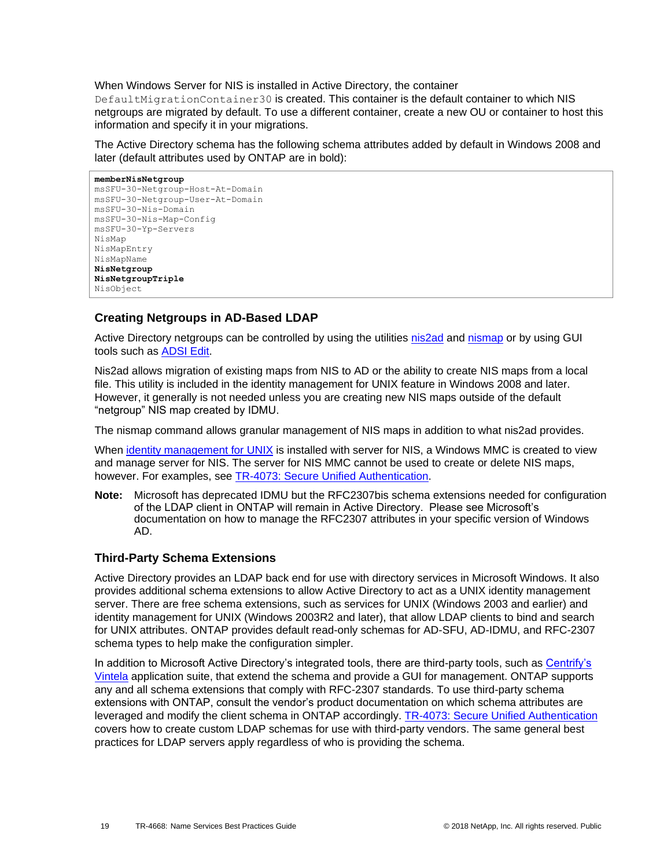When Windows Server for NIS is installed in Active Directory, the container

DefaultMigrationContainer30 is created. This container is the default container to which NIS netgroups are migrated by default. To use a different container, create a new OU or container to host this information and specify it in your migrations.

The Active Directory schema has the following schema attributes added by default in Windows 2008 and later (default attributes used by ONTAP are in bold):

```
memberNisNetgroup
msSFU-30-Netgroup-Host-At-Domain
msSFU-30-Netgroup-User-At-Domain
msSFU-30-Nis-Domain
msSFU-30-Nis-Map-Config
msSFU-30-Yp-Servers
NisMap
NisMapEntry
NisMapName
NisNetgroup
NisNetgroupTriple
NisObject
```
### **Creating Netgroups in AD-Based LDAP**

Active Directory netgroups can be controlled by using the utilities [nis2ad](https://docs.microsoft.com/en-us/previous-versions/windows/it-pro/windows-server-2008-R2-and-2008/cc754412(v=ws.11)) and [nismap](https://docs.microsoft.com/en-us/previous-versions/windows/it-pro/windows-server-2008-R2-and-2008/cc772191(v%3dws.11)) or by using GUI tools such as [ADSI Edit.](https://technet.microsoft.com/en-us/library/cc773354(v=ws.10).aspx)

Nis2ad allows migration of existing maps from NIS to AD or the ability to create NIS maps from a local file. This utility is included in the identity management for UNIX feature in Windows 2008 and later. However, it generally is not needed unless you are creating new NIS maps outside of the default "netgroup" NIS map created by IDMU.

The nismap command allows granular management of NIS maps in addition to what nis2ad provides.

When [identity management for UNIX](https://docs.microsoft.com/en-us/previous-versions/windows/it-pro/windows-server-2008-R2-and-2008/cc772571(v=ws.11)) is installed with server for NIS, a Windows MMC is created to view and manage server for NIS. The server for NIS MMC cannot be used to create or delete NIS maps, however. For examples, see [TR-4073: Secure Unified Authentication.](http://www.netapp.com/us/media/tr-4073.pdf)

**Note:** Microsoft has deprecated IDMU but the RFC2307bis schema extensions needed for configuration of the LDAP client in ONTAP will remain in Active Directory. Please see Microsoft's documentation on how to manage the RFC2307 attributes in your specific version of Windows AD.

### **Third-Party Schema Extensions**

Active Directory provides an LDAP back end for use with directory services in Microsoft Windows. It also provides additional schema extensions to allow Active Directory to act as a UNIX identity management server. There are free schema extensions, such as services for UNIX (Windows 2003 and earlier) and identity management for UNIX (Windows 2003R2 and later), that allow LDAP clients to bind and search for UNIX attributes. ONTAP provides default read-only schemas for AD-SFU, AD-IDMU, and RFC-2307 schema types to help make the configuration simpler.

In addition to Microsoft Active Directory's integrated tools, there are third-party tools, such as Centrify's [Vintela](https://www.centrify.com/) application suite, that extend the schema and provide a GUI for management. ONTAP supports any and all schema extensions that comply with RFC-2307 standards. To use third-party schema extensions with ONTAP, consult the vendor's product documentation on which schema attributes are leveraged and modify the client schema in ONTAP accordingly. **TR-4073: Secure Unified Authentication** covers how to create custom LDAP schemas for use with third-party vendors. The same general best practices for LDAP servers apply regardless of who is providing the schema.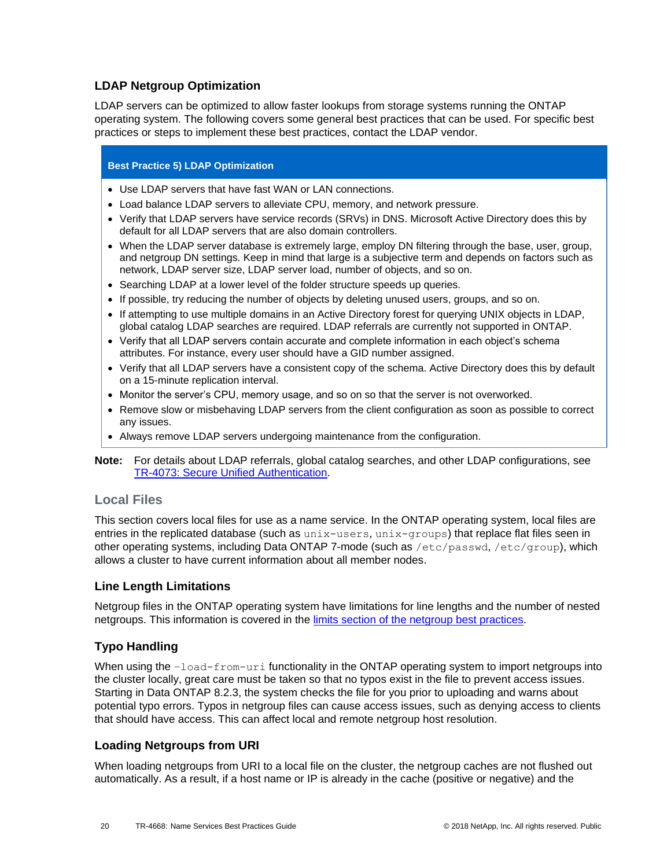### **LDAP Netgroup Optimization**

LDAP servers can be optimized to allow faster lookups from storage systems running the ONTAP operating system. The following covers some general best practices that can be used. For specific best practices or steps to implement these best practices, contact the LDAP vendor.

#### **Best Practice 5) LDAP Optimization**

- Use LDAP servers that have fast WAN or LAN connections.
- Load balance LDAP servers to alleviate CPU, memory, and network pressure.
- Verify that LDAP servers have service records (SRVs) in DNS. Microsoft Active Directory does this by default for all LDAP servers that are also domain controllers.
- When the LDAP server database is extremely large, employ DN filtering through the base, user, group, and netgroup DN settings. Keep in mind that large is a subjective term and depends on factors such as network, LDAP server size, LDAP server load, number of objects, and so on.
- Searching LDAP at a lower level of the folder structure speeds up queries.
- If possible, try reducing the number of objects by deleting unused users, groups, and so on.
- If attempting to use multiple domains in an Active Directory forest for querying UNIX objects in LDAP, global catalog LDAP searches are required. LDAP referrals are currently not supported in ONTAP.
- Verify that all LDAP servers contain accurate and complete information in each object's schema attributes. For instance, every user should have a GID number assigned.
- Verify that all LDAP servers have a consistent copy of the schema. Active Directory does this by default on a 15-minute replication interval.
- Monitor the server's CPU, memory usage, and so on so that the server is not overworked.
- Remove slow or misbehaving LDAP servers from the client configuration as soon as possible to correct any issues.
- Always remove LDAP servers undergoing maintenance from the configuration.
- **Note:** For details about LDAP referrals, global catalog searches, and other LDAP configurations, see [TR-4073: Secure Unified Authentication.](http://www.netapp.com/us/media/tr-4073.pdf)

## **Local Files**

This section covers local files for use as a name service. In the ONTAP operating system, local files are entries in the replicated database (such as unix-users, unix-groups) that replace flat files seen in other operating systems, including Data ONTAP 7-mode (such as /etc/passwd, /etc/group), which allows a cluster to have current information about all member nodes.

### **Line Length Limitations**

Netgroup files in the ONTAP operating system have limitations for line lengths and the number of nested netgroups. This information is covered in the [limits section of the netgroup best practices.](#page-41-1)

## **Typo Handling**

When using the  $-$ load-from-uri functionality in the ONTAP operating system to import netgroups into the cluster locally, great care must be taken so that no typos exist in the file to prevent access issues. Starting in Data ONTAP 8.2.3, the system checks the file for you prior to uploading and warns about potential typo errors. Typos in netgroup files can cause access issues, such as denying access to clients that should have access. This can affect local and remote netgroup host resolution.

### **Loading Netgroups from URI**

When loading netgroups from URI to a local file on the cluster, the netgroup caches are not flushed out automatically. As a result, if a host name or IP is already in the cache (positive or negative) and the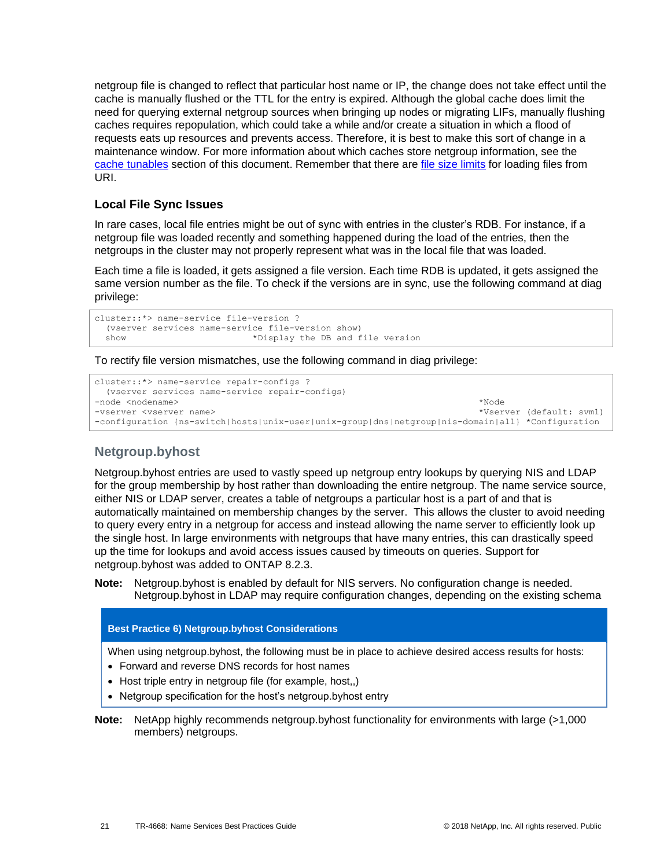netgroup file is changed to reflect that particular host name or IP, the change does not take effect until the cache is manually flushed or the TTL for the entry is expired. Although the global cache does limit the need for querying external netgroup sources when bringing up nodes or migrating LIFs, manually flushing caches requires repopulation, which could take a while and/or create a situation in which a flood of requests eats up resources and prevents access. Therefore, it is best to make this sort of change in a maintenance window. For more information about which caches store netgroup information, see the [cache tunables](#page-25-1) section of this document. Remember that there are [file size limits](#page-41-1) for loading files from URI.

## **Local File Sync Issues**

In rare cases, local file entries might be out of sync with entries in the cluster's RDB. For instance, if a netgroup file was loaded recently and something happened during the load of the entries, then the netgroups in the cluster may not properly represent what was in the local file that was loaded.

Each time a file is loaded, it gets assigned a file version. Each time RDB is updated, it gets assigned the same version number as the file. To check if the versions are in sync, use the following command at diag privilege:

```
cluster::*> name-service file-version ?
  (vserver services name-service file-version show)
  show *Display the DB and file version
```
To rectify file version mismatches, use the following command in diag privilege:

```
cluster::*> name-service repair-configs ?
  (vserver services name-service repair-configs)
-node <nodename> *Node
-vserver <vserver name> *Vserver (default: svm1)
-configuration {ns-switch|hosts|unix-user|unix-group|dns|netgroup|nis-domain|all} *Configuration
```
## **Netgroup.byhost**

Netgroup.byhost entries are used to vastly speed up netgroup entry lookups by querying NIS and LDAP for the group membership by host rather than downloading the entire netgroup. The name service source, either NIS or LDAP server, creates a table of netgroups a particular host is a part of and that is automatically maintained on membership changes by the server. This allows the cluster to avoid needing to query every entry in a netgroup for access and instead allowing the name server to efficiently look up the single host. In large environments with netgroups that have many entries, this can drastically speed up the time for lookups and avoid access issues caused by timeouts on queries. Support for netgroup.byhost was added to ONTAP 8.2.3.

**Note:** Netgroup.byhost is enabled by default for NIS servers. No configuration change is needed. Netgroup.byhost in LDAP may require configuration changes, depending on the existing schema

#### **Best Practice 6) Netgroup.byhost Considerations**

When using netgroup.byhost, the following must be in place to achieve desired access results for hosts:

- Forward and reverse DNS records for host names
- Host triple entry in netgroup file (for example, host,,)
- Netgroup specification for the host's netgroup.byhost entry
- **Note:** NetApp highly recommends netgroup.byhost functionality for environments with large (>1,000 members) netgroups.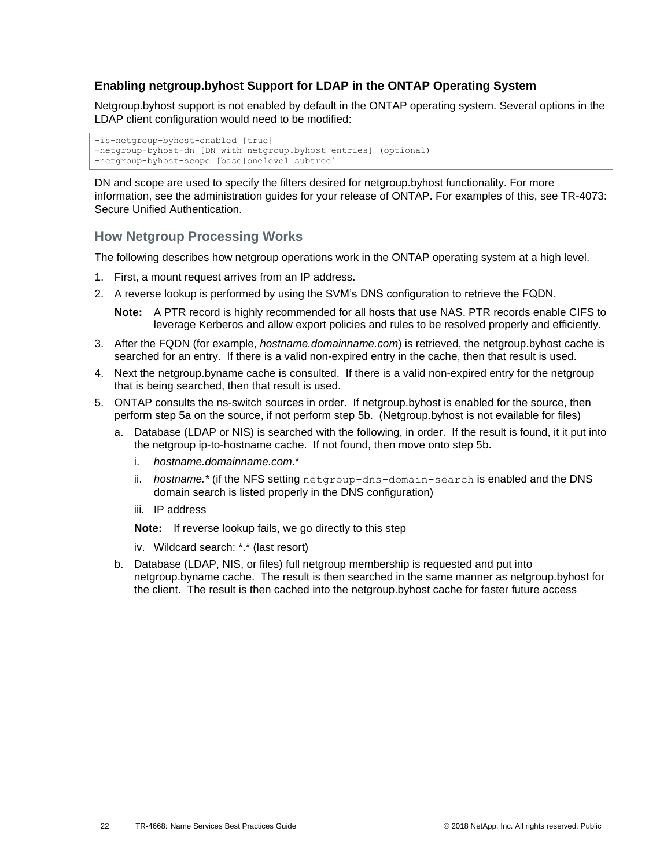### **Enabling netgroup.byhost Support for LDAP in the ONTAP Operating System**

Netgroup.byhost support is not enabled by default in the ONTAP operating system. Several options in the LDAP client configuration would need to be modified:

```
-is-netgroup-byhost-enabled [true]
-netgroup-byhost-dn [DN with netgroup.byhost entries] (optional)
-netgroup-byhost-scope [base|onelevel|subtree]
```
DN and scope are used to specify the filters desired for netgroup.byhost functionality. For more information, see the administration guides for your release of ONTAP. For examples of this, see TR-4073: Secure Unified Authentication.

### **How Netgroup Processing Works**

The following describes how netgroup operations work in the ONTAP operating system at a high level.

- 1. First, a mount request arrives from an IP address.
- 2. A reverse lookup is performed by using the SVM's DNS configuration to retrieve the FQDN.

**Note:** A PTR record is highly recommended for all hosts that use NAS. PTR records enable CIFS to leverage Kerberos and allow export policies and rules to be resolved properly and efficiently.

- 3. After the FQDN (for example, *hostname.domainname.com*) is retrieved, the netgroup.byhost cache is searched for an entry. If there is a valid non-expired entry in the cache, then that result is used.
- 4. Next the netgroup.byname cache is consulted. If there is a valid non-expired entry for the netgroup that is being searched, then that result is used.
- 5. ONTAP consults the ns-switch sources in order. If netgroup.byhost is enabled for the source, then perform step 5a on the source, if not perform step 5b. (Netgroup.byhost is not evailable for files)
	- a. Database (LDAP or NIS) is searched with the following, in order. If the result is found, it it put into the netgroup ip-to-hostname cache. If not found, then move onto step 5b.
		- i. *hostname.domainname.com*.\*
		- ii. *hostname.\** (if the NFS setting netgroup-dns-domain-search is enabled and the DNS domain search is listed properly in the DNS configuration)
		- iii. IP address

**Note:** If reverse lookup fails, we go directly to this step

- iv. Wildcard search: \*.\* (last resort)
- b. Database (LDAP, NIS, or files) full netgroup membership is requested and put into netgroup.byname cache. The result is then searched in the same manner as netgroup.byhost for the client. The result is then cached into the netgroup.byhost cache for faster future access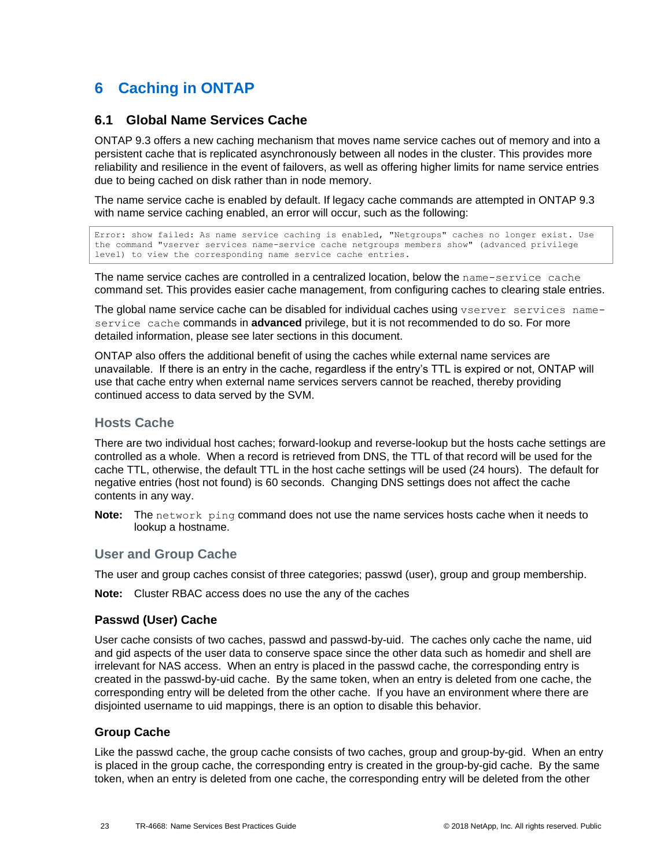# <span id="page-22-0"></span>**6 Caching in ONTAP**

## <span id="page-22-1"></span>**6.1 Global Name Services Cache**

ONTAP 9.3 offers a new caching mechanism that moves name service caches out of memory and into a persistent cache that is replicated asynchronously between all nodes in the cluster. This provides more reliability and resilience in the event of failovers, as well as offering higher limits for name service entries due to being cached on disk rather than in node memory.

The name service cache is enabled by default. If legacy cache commands are attempted in ONTAP 9.3 with name service caching enabled, an error will occur, such as the following:

Error: show failed: As name service caching is enabled, "Netgroups" caches no longer exist. Use the command "vserver services name-service cache netgroups members show" (advanced privilege level) to view the corresponding name service cache entries.

The name service caches are controlled in a centralized location, below the name-service cache command set. This provides easier cache management, from configuring caches to clearing stale entries.

The global name service cache can be disabled for individual caches using vserver services nameservice cache commands in **advanced** privilege, but it is not recommended to do so. For more detailed information, please see later sections in this document.

ONTAP also offers the additional benefit of using the caches while external name services are unavailable. If there is an entry in the cache, regardless if the entry's TTL is expired or not, ONTAP will use that cache entry when external name services servers cannot be reached, thereby providing continued access to data served by the SVM.

## **Hosts Cache**

There are two individual host caches; forward-lookup and reverse-lookup but the hosts cache settings are controlled as a whole. When a record is retrieved from DNS, the TTL of that record will be used for the cache TTL, otherwise, the default TTL in the host cache settings will be used (24 hours). The default for negative entries (host not found) is 60 seconds. Changing DNS settings does not affect the cache contents in any way.

**Note:** The network ping command does not use the name services hosts cache when it needs to lookup a hostname.

## **User and Group Cache**

The user and group caches consist of three categories; passwd (user), group and group membership.

**Note:** Cluster RBAC access does no use the any of the caches

### **Passwd (User) Cache**

User cache consists of two caches, passwd and passwd-by-uid. The caches only cache the name, uid and gid aspects of the user data to conserve space since the other data such as homedir and shell are irrelevant for NAS access. When an entry is placed in the passwd cache, the corresponding entry is created in the passwd-by-uid cache. By the same token, when an entry is deleted from one cache, the corresponding entry will be deleted from the other cache. If you have an environment where there are disjointed username to uid mappings, there is an option to disable this behavior.

### **Group Cache**

Like the passwd cache, the group cache consists of two caches, group and group-by-gid. When an entry is placed in the group cache, the corresponding entry is created in the group-by-gid cache. By the same token, when an entry is deleted from one cache, the corresponding entry will be deleted from the other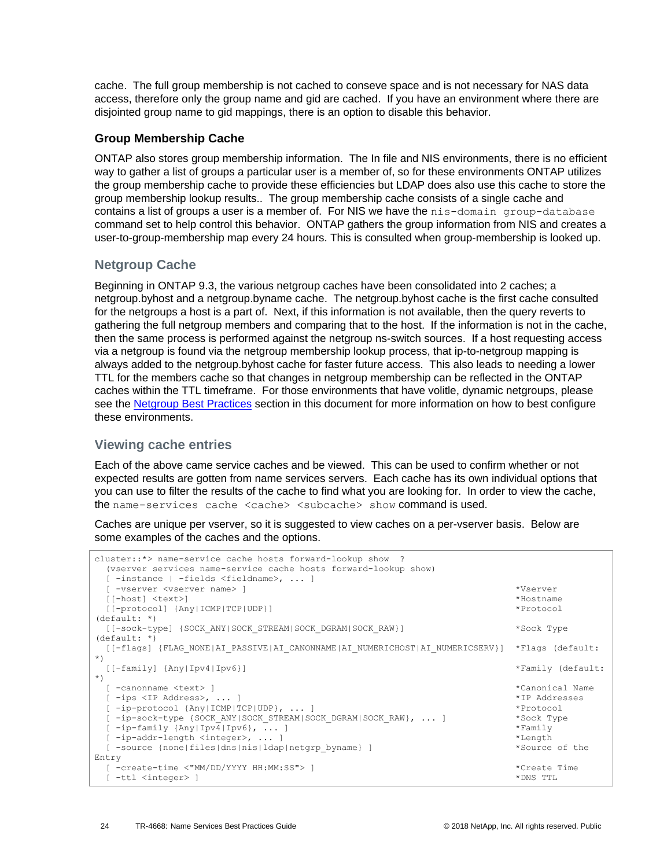cache. The full group membership is not cached to conseve space and is not necessary for NAS data access, therefore only the group name and gid are cached. If you have an environment where there are disjointed group name to gid mappings, there is an option to disable this behavior.

## **Group Membership Cache**

ONTAP also stores group membership information. The In file and NIS environments, there is no efficient way to gather a list of groups a particular user is a member of, so for these environments ONTAP utilizes the group membership cache to provide these efficiencies but LDAP does also use this cache to store the group membership lookup results.. The group membership cache consists of a single cache and contains a list of groups a user is a member of. For NIS we have the nis-domain group-database command set to help control this behavior. ONTAP gathers the group information from NIS and creates a user-to-group-membership map every 24 hours. This is consulted when group-membership is looked up.

## **Netgroup Cache**

Beginning in ONTAP 9.3, the various netgroup caches have been consolidated into 2 caches; a netgroup.byhost and a netgroup.byname cache. The netgroup.byhost cache is the first cache consulted for the netgroups a host is a part of. Next, if this information is not available, then the query reverts to gathering the full netgroup members and comparing that to the host. If the information is not in the cache, then the same process is performed against the netgroup ns-switch sources. If a host requesting access via a netgroup is found via the netgroup membership lookup process, that ip-to-netgroup mapping is always added to the netgroup.byhost cache for faster future access. This also leads to needing a lower TTL for the members cache so that changes in netgroup membership can be reflected in the ONTAP caches within the TTL timeframe. For those environments that have volitle, dynamic netgroups, please see the [Netgroup Best Practices](#page-39-0) section in this document for more information on how to best configure these environments.

## **Viewing cache entries**

Each of the above came service caches and be viewed. This can be used to confirm whether or not expected results are gotten from name services servers. Each cache has its own individual options that you can use to filter the results of the cache to find what you are looking for. In order to view the cache, the name-services cache <cache> <subcache> show command is used.

Caches are unique per vserver, so it is suggested to view caches on a per-vserver basis. Below are some examples of the caches and the options.

```
cluster::*> name-service cache hosts forward-lookup show ?
  (vserver services name-service cache hosts forward-lookup show)
  [ -instance | -fields <fieldname>, ... ]
  [ -vserver <vserver name> ] *Vserver
  [[-host] <text>] *Hostname
  [[-protocol] {Any|ICMP|TCP|UDP}] *Protocol 
(default: *)
  [[-sock-type] {SOCK_ANY|SOCK_STREAM|SOCK_DGRAM|SOCK_RAW}] *Sock Type 
(default: *)
  [[-flags] {FLAG_NONE|AI_PASSIVE|AI_CANONNAME|AI_NUMERICHOST|AI_NUMERICSERV}] *Flags (default: 
*)
  [[-family] {Any|Ipv4|Ipv6}] *Family (default: 
*)
  [ -canonname <text> ] *Canonical Name
 [-ips < IP & Address>, ...] [ -ip-protocol {Any|ICMP|TCP|UDP}, ... ] *Protocol
  [ -ip-sock-type {SOCK_ANY|SOCK_STREAM|SOCK_DGRAM|SOCK_RAW}, ... ] *Sock Type
  [ -ip-family {Any|Ipv4|Ipv6}, ... ] *Family
 [ -ip-addr-length <integer>, ... ] *Length
  [ -source {none|files|dns|nis|ldap|netgrp_byname} ] *Source of the 
Entry
  [ -create-time <"MM/DD/YYYY HH:MM:SS"> ] *Create Time
  [ -ttl <integer> ] *DNS TTL
```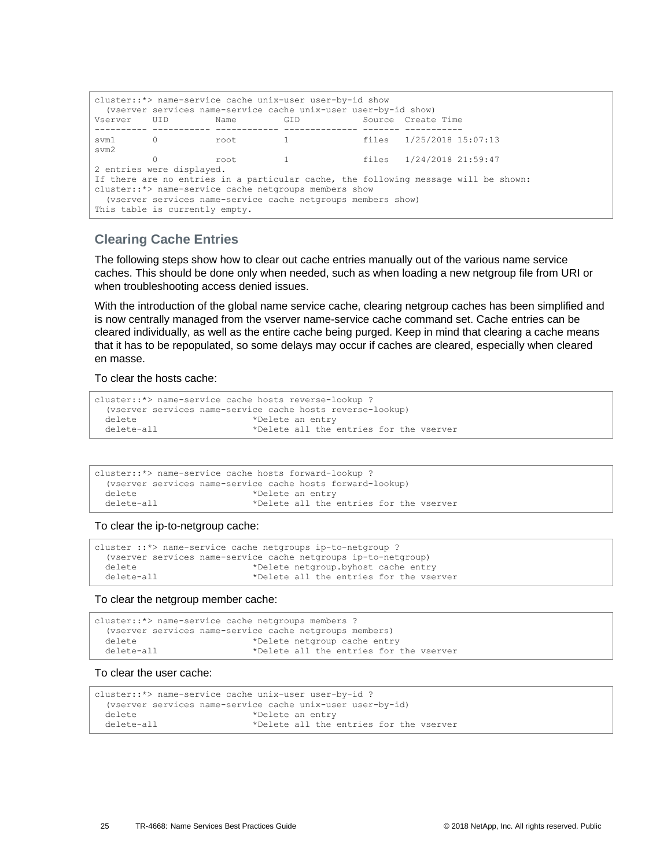| cluster::*> name-service cache unix-user user-by-id show<br>(vserver services name-service cache unix-user user-by-id show)                                                                                                                    |     |       |     |  |                              |
|------------------------------------------------------------------------------------------------------------------------------------------------------------------------------------------------------------------------------------------------|-----|-------|-----|--|------------------------------|
| Vserver                                                                                                                                                                                                                                        | UID | Name  | GID |  | Source Create Time           |
| svm1 0<br>svm2                                                                                                                                                                                                                                 |     | root  |     |  | 1 files 1/25/2018 15:07:13   |
|                                                                                                                                                                                                                                                |     | root. |     |  | 1 files $1/24/2018$ 21:59:47 |
| 2 entries were displayed.                                                                                                                                                                                                                      |     |       |     |  |                              |
| If there are no entries in a particular cache, the following message will be shown:<br>cluster::*> name-service cache netgroups members show<br>(vserver services name-service cache netgroups members show)<br>This table is currently empty. |     |       |     |  |                              |

### **Clearing Cache Entries**

The following steps show how to clear out cache entries manually out of the various name service caches. This should be done only when needed, such as when loading a new netgroup file from URI or when troubleshooting access denied issues.

With the introduction of the global name service cache, clearing netgroup caches has been simplified and is now centrally managed from the vserver name-service cache command set. Cache entries can be cleared individually, as well as the entire cache being purged. Keep in mind that clearing a cache means that it has to be repopulated, so some delays may occur if caches are cleared, especially when cleared en masse.

To clear the hosts cache:

```
cluster::*> name-service cache hosts reverse-lookup ?
  (vserver services name-service cache hosts reverse-lookup)
 delete *Delete an entry
  delete-all *Delete all the entries for the vserver
```

|            | cluster::*> name-service cache hosts forward-lookup ?      |  |
|------------|------------------------------------------------------------|--|
|            | (vserver services name-service cache hosts forward-lookup) |  |
| delete     | *Delete an entry                                           |  |
| delete-all | *Delete all the entries for the vserver                    |  |

To clear the ip-to-netgroup cache:

```
cluster ::*> name-service cache netgroups ip-to-netgroup ?
   (vserver services name-service cache netgroups ip-to-netgroup)
 delete *Delete netgroup.byhost cache entry<br>delete-all *Delete all the entries for the yse
                                 *Delete all the entries for the vserver
```
To clear the netgroup member cache:

```
cluster::*> name-service cache netgroups members ?
  (vserver services name-service cache netgroups members)
 delete *Delete netgroup cache entry
 delete-all \rightarrow *Delete all the entries for the vserver
```
#### To clear the user cache:

```
cluster::*> name-service cache unix-user user-by-id ?
  (vserver services name-service cache unix-user user-by-id)
 delete *Delete an entry
  delete-all *Delete all the entries for the vserver
```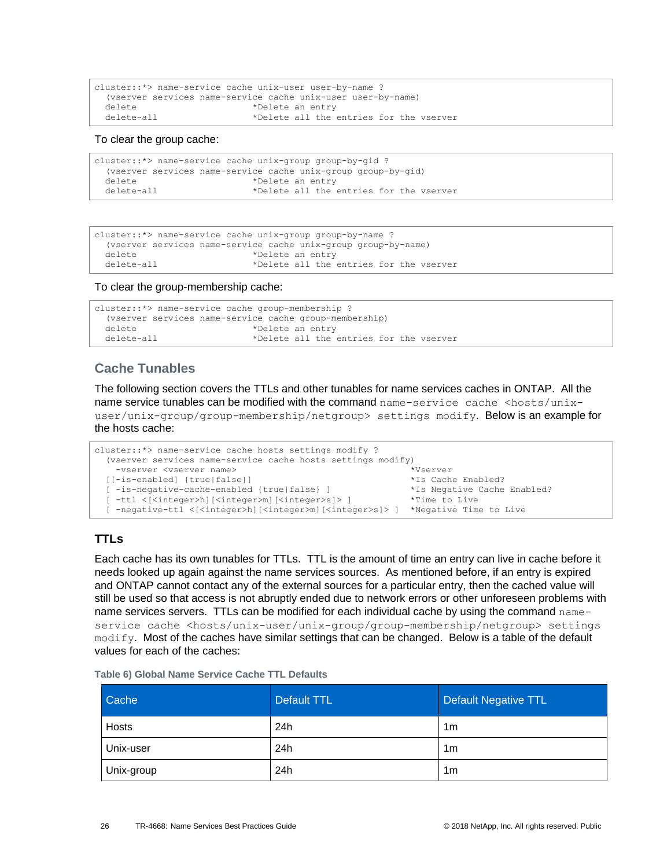```
cluster::*> name-service cache unix-user user-by-name ?
  (vserver services name-service cache unix-user user-by-name)
 delete *Delete an entry
  delete-all *Delete all the entries for the vserver
```
To clear the group cache:

```
cluster::*> name-service cache unix-group group-by-gid ?
  (vserver services name-service cache unix-group group-by-gid)
  delete *Delete an entry
  delete-all *Delete all the entries for the vserver
```

```
cluster::*> name-service cache unix-group group-by-name ?
   (vserver services name-service cache unix-group group-by-name)
 delete *Delete an entry<br>delete-all *Delete all the
                              *Delete all the entries for the vserver
```
To clear the group-membership cache:

```
cluster::*> name-service cache group-membership ?
  (vserver services name-service cache group-membership)
 delete \starDelete an entry
  delete-all *Delete all the entries for the vserver
```
## <span id="page-25-1"></span>**Cache Tunables**

The following section covers the TTLs and other tunables for name services caches in ONTAP. All the name service tunables can be modified with the command name-service cache <hosts/unixuser/unix-group/group-membership/netgroup> settings modify. Below is an example for the hosts cache:

```
cluster::*> name-service cache hosts settings modify ?
  (vserver services name-service cache hosts settings modify)
    -vserver <vserver name> *Vserver
  [[-is-enabled] {true|false}] *Is Cache Enabled?
  [ -is-negative-cache-enabled {true|false} ] *Is Negative Cache Enabled?
  [ -ttl <[<integer>h][<integer>m][<integer>s]> ] *Time to Live
  [ -negative-ttl <[<integer>h][<integer>m][<integer>s]> ] *Negative Time to Live
```
## <span id="page-25-2"></span>**TTLs**

Each cache has its own tunables for TTLs. TTL is the amount of time an entry can live in cache before it needs looked up again against the name services sources. As mentioned before, if an entry is expired and ONTAP cannot contact any of the external sources for a particular entry, then the cached value will still be used so that access is not abruptly ended due to network errors or other unforeseen problems with name services servers. TTLs can be modified for each individual cache by using the command nameservice cache <hosts/unix-user/unix-group/group-membership/netgroup> settings modify. Most of the caches have similar settings that can be changed. Below is a table of the default values for each of the caches:

<span id="page-25-0"></span>

|  |  |  |  |  |  | Table 6) Global Name Service Cache TTL Defaults |
|--|--|--|--|--|--|-------------------------------------------------|
|--|--|--|--|--|--|-------------------------------------------------|

| Cache      | Default TTL | Default Negative TTL |
|------------|-------------|----------------------|
| Hosts      | 24h         | 1m                   |
| Unix-user  | 24h         | 1m                   |
| Unix-group | 24h         | 1m                   |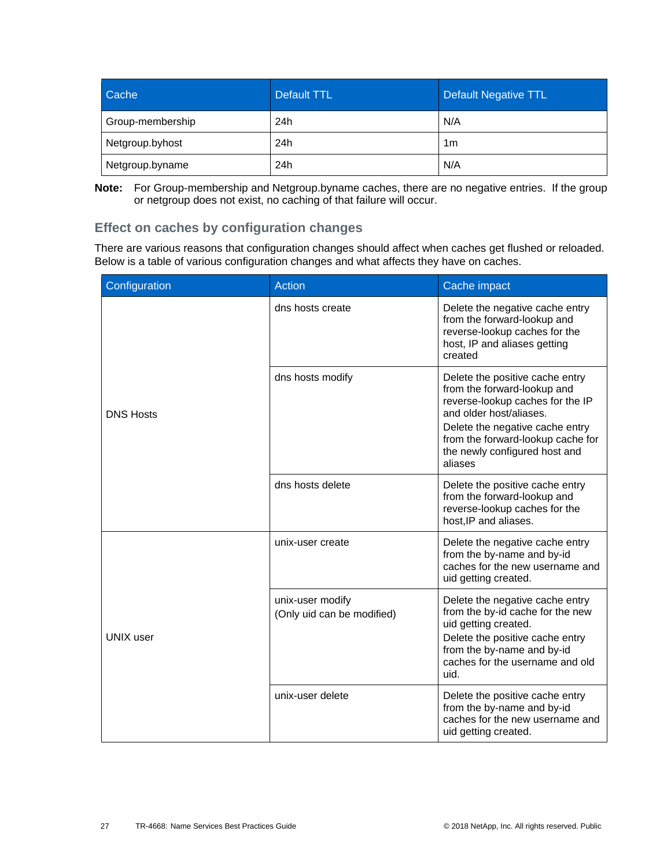| Cache            | Default TTL | Default Negative TTL |
|------------------|-------------|----------------------|
| Group-membership | 24h         | N/A                  |
| Netgroup.byhost  | 24h         | 1m                   |
| Netgroup.byname  | 24h         | N/A                  |

**Note:** For Group-membership and Netgroup.byname caches, there are no negative entries. If the group or netgroup does not exist, no caching of that failure will occur.

## **Effect on caches by configuration changes**

There are various reasons that configuration changes should affect when caches get flushed or reloaded. Below is a table of various configuration changes and what affects they have on caches.

| Configuration    | <b>Action</b>                                  | Cache impact                                                                                                                                                                                                                                      |
|------------------|------------------------------------------------|---------------------------------------------------------------------------------------------------------------------------------------------------------------------------------------------------------------------------------------------------|
| <b>DNS Hosts</b> | dns hosts create                               | Delete the negative cache entry<br>from the forward-lookup and<br>reverse-lookup caches for the<br>host, IP and aliases getting<br>created                                                                                                        |
|                  | dns hosts modify                               | Delete the positive cache entry<br>from the forward-lookup and<br>reverse-lookup caches for the IP<br>and older host/aliases.<br>Delete the negative cache entry<br>from the forward-lookup cache for<br>the newly configured host and<br>aliases |
|                  | dns hosts delete                               | Delete the positive cache entry<br>from the forward-lookup and<br>reverse-lookup caches for the<br>host, IP and aliases.                                                                                                                          |
| <b>UNIX</b> user | unix-user create                               | Delete the negative cache entry<br>from the by-name and by-id<br>caches for the new username and<br>uid getting created.                                                                                                                          |
|                  | unix-user modify<br>(Only uid can be modified) | Delete the negative cache entry<br>from the by-id cache for the new<br>uid getting created.<br>Delete the positive cache entry<br>from the by-name and by-id<br>caches for the username and old<br>uid.                                           |
|                  | unix-user delete                               | Delete the positive cache entry<br>from the by-name and by-id<br>caches for the new username and<br>uid getting created.                                                                                                                          |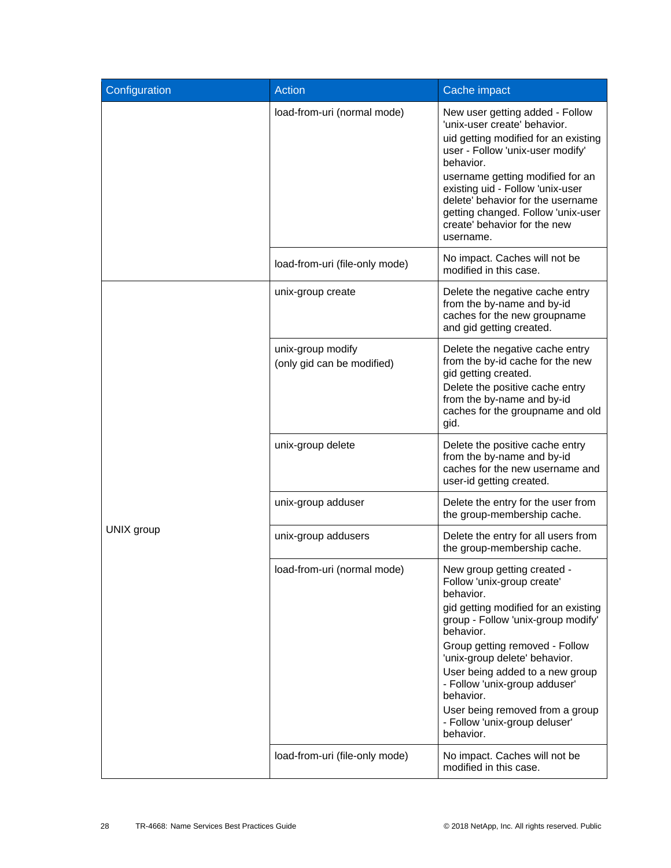| Configuration | <b>Action</b>                                   | Cache impact                                                                                                                                                                                                                                                                                                                                                                                         |
|---------------|-------------------------------------------------|------------------------------------------------------------------------------------------------------------------------------------------------------------------------------------------------------------------------------------------------------------------------------------------------------------------------------------------------------------------------------------------------------|
|               | load-from-uri (normal mode)                     | New user getting added - Follow<br>'unix-user create' behavior.<br>uid getting modified for an existing<br>user - Follow 'unix-user modify'<br>behavior.<br>username getting modified for an<br>existing uid - Follow 'unix-user<br>delete' behavior for the username<br>getting changed. Follow 'unix-user<br>create' behavior for the new<br>username.                                             |
|               | load-from-uri (file-only mode)                  | No impact. Caches will not be<br>modified in this case.                                                                                                                                                                                                                                                                                                                                              |
|               | unix-group create                               | Delete the negative cache entry<br>from the by-name and by-id<br>caches for the new groupname<br>and gid getting created.                                                                                                                                                                                                                                                                            |
|               | unix-group modify<br>(only gid can be modified) | Delete the negative cache entry<br>from the by-id cache for the new<br>gid getting created.<br>Delete the positive cache entry<br>from the by-name and by-id<br>caches for the groupname and old<br>gid.                                                                                                                                                                                             |
|               | unix-group delete                               | Delete the positive cache entry<br>from the by-name and by-id<br>caches for the new username and<br>user-id getting created.                                                                                                                                                                                                                                                                         |
|               | unix-group adduser                              | Delete the entry for the user from<br>the group-membership cache.                                                                                                                                                                                                                                                                                                                                    |
| UNIX group    | unix-group addusers                             | Delete the entry for all users from<br>the group-membership cache.                                                                                                                                                                                                                                                                                                                                   |
|               | load-from-uri (normal mode)                     | New group getting created<br>Follow 'unix-group create'<br>behavior.<br>gid getting modified for an existing<br>group - Follow 'unix-group modify'<br>behavior.<br>Group getting removed - Follow<br>'unix-group delete' behavior.<br>User being added to a new group<br>- Follow 'unix-group adduser'<br>behavior.<br>User being removed from a group<br>- Follow 'unix-group deluser'<br>behavior. |
|               | load-from-uri (file-only mode)                  | No impact. Caches will not be<br>modified in this case.                                                                                                                                                                                                                                                                                                                                              |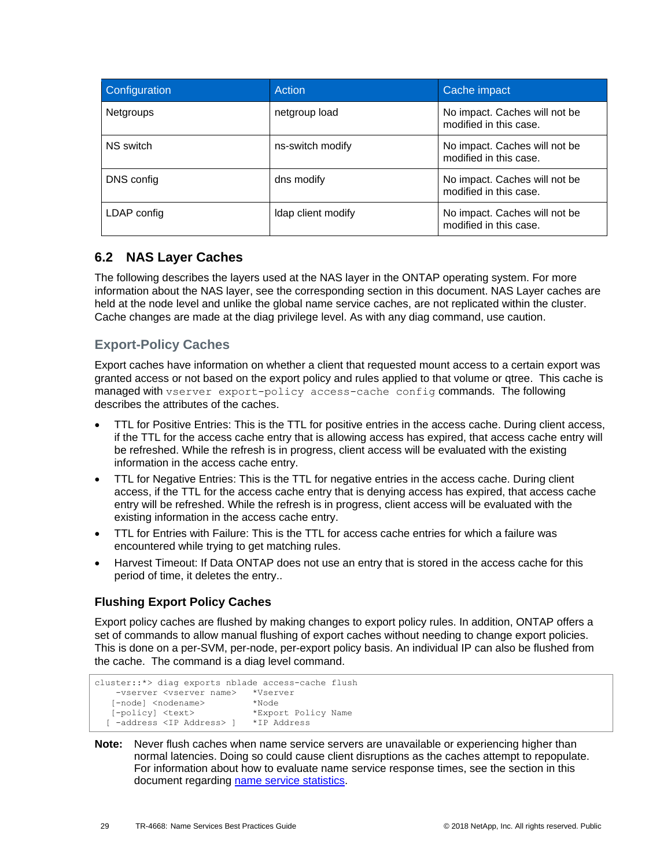| Configuration    | Action             | Cache impact                                            |
|------------------|--------------------|---------------------------------------------------------|
| <b>Netgroups</b> | netgroup load      | No impact. Caches will not be<br>modified in this case. |
| NS switch        | ns-switch modify   | No impact. Caches will not be<br>modified in this case. |
| DNS config       | dns modify         | No impact. Caches will not be<br>modified in this case. |
| LDAP config      | Idap client modify | No impact. Caches will not be<br>modified in this case. |

## <span id="page-28-0"></span>**6.2 NAS Layer Caches**

The following describes the layers used at the NAS layer in the ONTAP operating system. For more information about the NAS layer, see the corresponding section in this document. NAS Layer caches are held at the node level and unlike the global name service caches, are not replicated within the cluster. Cache changes are made at the diag privilege level. As with any diag command, use caution.

## **Export-Policy Caches**

Export caches have information on whether a client that requested mount access to a certain export was granted access or not based on the export policy and rules applied to that volume or qtree. This cache is managed with vserver export-policy access-cache config commands. The following describes the attributes of the caches.

- TTL for Positive Entries: This is the TTL for positive entries in the access cache. During client access, if the TTL for the access cache entry that is allowing access has expired, that access cache entry will be refreshed. While the refresh is in progress, client access will be evaluated with the existing information in the access cache entry.
- TTL for Negative Entries: This is the TTL for negative entries in the access cache. During client access, if the TTL for the access cache entry that is denying access has expired, that access cache entry will be refreshed. While the refresh is in progress, client access will be evaluated with the existing information in the access cache entry.
- TTL for Entries with Failure: This is the TTL for access cache entries for which a failure was encountered while trying to get matching rules.
- Harvest Timeout: If Data ONTAP does not use an entry that is stored in the access cache for this period of time, it deletes the entry..

## **Flushing Export Policy Caches**

Export policy caches are flushed by making changes to export policy rules. In addition, ONTAP offers a set of commands to allow manual flushing of export caches without needing to change export policies. This is done on a per-SVM, per-node, per-export policy basis. An individual IP can also be flushed from the cache. The command is a diag level command.

```
cluster::*> diag exports nblade access-cache flush 
    -vserver <vserver name> *Vserver
   [-node] <nodename> *Node<br>[-policy] <text> *Expo:
                                *Export Policy Name
   [ -address <IP Address> ] *IP Address
```
**Note:** Never flush caches when name service servers are unavailable or experiencing higher than normal latencies. Doing so could cause client disruptions as the caches attempt to repopulate. For information about how to evaluate name service response times, see the section in this document regarding [name service statistics.](#page-43-0)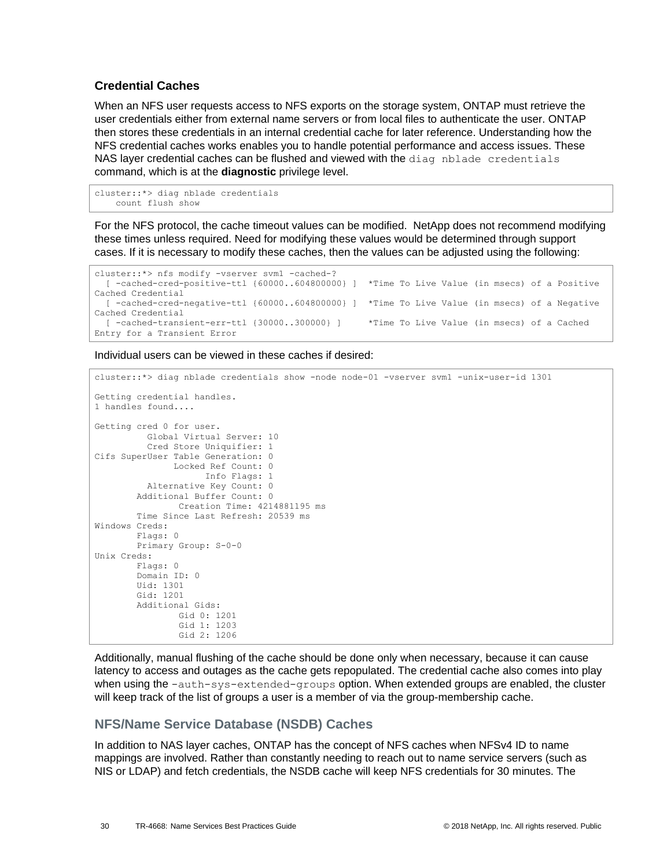### **Credential Caches**

When an NFS user requests access to NFS exports on the storage system, ONTAP must retrieve the user credentials either from external name servers or from local files to authenticate the user. ONTAP then stores these credentials in an internal credential cache for later reference. Understanding how the NFS credential caches works enables you to handle potential performance and access issues. These NAS layer credential caches can be flushed and viewed with the diag nblade credentials command, which is at the **diagnostic** privilege level.

```
cluster::*> diag nblade credentials
    count flush show
```
For the NFS protocol, the cache timeout values can be modified. NetApp does not recommend modifying these times unless required. Need for modifying these values would be determined through support cases. If it is necessary to modify these caches, then the values can be adjusted using the following:

```
cluster::*> nfs modify -vserver svm1 -cached-?
   [ -cached-cred-positive-ttl {60000..604800000} ] *Time To Live Value (in msecs) of a Positive 
Cached Credential
   [ -cached-cred-negative-ttl {60000..604800000} ] *Time To Live Value (in msecs) of a Negative 
Cached Credential
  [ -cached-transient-err-ttl {30000..300000} ] *Time To Live Value (in msecs) of a Cached 
Entry for a Transient Error
```
Individual users can be viewed in these caches if desired:

```
cluster::*> diag nblade credentials show -node node-01 -vserver svm1 -unix-user-id 1301
Getting credential handles.
1 handles found....
Getting cred 0 for user.
          Global Virtual Server: 10
          Cred Store Uniquifier: 1
Cifs SuperUser Table Generation: 0
              Locked Ref Count: 0
                     Info Flags: 1
          Alternative Key Count: 0
        Additional Buffer Count: 0
                Creation Time: 4214881195 ms
        Time Since Last Refresh: 20539 ms
Windows Creds:
        Flags: 0
        Primary Group: S-0-0
Unix Creds:
       Flags: 0
        Domain ID: 0
        Uid: 1301
        Gid: 1201
        Additional Gids:
                 Gid 0: 1201
                 Gid 1: 1203
                Gid 2: 1206
```
Additionally, manual flushing of the cache should be done only when necessary, because it can cause latency to access and outages as the cache gets repopulated. The credential cache also comes into play when using the -auth-sys-extended-groups option. When extended groups are enabled, the cluster will keep track of the list of groups a user is a member of via the group-membership cache.

## **NFS/Name Service Database (NSDB) Caches**

In addition to NAS layer caches, ONTAP has the concept of NFS caches when NFSv4 ID to name mappings are involved. Rather than constantly needing to reach out to name service servers (such as NIS or LDAP) and fetch credentials, the NSDB cache will keep NFS credentials for 30 minutes. The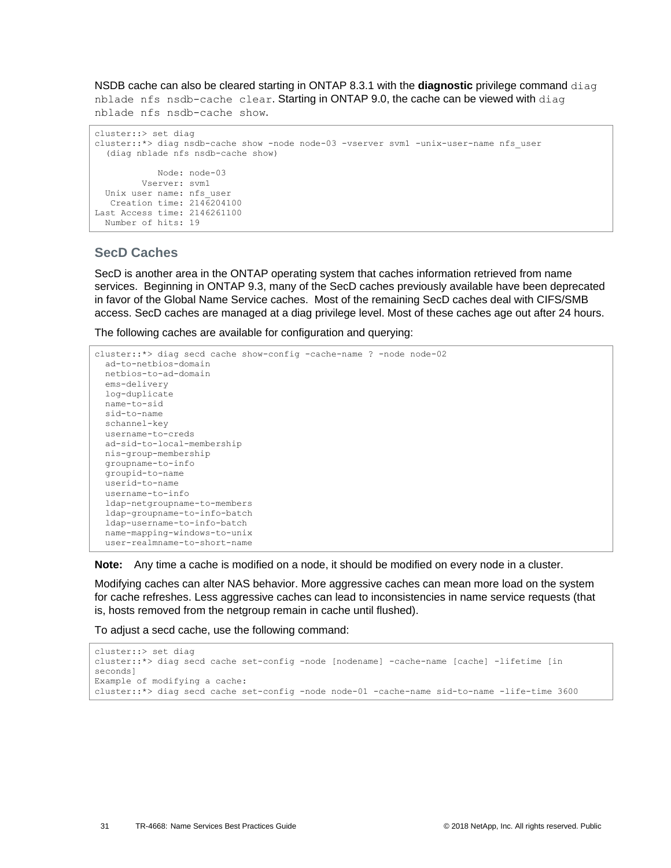NSDB cache can also be cleared starting in ONTAP 8.3.1 with the **diagnostic** privilege command diag nblade nfs nsdb-cache clear. Starting in ONTAP 9.0, the cache can be viewed with diag nblade nfs nsdb-cache show.

```
cluster::> set diag
cluster::*> diag nsdb-cache show -node node-03 -vserver svm1 -unix-user-name nfs_user
   (diag nblade nfs nsdb-cache show)
            Node: node-03
         Vserver: svm1
  Unix user name: nfs_user
   Creation time: 2146204100
Last Access time: 2146261100
  Number of hits: 19
```
### **SecD Caches**

SecD is another area in the ONTAP operating system that caches information retrieved from name services. Beginning in ONTAP 9.3, many of the SecD caches previously available have been deprecated in favor of the Global Name Service caches. Most of the remaining SecD caches deal with CIFS/SMB access. SecD caches are managed at a diag privilege level. Most of these caches age out after 24 hours.

The following caches are available for configuration and querying:

```
cluster::*> diag secd cache show-config -cache-name ? -node node-02
   ad-to-netbios-domain
  netbios-to-ad-domain
   ems-delivery
  log-duplicate
   name-to-sid
  sid-to-name
  schannel-key
  username-to-creds
  ad-sid-to-local-membership
  nis-group-membership
  groupname-to-info
   groupid-to-name
  userid-to-name
  username-to-info
   ldap-netgroupname-to-members
  ldap-groupname-to-info-batch
  ldap-username-to-info-batch
  name-mapping-windows-to-unix
  user-realmname-to-short-name
```
**Note:** Any time a cache is modified on a node, it should be modified on every node in a cluster.

Modifying caches can alter NAS behavior. More aggressive caches can mean more load on the system for cache refreshes. Less aggressive caches can lead to inconsistencies in name service requests (that is, hosts removed from the netgroup remain in cache until flushed).

To adjust a secd cache, use the following command:

```
cluster::> set diag
cluster::*> diag secd cache set-config -node [nodename] -cache-name [cache] -lifetime [in 
seconds]
Example of modifying a cache:
cluster::*> diag secd cache set-config -node node-01 -cache-name sid-to-name -life-time 3600
```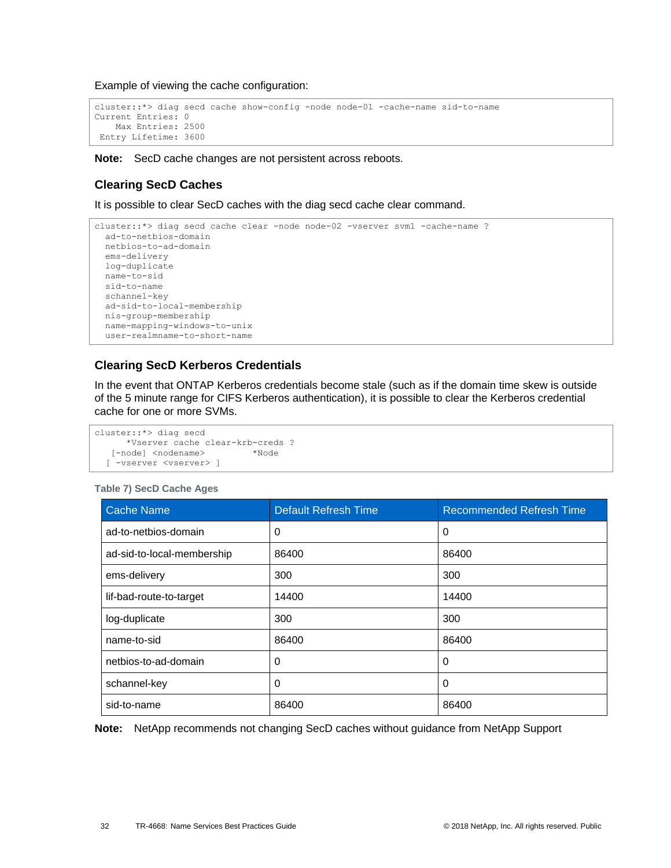Example of viewing the cache configuration:

```
cluster::*> diag secd cache show-config -node node-01 -cache-name sid-to-name
Current Entries: 0
    Max Entries: 2500
Entry Lifetime: 3600
```
**Note:** SecD cache changes are not persistent across reboots.

### **Clearing SecD Caches**

It is possible to clear SecD caches with the diag secd cache clear command.

```
cluster::*> diag secd cache clear -node node-02 -vserver svm1 -cache-name ?
   ad-to-netbios-domain
  netbios-to-ad-domain
  ems-delivery
  log-duplicate
  name-to-sid
  sid-to-name
  schannel-key
  ad-sid-to-local-membership
  nis-group-membership
  name-mapping-windows-to-unix
  user-realmname-to-short-name
```
## **Clearing SecD Kerberos Credentials**

In the event that ONTAP Kerberos credentials become stale (such as if the domain time skew is outside of the 5 minute range for CIFS Kerberos authentication), it is possible to clear the Kerberos credential cache for one or more SVMs.

```
cluster::*> diag secd
      *Vserver cache clear-krb-creds ?
   [-node] <nodename> *Node
  [ -vserver <vserver> ]
```
#### <span id="page-31-0"></span>**Table 7) SecD Cache Ages**

| <b>Cache Name</b>          | <b>Default Refresh Time</b> | <b>Recommended Refresh Time</b> |
|----------------------------|-----------------------------|---------------------------------|
| ad-to-netbios-domain       | 0                           | 0                               |
| ad-sid-to-local-membership | 86400                       | 86400                           |
| ems-delivery               | 300                         | 300                             |
| lif-bad-route-to-target    | 14400                       | 14400                           |
| log-duplicate              | 300                         | 300                             |
| name-to-sid                | 86400                       | 86400                           |
| netbios-to-ad-domain       | 0                           | 0                               |
| schannel-key               | 0                           | 0                               |
| sid-to-name                | 86400                       | 86400                           |

**Note:** NetApp recommends not changing SecD caches without guidance from NetApp Support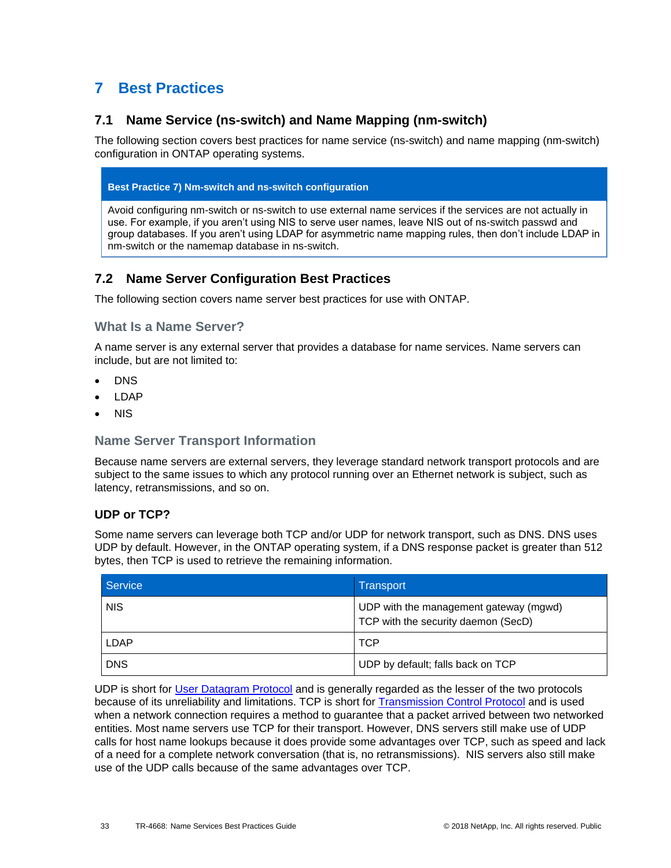# <span id="page-32-0"></span>**7 Best Practices**

## <span id="page-32-1"></span>**7.1 Name Service (ns-switch) and Name Mapping (nm-switch)**

The following section covers best practices for name service (ns-switch) and name mapping (nm-switch) configuration in ONTAP operating systems.

### **Best Practice 7) Nm-switch and ns-switch configuration**

Avoid configuring nm-switch or ns-switch to use external name services if the services are not actually in use. For example, if you aren't using NIS to serve user names, leave NIS out of ns-switch passwd and group databases. If you aren't using LDAP for asymmetric name mapping rules, then don't include LDAP in nm-switch or the namemap database in ns-switch.

## <span id="page-32-2"></span>**7.2 Name Server Configuration Best Practices**

The following section covers name server best practices for use with ONTAP.

### **What Is a Name Server?**

A name server is any external server that provides a database for name services. Name servers can include, but are not limited to:

- DNS
- LDAP
- NIS

## **Name Server Transport Information**

Because name servers are external servers, they leverage standard network transport protocols and are subject to the same issues to which any protocol running over an Ethernet network is subject, such as latency, retransmissions, and so on.

## **UDP or TCP?**

Some name servers can leverage both TCP and/or UDP for network transport, such as DNS. DNS uses UDP by default. However, in the ONTAP operating system, if a DNS response packet is greater than 512 bytes, then TCP is used to retrieve the remaining information.

| Service     | <b>Transport</b>                                                              |
|-------------|-------------------------------------------------------------------------------|
| <b>NIS</b>  | UDP with the management gateway (mgwd)<br>TCP with the security daemon (SecD) |
| <b>LDAP</b> | <b>TCP</b>                                                                    |
| <b>DNS</b>  | UDP by default; falls back on TCP                                             |

UDP is short for [User Datagram Protocol](https://en.wikipedia.org/wiki/User_Datagram_Protocol) and is generally regarded as the lesser of the two protocols because of its unreliability and limitations. TCP is short for [Transmission Control Protocol](https://en.wikipedia.org/wiki/Transmission_Control_Protocol) and is used when a network connection requires a method to guarantee that a packet arrived between two networked entities. Most name servers use TCP for their transport. However, DNS servers still make use of UDP calls for host name lookups because it does provide some advantages over TCP, such as speed and lack of a need for a complete network conversation (that is, no retransmissions). NIS servers also still make use of the UDP calls because of the same advantages over TCP.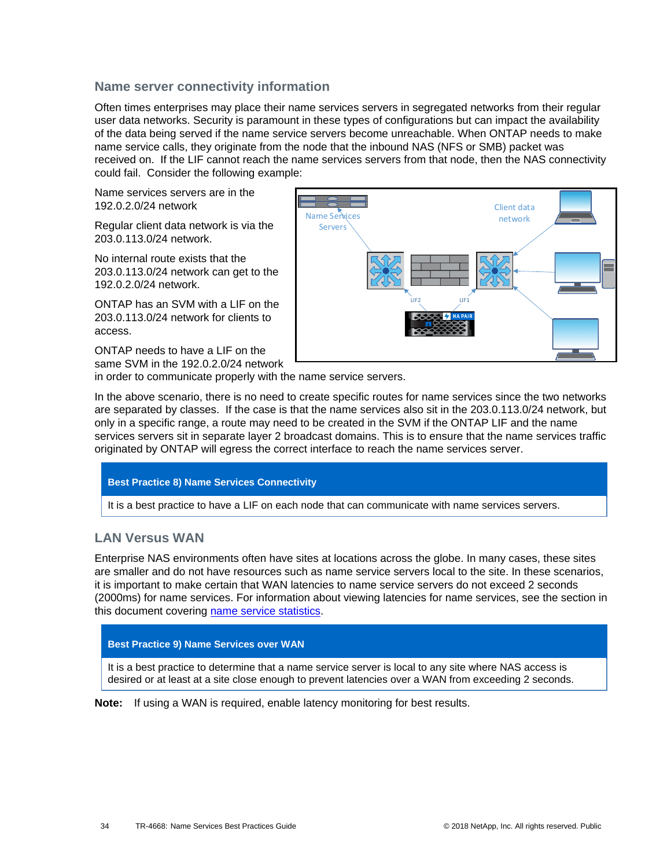### **Name server connectivity information**

Often times enterprises may place their name services servers in segregated networks from their regular user data networks. Security is paramount in these types of configurations but can impact the availability of the data being served if the name service servers become unreachable. When ONTAP needs to make name service calls, they originate from the node that the inbound NAS (NFS or SMB) packet was received on. If the LIF cannot reach the name services servers from that node, then the NAS connectivity could fail. Consider the following example:

Name services servers are in the 192.0.2.0/24 network

Regular client data network is via the 203.0.113.0/24 network.

No internal route exists that the 203.0.113.0/24 network can get to the 192.0.2.0/24 network.

ONTAP has an SVM with a LIF on the 203.0.113.0/24 network for clients to access.

ONTAP needs to have a LIF on the same SVM in the 192.0.2.0/24 network



in order to communicate properly with the name service servers.

In the above scenario, there is no need to create specific routes for name services since the two networks are separated by classes. If the case is that the name services also sit in the 203.0.113.0/24 network, but only in a specific range, a route may need to be created in the SVM if the ONTAP LIF and the name services servers sit in separate layer 2 broadcast domains. This is to ensure that the name services traffic originated by ONTAP will egress the correct interface to reach the name services server.

### **Best Practice 8) Name Services Connectivity**

It is a best practice to have a LIF on each node that can communicate with name services servers.

## **LAN Versus WAN**

Enterprise NAS environments often have sites at locations across the globe. In many cases, these sites are smaller and do not have resources such as name service servers local to the site. In these scenarios, it is important to make certain that WAN latencies to name service servers do not exceed 2 seconds (2000ms) for name services. For information about viewing latencies for name services, see the section in this document covering [name service statistics.](#page-43-0)

#### **Best Practice 9) Name Services over WAN**

It is a best practice to determine that a name service server is local to any site where NAS access is desired or at least at a site close enough to prevent latencies over a WAN from exceeding 2 seconds.

**Note:** If using a WAN is required, enable latency monitoring for best results.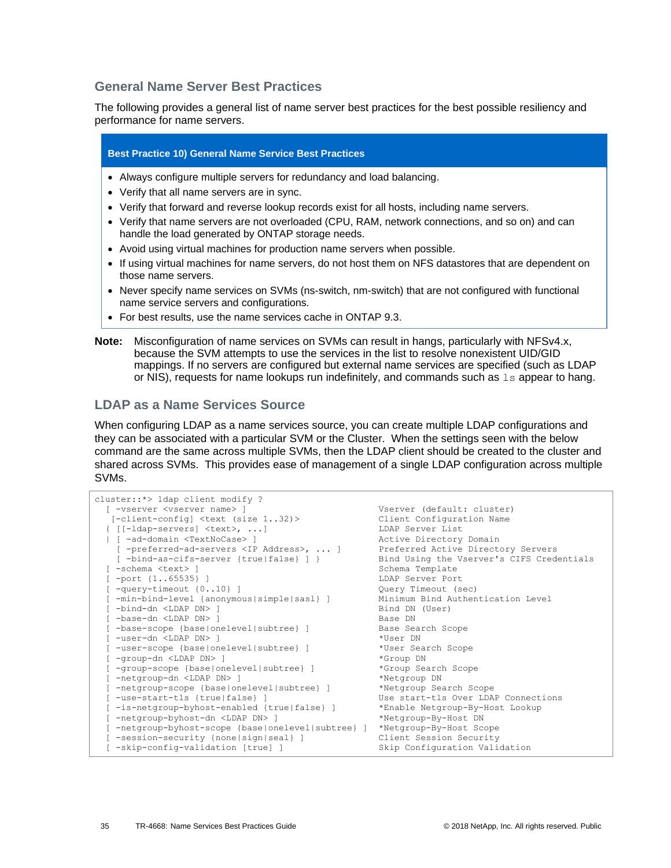### **General Name Server Best Practices**

The following provides a general list of name server best practices for the best possible resiliency and performance for name servers.

#### **Best Practice 10) General Name Service Best Practices**

- Always configure multiple servers for redundancy and load balancing.
- Verify that all name servers are in sync.
- Verify that forward and reverse lookup records exist for all hosts, including name servers.
- Verify that name servers are not overloaded (CPU, RAM, network connections, and so on) and can handle the load generated by ONTAP storage needs.
- Avoid using virtual machines for production name servers when possible.
- If using virtual machines for name servers, do not host them on NFS datastores that are dependent on those name servers.
- Never specify name services on SVMs (ns-switch, nm-switch) that are not configured with functional name service servers and configurations.
- For best results, use the name services cache in ONTAP 9.3.
- **Note:** Misconfiguration of name services on SVMs can result in hangs, particularly with NFSv4.x, because the SVM attempts to use the services in the list to resolve nonexistent UID/GID mappings. If no servers are configured but external name services are specified (such as LDAP or NIS), requests for name lookups run indefinitely, and commands such as  $1s$  appear to hang.

### **LDAP as a Name Services Source**

When configuring LDAP as a name services source, you can create multiple LDAP configurations and they can be associated with a particular SVM or the Cluster. When the settings seen with the below command are the same across multiple SVMs, then the LDAP client should be created to the cluster and shared across SVMs. This provides ease of management of a single LDAP configuration across multiple SVMs.

```
cluster::*> ldap client modify ?
 [ -vserver <vserver name> ] Vserver (default: cluster)
 [-client-config] <text (size 1..32)> Client Configuration Name
 { [[-ldap-servers] <text>, ...] LDAP Server List
 | [ -ad-domain <TextNoCase> ] Active Directory Domain
 [ -preferred-ad-servers <IP Address>, ... ] Preferred Active Directory Servers
 [ -bind-as-cifs-server {true|false} ] } Bind Using the Vserver's CIFS Credentials
 [ -schema <text> ] Schema Template
 [ -port {1..65535} ] LDAP Server Port
 ]<br>
[ -query-timeout (0..10) ]              Query Timeout (sec)<br>
[ -min-bind-level (anonymous|simple|sasl} ]      Minimum Bind Authentication Level
 [ -min-bind-level {anonymous|simple|sasl} ] Minimum Bind Authentication CDAP DN> ] Bind DN (User)<br>[ -base-dn <LDAP DN> ] Base DN Base DN
  -bind-dn <LDAP DN> ]
  -base-dn <LDAP DN> ]<br>-base-scope {base|onelevel|subtree} ]               Base Search Scope
  [ -base-scope {base|onelevel|subtree} ] Base Search Scope
  [ -user-dn <LDAP DN> ]
  -user-scope {base|onelevel|subtree} ]
 [ -group-dn <LDAP DN> ] *Group DN
 [ -group-scope {base|onelevel|subtree} ] *Group Search Scope
 [ -netgroup-dn <LDAP DN> ] *Netgroup DN
 [ -netgroup-scope {base|onelevel|subtree} ] *Netgroup Search Scope
 [ -use-start-tls {true|false} ] Use start-tls Over LDAP Connections
 [ -is-netgroup-byhost-enabled {true|false} ] *Enable Netgroup-By-Host Lookup
 [ -netgroup-byhost-dn <LDAP DN> ] *Netgroup-By-Host DN
  [ -netgroup-byhost-scope {base|onelevel|subtree} ] *Netgroup-By-Host Scope
 [ -session-security {none|sign|seal} ] Client Session Security
 [ -skip-config-validation [true] ] Skip Configuration Validation
```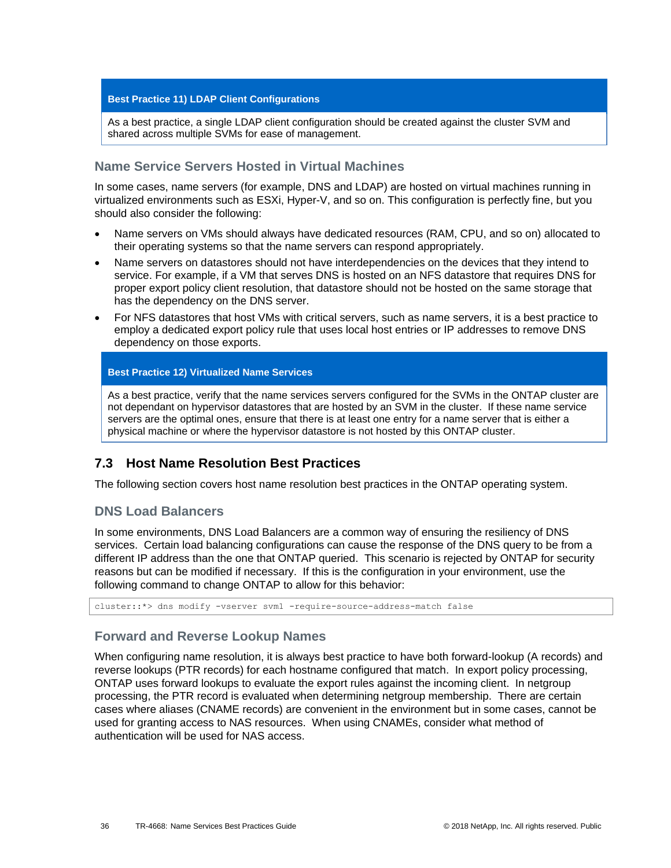#### **Best Practice 11) LDAP Client Configurations**

As a best practice, a single LDAP client configuration should be created against the cluster SVM and shared across multiple SVMs for ease of management.

### **Name Service Servers Hosted in Virtual Machines**

In some cases, name servers (for example, DNS and LDAP) are hosted on virtual machines running in virtualized environments such as ESXi, Hyper-V, and so on. This configuration is perfectly fine, but you should also consider the following:

- Name servers on VMs should always have dedicated resources (RAM, CPU, and so on) allocated to their operating systems so that the name servers can respond appropriately.
- Name servers on datastores should not have interdependencies on the devices that they intend to service. For example, if a VM that serves DNS is hosted on an NFS datastore that requires DNS for proper export policy client resolution, that datastore should not be hosted on the same storage that has the dependency on the DNS server.
- For NFS datastores that host VMs with critical servers, such as name servers, it is a best practice to employ a dedicated export policy rule that uses local host entries or IP addresses to remove DNS dependency on those exports.

#### **Best Practice 12) Virtualized Name Services**

As a best practice, verify that the name services servers configured for the SVMs in the ONTAP cluster are not dependant on hypervisor datastores that are hosted by an SVM in the cluster. If these name service servers are the optimal ones, ensure that there is at least one entry for a name server that is either a physical machine or where the hypervisor datastore is not hosted by this ONTAP cluster.

## <span id="page-35-0"></span>**7.3 Host Name Resolution Best Practices**

The following section covers host name resolution best practices in the ONTAP operating system.

## **DNS Load Balancers**

In some environments, DNS Load Balancers are a common way of ensuring the resiliency of DNS services. Certain load balancing configurations can cause the response of the DNS query to be from a different IP address than the one that ONTAP queried. This scenario is rejected by ONTAP for security reasons but can be modified if necessary. If this is the configuration in your environment, use the following command to change ONTAP to allow for this behavior:

cluster::\*> dns modify -vserver svm1 -require-source-address-match false

### **Forward and Reverse Lookup Names**

When configuring name resolution, it is always best practice to have both forward-lookup (A records) and reverse lookups (PTR records) for each hostname configured that match. In export policy processing, ONTAP uses forward lookups to evaluate the export rules against the incoming client. In netgroup processing, the PTR record is evaluated when determining netgroup membership. There are certain cases where aliases (CNAME records) are convenient in the environment but in some cases, cannot be used for granting access to NAS resources. When using CNAMEs, consider what method of authentication will be used for NAS access.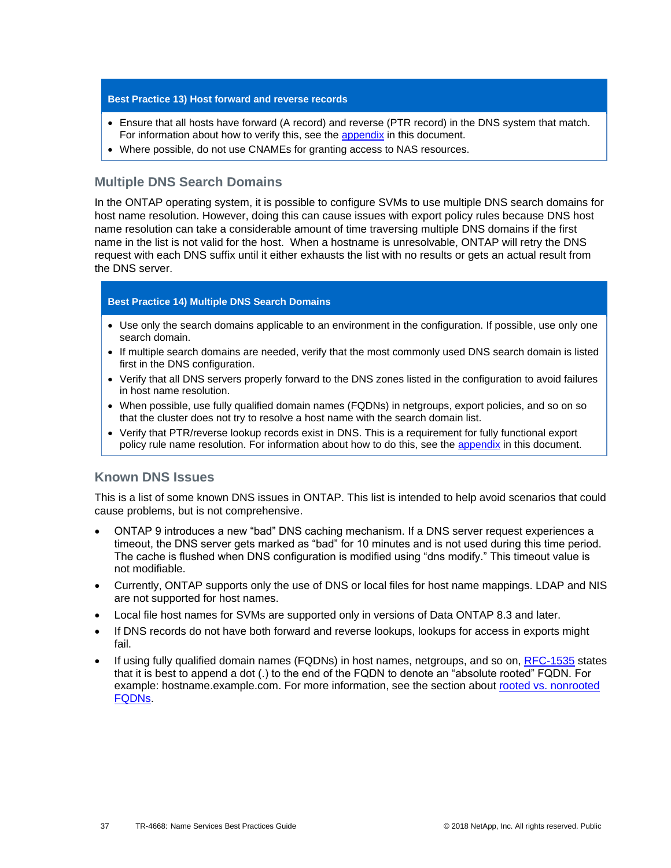#### **Best Practice 13) Host forward and reverse records**

- Ensure that all hosts have forward (A record) and reverse (PTR record) in the DNS system that match. For information about how to verify this, see the [appendix](#page-52-0) in this document.
- Where possible, do not use CNAMEs for granting access to NAS resources.

### **Multiple DNS Search Domains**

In the ONTAP operating system, it is possible to configure SVMs to use multiple DNS search domains for host name resolution. However, doing this can cause issues with export policy rules because DNS host name resolution can take a considerable amount of time traversing multiple DNS domains if the first name in the list is not valid for the host. When a hostname is unresolvable, ONTAP will retry the DNS request with each DNS suffix until it either exhausts the list with no results or gets an actual result from the DNS server.

#### **Best Practice 14) Multiple DNS Search Domains**

- Use only the search domains applicable to an environment in the configuration. If possible, use only one search domain.
- If multiple search domains are needed, verify that the most commonly used DNS search domain is listed first in the DNS configuration.
- Verify that all DNS servers properly forward to the DNS zones listed in the configuration to avoid failures in host name resolution.
- When possible, use fully qualified domain names (FQDNs) in netgroups, export policies, and so on so that the cluster does not try to resolve a host name with the search domain list.
- Verify that PTR/reverse lookup records exist in DNS. This is a requirement for fully functional export policy rule name resolution. For information about how to do this, see the [appendix](#page-52-0) in this document.

### **Known DNS Issues**

This is a list of some known DNS issues in ONTAP. This list is intended to help avoid scenarios that could cause problems, but is not comprehensive.

- ONTAP 9 introduces a new "bad" DNS caching mechanism. If a DNS server request experiences a timeout, the DNS server gets marked as "bad" for 10 minutes and is not used during this time period. The cache is flushed when DNS configuration is modified using "dns modify." This timeout value is not modifiable.
- Currently, ONTAP supports only the use of DNS or local files for host name mappings. LDAP and NIS are not supported for host names.
- Local file host names for SVMs are supported only in versions of Data ONTAP 8.3 and later.
- If DNS records do not have both forward and reverse lookups, lookups for access in exports might fail.
- If using fully qualified domain names (FQDNs) in host names, netgroups, and so on, [RFC-1535](http://www.ietf.org/rfc/rfc1535.txt) states that it is best to append a dot (.) to the end of the FQDN to denote an "absolute rooted" FQDN. For example: hostname.example.com. For more information, see the section about [rooted vs. nonrooted](#page-43-0)  [FQDNs.](#page-43-0)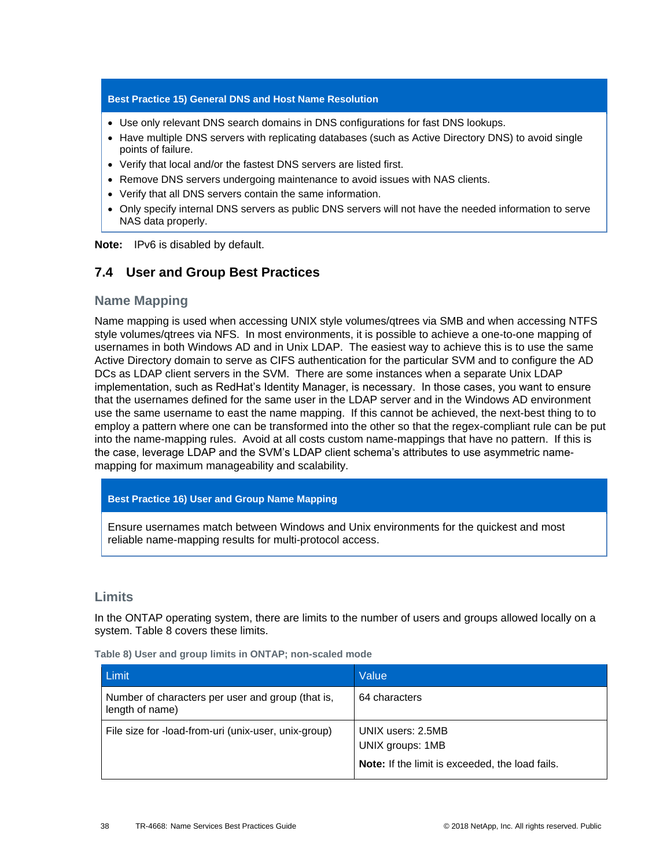#### **Best Practice 15) General DNS and Host Name Resolution**

- Use only relevant DNS search domains in DNS configurations for fast DNS lookups.
- Have multiple DNS servers with replicating databases (such as Active Directory DNS) to avoid single points of failure.
- Verify that local and/or the fastest DNS servers are listed first.
- Remove DNS servers undergoing maintenance to avoid issues with NAS clients.
- Verify that all DNS servers contain the same information.
- Only specify internal DNS servers as public DNS servers will not have the needed information to serve NAS data properly.

**Note:** IPv6 is disabled by default.

## <span id="page-37-0"></span>**7.4 User and Group Best Practices**

### **Name Mapping**

Name mapping is used when accessing UNIX style volumes/qtrees via SMB and when accessing NTFS style volumes/qtrees via NFS. In most environments, it is possible to achieve a one-to-one mapping of usernames in both Windows AD and in Unix LDAP. The easiest way to achieve this is to use the same Active Directory domain to serve as CIFS authentication for the particular SVM and to configure the AD DCs as LDAP client servers in the SVM. There are some instances when a separate Unix LDAP implementation, such as RedHat's Identity Manager, is necessary. In those cases, you want to ensure that the usernames defined for the same user in the LDAP server and in the Windows AD environment use the same username to east the name mapping. If this cannot be achieved, the next-best thing to to employ a pattern where one can be transformed into the other so that the regex-compliant rule can be put into the name-mapping rules. Avoid at all costs custom name-mappings that have no pattern. If this is the case, leverage LDAP and the SVM's LDAP client schema's attributes to use asymmetric namemapping for maximum manageability and scalability.

#### **Best Practice 16) User and Group Name Mapping**

Ensure usernames match between Windows and Unix environments for the quickest and most reliable name-mapping results for multi-protocol access.

### **Limits**

In the ONTAP operating system, there are limits to the number of users and groups allowed locally on a system. [Table 8](#page-37-1) covers these limits.

<span id="page-37-1"></span>

|  |  |  |  |  |  |  |  | Table 8) User and group limits in ONTAP; non-scaled mode |  |
|--|--|--|--|--|--|--|--|----------------------------------------------------------|--|
|--|--|--|--|--|--|--|--|----------------------------------------------------------|--|

| Limit                                                                | Value                                                  |
|----------------------------------------------------------------------|--------------------------------------------------------|
| Number of characters per user and group (that is,<br>length of name) | 64 characters                                          |
| File size for -load-from-uri (unix-user, unix-group)                 | UNIX users: 2.5MB<br>UNIX groups: 1MB                  |
|                                                                      | <b>Note:</b> If the limit is exceeded, the load fails. |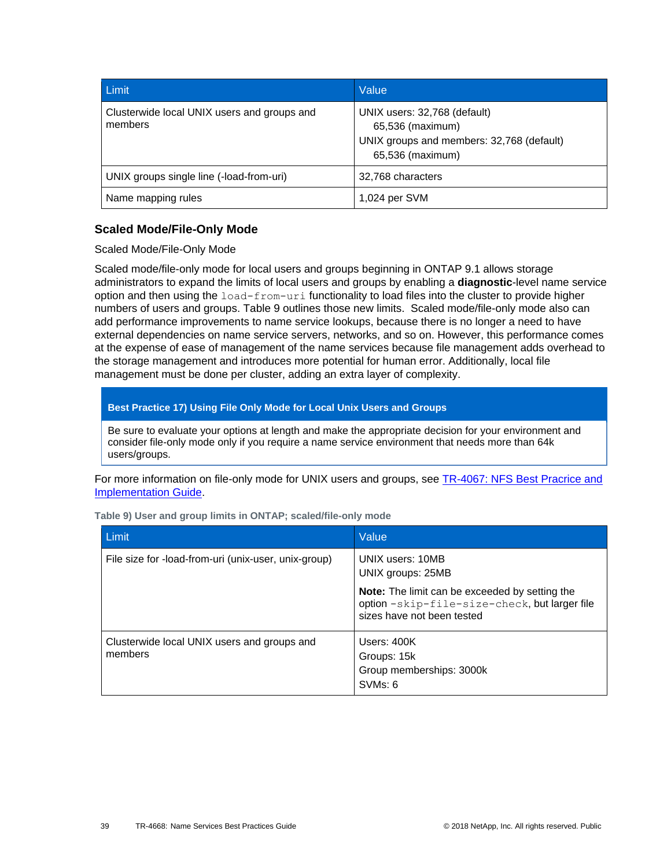| Limit                                                  | Value                                                                                                             |
|--------------------------------------------------------|-------------------------------------------------------------------------------------------------------------------|
| Clusterwide local UNIX users and groups and<br>members | UNIX users: 32,768 (default)<br>65,536 (maximum)<br>UNIX groups and members: 32,768 (default)<br>65,536 (maximum) |
| UNIX groups single line (-load-from-uri)               | 32,768 characters                                                                                                 |
| Name mapping rules                                     | 1,024 per SVM                                                                                                     |

## <span id="page-38-1"></span>**Scaled Mode/File-Only Mode**

Scaled Mode/File-Only Mode

Scaled mode/file-only mode for local users and groups beginning in ONTAP 9.1 allows storage administrators to expand the limits of local users and groups by enabling a **diagnostic**-level name service option and then using the load-from-uri functionality to load files into the cluster to provide higher numbers of users and groups. [Table 9](#page-38-0) outlines those new limits. Scaled mode/file-only mode also can add performance improvements to name service lookups, because there is no longer a need to have external dependencies on name service servers, networks, and so on. However, this performance comes at the expense of ease of management of the name services because file management adds overhead to the storage management and introduces more potential for human error. Additionally, local file management must be done per cluster, adding an extra layer of complexity.

### **Best Practice 17) Using File Only Mode for Local Unix Users and Groups**

Be sure to evaluate your options at length and make the appropriate decision for your environment and consider file-only mode only if you require a name service environment that needs more than 64k users/groups.

For more information on file-only mode for UNIX users and groups, see TR-4067: NFS Best Pracrice and [Implementation Guide.](http://www.netapp.com/us/media/tr-4067.pdf)

| <b>Limit</b>                                           | Value                                                                                                                                |  |
|--------------------------------------------------------|--------------------------------------------------------------------------------------------------------------------------------------|--|
| File size for -load-from-uri (unix-user, unix-group)   | UNIX users: 10MB<br>UNIX groups: 25MB                                                                                                |  |
|                                                        | <b>Note:</b> The limit can be exceeded by setting the<br>option -skip-file-size-check, but larger file<br>sizes have not been tested |  |
| Clusterwide local UNIX users and groups and<br>members | Users: 400K<br>Groups: 15k<br>Group memberships: 3000k<br>SVM <sub>s</sub> : 6                                                       |  |

<span id="page-38-0"></span>**Table 9) User and group limits in ONTAP; scaled/file-only mode**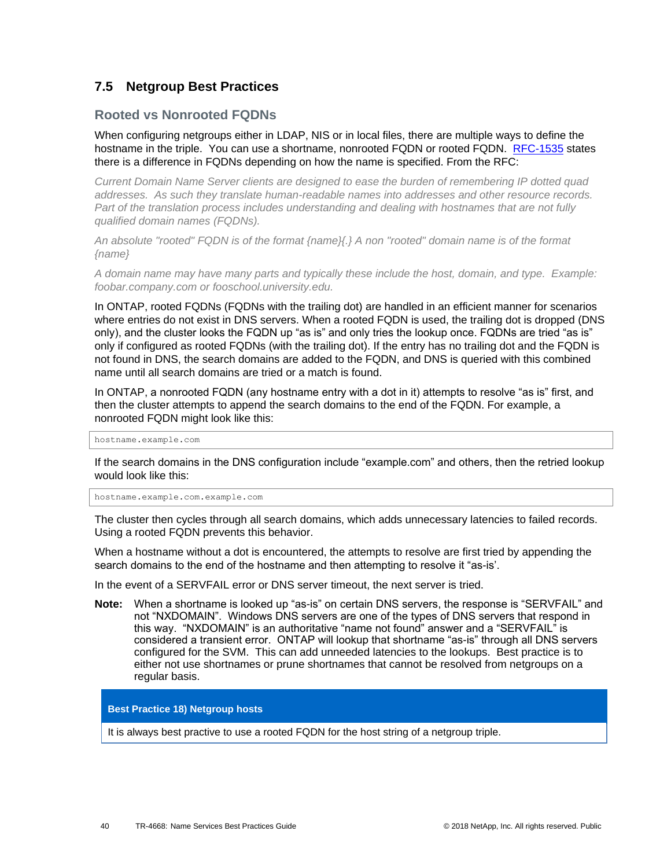## <span id="page-39-0"></span>**7.5 Netgroup Best Practices**

### **Rooted vs Nonrooted FQDNs**

When configuring netgroups either in LDAP, NIS or in local files, there are multiple ways to define the hostname in the triple. You can use a shortname, nonrooted FQDN or rooted FQDN. [RFC-1535](http://www.ietf.org/rfc/rfc1535.txt) states there is a difference in FQDNs depending on how the name is specified. From the RFC:

*Current Domain Name Server clients are designed to ease the burden of remembering IP dotted quad addresses. As such they translate human-readable names into addresses and other resource records. Part of the translation process includes understanding and dealing with hostnames that are not fully qualified domain names (FQDNs).*

*An absolute "rooted" FQDN is of the format {name}{.} A non "rooted" domain name is of the format {name}*

*A domain name may have many parts and typically these include the host, domain, and type. Example: foobar.company.com or fooschool.university.edu.*

In ONTAP, rooted FQDNs (FQDNs with the trailing dot) are handled in an efficient manner for scenarios where entries do not exist in DNS servers. When a rooted FQDN is used, the trailing dot is dropped (DNS only), and the cluster looks the FQDN up "as is" and only tries the lookup once. FQDNs are tried "as is" only if configured as rooted FQDNs (with the trailing dot). If the entry has no trailing dot and the FQDN is not found in DNS, the search domains are added to the FQDN, and DNS is queried with this combined name until all search domains are tried or a match is found.

In ONTAP, a nonrooted FQDN (any hostname entry with a dot in it) attempts to resolve "as is" first, and then the cluster attempts to append the search domains to the end of the FQDN. For example, a nonrooted FQDN might look like this:

hostname.example.com

If the search domains in the DNS configuration include "example.com" and others, then the retried lookup would look like this:

hostname.example.com.example.com

The cluster then cycles through all search domains, which adds unnecessary latencies to failed records. Using a rooted FQDN prevents this behavior.

When a hostname without a dot is encountered, the attempts to resolve are first tried by appending the search domains to the end of the hostname and then attempting to resolve it "as-is'.

In the event of a SERVFAIL error or DNS server timeout, the next server is tried.

**Note:** When a shortname is looked up "as-is" on certain DNS servers, the response is "SERVFAIL" and not "NXDOMAIN". Windows DNS servers are one of the types of DNS servers that respond in this way. "NXDOMAIN" is an authoritative "name not found" answer and a "SERVFAIL" is considered a transient error. ONTAP will lookup that shortname "as-is" through all DNS servers configured for the SVM. This can add unneeded latencies to the lookups. Best practice is to either not use shortnames or prune shortnames that cannot be resolved from netgroups on a regular basis.

<span id="page-39-1"></span>**Best Practice 18) Netgroup hosts**

It is always best practive to use a rooted FQDN for the host string of a netgroup triple.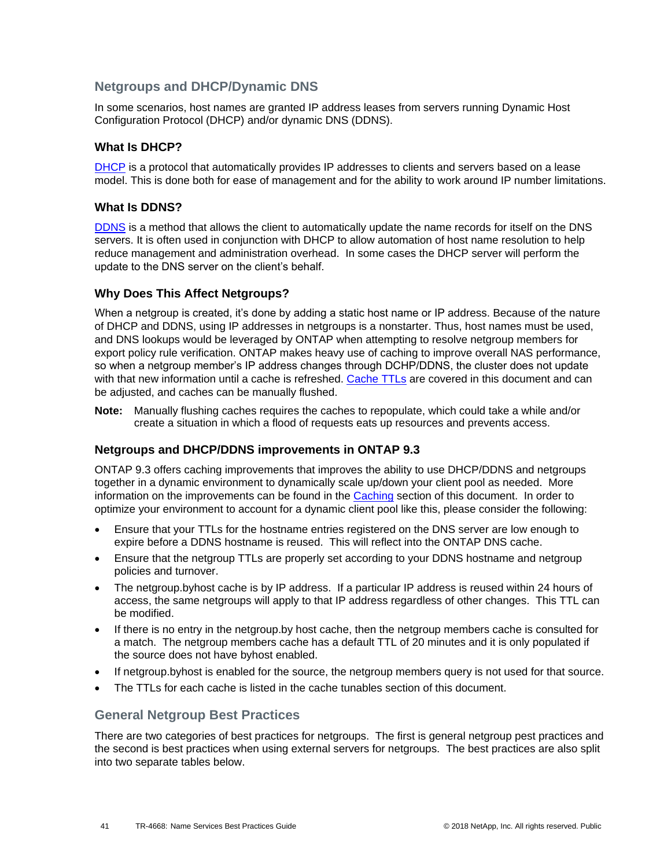## **Netgroups and DHCP/Dynamic DNS**

In some scenarios, host names are granted IP address leases from servers running Dynamic Host Configuration Protocol (DHCP) and/or dynamic DNS (DDNS).

### **What Is DHCP?**

[DHCP](https://en.wikipedia.org/wiki/Dynamic_Host_Configuration_Protocol) is a protocol that automatically provides IP addresses to clients and servers based on a lease model. This is done both for ease of management and for the ability to work around IP number limitations.

### **What Is DDNS?**

[DDNS](https://en.wikipedia.org/wiki/Dynamic_DNS) is a method that allows the client to automatically update the name records for itself on the DNS servers. It is often used in conjunction with DHCP to allow automation of host name resolution to help reduce management and administration overhead. In some cases the DHCP server will perform the update to the DNS server on the client's behalf.

### **Why Does This Affect Netgroups?**

When a netgroup is created, it's done by adding a static host name or IP address. Because of the nature of DHCP and DDNS, using IP addresses in netgroups is a nonstarter. Thus, host names must be used, and DNS lookups would be leveraged by ONTAP when attempting to resolve netgroup members for export policy rule verification. ONTAP makes heavy use of caching to improve overall NAS performance, so when a netgroup member's IP address changes through DCHP/DDNS, the cluster does not update with that new information until a cache is refreshed. [Cache TTLs](#page-25-2) are covered in this document and can be adjusted, and caches can be manually flushed.

**Note:** Manually flushing caches requires the caches to repopulate, which could take a while and/or create a situation in which a flood of requests eats up resources and prevents access.

### **Netgroups and DHCP/DDNS improvements in ONTAP 9.3**

ONTAP 9.3 offers caching improvements that improves the ability to use DHCP/DDNS and netgroups together in a dynamic environment to dynamically scale up/down your client pool as needed. More information on the improvements can be found in the [Caching](#page-22-0) section of this document. In order to optimize your environment to account for a dynamic client pool like this, please consider the following:

- Ensure that your TTLs for the hostname entries registered on the DNS server are low enough to expire before a DDNS hostname is reused. This will reflect into the ONTAP DNS cache.
- Ensure that the netgroup TTLs are properly set according to your DDNS hostname and netgroup policies and turnover.
- The netgroup.byhost cache is by IP address. If a particular IP address is reused within 24 hours of access, the same netgroups will apply to that IP address regardless of other changes. This TTL can be modified.
- If there is no entry in the netgroup.by host cache, then the netgroup members cache is consulted for a match. The netgroup members cache has a default TTL of 20 minutes and it is only populated if the source does not have byhost enabled.
- If netgroup.byhost is enabled for the source, the netgroup members query is not used for that source.
- The TTLs for each cache is listed in the cache tunables section of this document.

## **General Netgroup Best Practices**

There are two categories of best practices for netgroups. The first is general netgroup pest practices and the second is best practices when using external servers for netgroups. The best practices are also split into two separate tables below.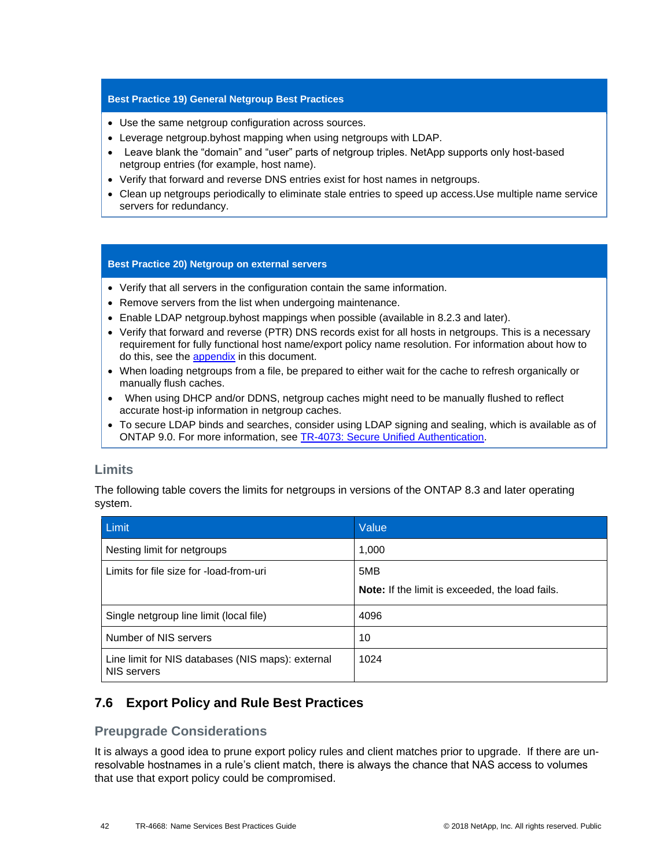#### **Best Practice 19) General Netgroup Best Practices**

- Use the same netgroup configuration across sources.
- Leverage netgroup.byhost mapping when using netgroups with LDAP.
- Leave blank the "domain" and "user" parts of netgroup triples. NetApp supports only host-based netgroup entries (for example, host name).
- Verify that forward and reverse DNS entries exist for host names in netgroups.
- Clean up netgroups periodically to eliminate stale entries to speed up access.Use multiple name service servers for redundancy.

#### **Best Practice 20) Netgroup on external servers**

- Verify that all servers in the configuration contain the same information.
- Remove servers from the list when undergoing maintenance.
- Enable LDAP netgroup.byhost mappings when possible (available in 8.2.3 and later).
- Verify that forward and reverse (PTR) DNS records exist for all hosts in netgroups. This is a necessary requirement for fully functional host name/export policy name resolution. For information about how to do this, see the **appendix** in this document.
- When loading netgroups from a file, be prepared to either wait for the cache to refresh organically or manually flush caches.
- When using DHCP and/or DDNS, netgroup caches might need to be manually flushed to reflect accurate host-ip information in netgroup caches.
- To secure LDAP binds and searches, consider using LDAP signing and sealing, which is available as of ONTAP 9.0. For more information, see [TR-4073: Secure Unified Authentication.](http://www.netapp.com/us/media/tr-4073.pdf)

## <span id="page-41-1"></span>**Limits**

The following table covers the limits for netgroups in versions of the ONTAP 8.3 and later operating system.

| Limit                                                            | Value                                                  |  |
|------------------------------------------------------------------|--------------------------------------------------------|--|
| Nesting limit for netgroups                                      | 1,000                                                  |  |
| Limits for file size for -load-from-uri                          | 5MB                                                    |  |
|                                                                  | <b>Note:</b> If the limit is exceeded, the load fails. |  |
| Single netgroup line limit (local file)                          | 4096                                                   |  |
| Number of NIS servers                                            | 10                                                     |  |
| Line limit for NIS databases (NIS maps): external<br>NIS servers | 1024                                                   |  |

## <span id="page-41-0"></span>**7.6 Export Policy and Rule Best Practices**

## **Preupgrade Considerations**

It is always a good idea to prune export policy rules and client matches prior to upgrade. If there are unresolvable hostnames in a rule's client match, there is always the chance that NAS access to volumes that use that export policy could be compromised.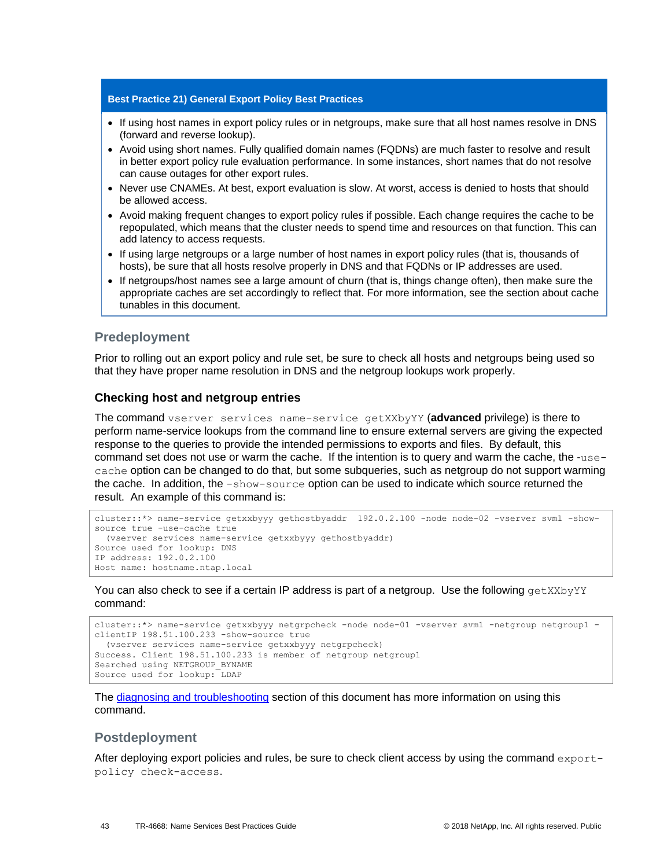#### **Best Practice 21) General Export Policy Best Practices**

- If using host names in export policy rules or in netgroups, make sure that all host names resolve in DNS (forward and reverse lookup).
- Avoid using short names. Fully qualified domain names (FQDNs) are much faster to resolve and result in better export policy rule evaluation performance. In some instances, short names that do not resolve can cause outages for other export rules.
- Never use CNAMEs. At best, export evaluation is slow. At worst, access is denied to hosts that should be allowed access.
- Avoid making frequent changes to export policy rules if possible. Each change requires the cache to be repopulated, which means that the cluster needs to spend time and resources on that function. This can add latency to access requests.
- If using large netgroups or a large number of host names in export policy rules (that is, thousands of hosts), be sure that all hosts resolve properly in DNS and that FQDNs or IP addresses are used.
- If netgroups/host names see a large amount of churn (that is, things change often), then make sure the appropriate caches are set accordingly to reflect that. For more information, see the section about cache tunables in this document.

### **Predeployment**

Prior to rolling out an export policy and rule set, be sure to check all hosts and netgroups being used so that they have proper name resolution in DNS and the netgroup lookups work properly.

#### **Checking host and netgroup entries**

The command vserver services name-service getXXbyYY (**advanced** privilege) is there to perform name-service lookups from the command line to ensure external servers are giving the expected response to the queries to provide the intended permissions to exports and files. By default, this command set does not use or warm the cache. If the intention is to query and warm the cache, the -usecache option can be changed to do that, but some subqueries, such as netgroup do not support warming the cache. In addition, the -show-source option can be used to indicate which source returned the result. An example of this command is:

```
cluster::*> name-service getxxbyyy gethostbyaddr 192.0.2.100 -node node-02 -vserver svm1 -show-
source true -use-cache true
   (vserver services name-service getxxbyyy gethostbyaddr)
Source used for lookup: DNS
IP address: 192.0.2.100
Host name: hostname.ntap.local
```
You can also check to see if a certain IP address is part of a netgroup. Use the following getXXbyYY command:

```
cluster::*> name-service getxxbyyy netgrpcheck -node node-01 -vserver svm1 -netgroup netgroup1 -
clientIP 198.51.100.233 -show-source true
  (vserver services name-service getxxbyyy netgrpcheck)
Success. Client 198.51.100.233 is member of netgroup netgroup1
Searched using NETGROUP_BYNAME
Source used for lookup: LDAP
```
The [diagnosing and troubleshooting](#page-48-0) section of this document has more information on using this command.

#### **Postdeployment**

After deploying export policies and rules, be sure to check client access by using the command exportpolicy check-access.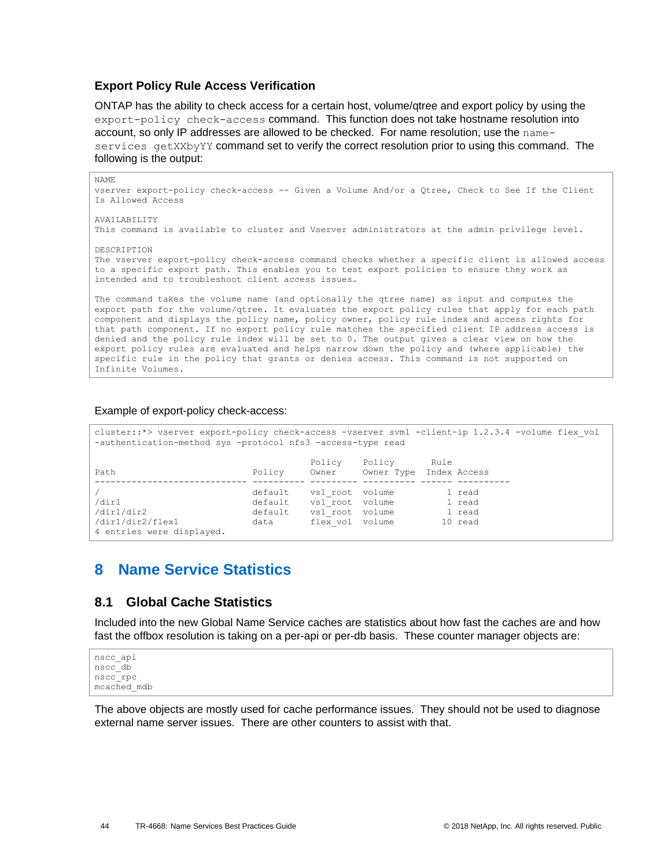### **Export Policy Rule Access Verification**

ONTAP has the ability to check access for a certain host, volume/qtree and export policy by using the export-policy check-access command. This function does not take hostname resolution into account, so only IP addresses are allowed to be checked. For name resolution, use the nameservices getXXbyYY command set to verify the correct resolution prior to using this command. The following is the output:

```
NAME
vserver export-policy check-access -- Given a Volume And/or a Qtree, Check to See If the Client 
Is Allowed Access
AVAILABILITY
This command is available to cluster and Vserver administrators at the admin privilege level.
DESCRIPTION
The vserver export-policy check-access command checks whether a specific client is allowed access 
to a specific export path. This enables you to test export policies to ensure they work as
intended and to troubleshoot client access issues.
The command takes the volume name (and optionally the qtree name) as input and computes the 
export path for the volume/qtree. It evaluates the export policy rules that apply for each path 
component and displays the policy name, policy owner, policy rule index and access rights for 
that path component. If no export policy rule matches the specified client IP address access is 
denied and the policy rule index will be set to 0. The output gives a clear view on how the 
export policy rules are evaluated and helps narrow down the policy and (where applicable) the 
specific rule in the policy that grants or denies access. This command is not supported on 
Infinite Volumes.
```
#### Example of export-policy check-access:

```
cluster::*> vserver export-policy check-access -vserver svm1 -client-ip 1.2.3.4 -volume flex_vol 
-authentication-method sys -protocol nfs3 -access-type read
                       Policy Policy Rule<br>Policy Owner Owner Type Index
Path Policy Owner Owner Type Index Access
----------------------------- ---------- --------- ---------- ------ ----------
/ default vs1 root volume 1 read
/dir1 default vs1_root volume 1 read
/dir1/dir2 default vs1_root volume 1 read
/dir1/dir2/flex1 data flex_vol volume 10 read
/dir1/dir2<br>/dir1/dir2/flex1<br>4 entries were displayed.
```
# <span id="page-43-0"></span>**8 Name Service Statistics**

## <span id="page-43-1"></span>**8.1 Global Cache Statistics**

Included into the new Global Name Service caches are statistics about how fast the caches are and how fast the offbox resolution is taking on a per-api or per-db basis. These counter manager objects are:

```
nscc_api
nscc_db
nscc_rpc
mcached_mdb
```
The above objects are mostly used for cache performance issues. They should not be used to diagnose external name server issues. There are other counters to assist with that.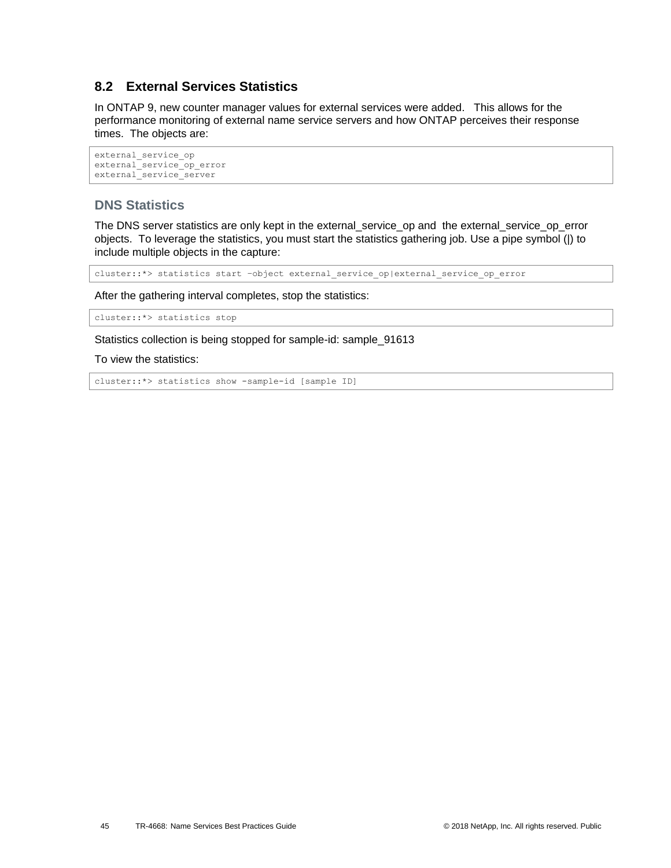## <span id="page-44-0"></span>**8.2 External Services Statistics**

In ONTAP 9, new counter manager values for external services were added. This allows for the performance monitoring of external name service servers and how ONTAP perceives their response times. The objects are:

```
external_service_op
external_service_op_error
external_service_server
```
## **DNS Statistics**

The DNS server statistics are only kept in the external service op and the external service op error objects. To leverage the statistics, you must start the statistics gathering job. Use a pipe symbol (|) to include multiple objects in the capture:

cluster::\*> statistics start –object external\_service\_op|external\_service\_op\_error

After the gathering interval completes, stop the statistics:

cluster::\*> statistics stop

Statistics collection is being stopped for sample-id: sample\_91613

To view the statistics:

```
cluster::*> statistics show -sample-id [sample ID]
```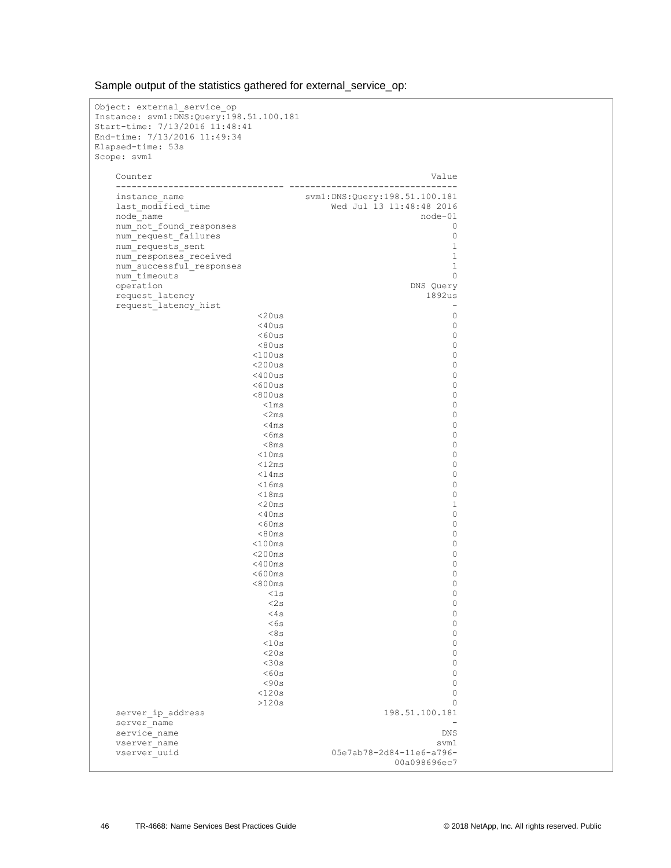| Object: external service op<br>Instance: svm1:DNS:Query:198.51.100.181 |                                                           |  |
|------------------------------------------------------------------------|-----------------------------------------------------------|--|
| Start-time: 7/13/2016 11:48:41<br>End-time: 7/13/2016 11:49:34         |                                                           |  |
| Elapsed-time: 53s<br>Scope: svm1                                       |                                                           |  |
| Counter                                                                | Value                                                     |  |
| instance name<br>last modified time                                    | svm1:DNS:Query:198.51.100.181<br>Wed Jul 13 11:48:48 2016 |  |
| node name                                                              | $node-01$                                                 |  |
| num not found responses                                                | 0                                                         |  |
| num request failures                                                   | $\circ$                                                   |  |
| num requests sent                                                      | $\mathbf{1}$<br>$\mathbf{1}$                              |  |
| num responses received<br>num successful responses                     | $\mathbf{1}$                                              |  |
| num timeouts                                                           | $\circ$                                                   |  |
| operation                                                              | DNS Query                                                 |  |
| request latency<br>request latency hist                                | 1892us<br>$\overline{\phantom{a}}$                        |  |
| $<$ 20 $us$                                                            | 0                                                         |  |
| $<$ 40us                                                               | $\circ$                                                   |  |
| $<$ 60 $us$                                                            | $\circ$                                                   |  |
| < 80us<br>$<$ 100 $us$                                                 | $\circ$<br>$\circ$                                        |  |
| $<$ 200 $us$                                                           | $\circ$                                                   |  |
| $<$ 400 $us$                                                           | $\circ$                                                   |  |
| $<$ 600 $us$                                                           | $\circ$                                                   |  |
| < 800us                                                                | $\circ$                                                   |  |
| $<$ lms                                                                | $\circ$                                                   |  |
| $<$ 2 $ms$<br>$<$ 4 $ms$                                               | $\circ$<br>$\circ$                                        |  |
| $<$ 6 $ms$                                                             | $\circ$                                                   |  |
| <8ms                                                                   | $\circ$                                                   |  |
| $<$ 10 $ms$                                                            | $\circ$                                                   |  |
| $<$ 12 $ms$                                                            | $\circ$                                                   |  |
| $<$ 14ms                                                               | $\circ$                                                   |  |
| $<$ 16 $ms$<br>< 18ms                                                  | $\circ$<br>$\circ$                                        |  |
| $<$ 20 $ms$                                                            | $\mathbf{1}$                                              |  |
| $<$ 40 $ms$                                                            | $\circ$                                                   |  |
| $<$ 60 $ms$                                                            | $\circ$                                                   |  |
| < 80 ms                                                                | 0                                                         |  |
| $<$ 100 $ms$                                                           | 0                                                         |  |
| $<$ 200 $ms$<br>$<$ 400 $ms$                                           | 0<br>0                                                    |  |
| $<$ 600 $ms$                                                           | 0                                                         |  |
| < 800ms                                                                | 0                                                         |  |
| <1s                                                                    | 0                                                         |  |
| <2s                                                                    | $\mathbb O$                                               |  |
| <4s<br>< 6s                                                            | $\mathbb O$<br>$\circ$                                    |  |
| <8s                                                                    | $\circ$                                                   |  |
| <10s                                                                   | $\circ$                                                   |  |
| <20s                                                                   | $\circ$                                                   |  |
| $<$ 30s                                                                | $\circ$                                                   |  |
| <60s                                                                   | $\circ$                                                   |  |
| < 90s<br><120s                                                         | $\circ$<br>$\circ$                                        |  |
| >120s                                                                  | $\Omega$                                                  |  |
| server ip address                                                      | 198.51.100.181                                            |  |
| server name                                                            |                                                           |  |
| service name                                                           | DNS                                                       |  |
| vserver name                                                           | svm1                                                      |  |
| vserver uuid                                                           | 05e7ab78-2d84-11e6-a796-<br>00a098696ec7                  |  |

Sample output of the statistics gathered for external\_service\_op: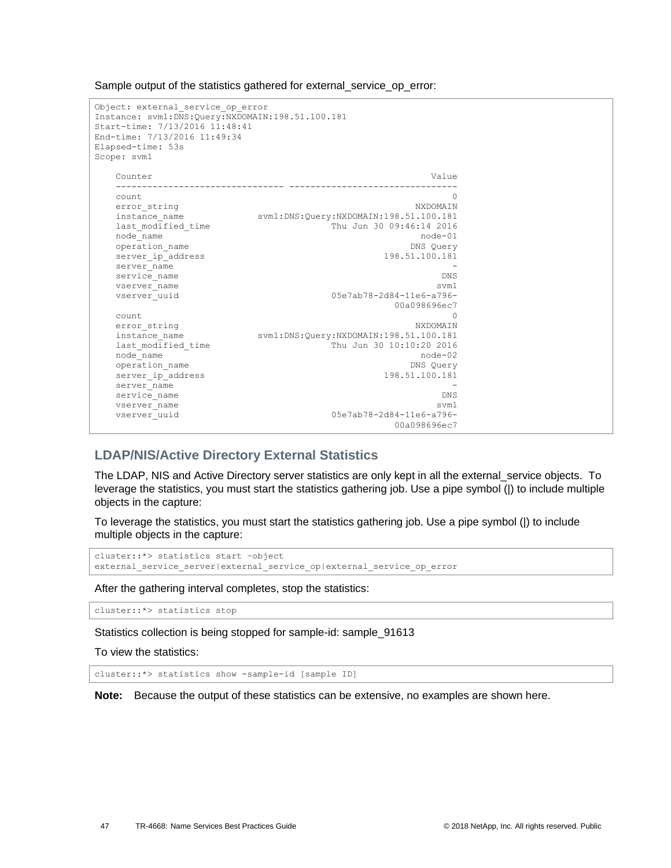| Object: external service op error<br>Instance: svm1:DNS:Query:NXDOMAIN:198.51.100.181<br>Start-time: 7/13/2016 11:48:41<br>End-time: 7/13/2016 11:49:34<br>Elapsed-time: 53s<br>Scope: svm1 |                                        |
|---------------------------------------------------------------------------------------------------------------------------------------------------------------------------------------------|----------------------------------------|
| Counter                                                                                                                                                                                     | Value                                  |
| count                                                                                                                                                                                       | 0                                      |
| error string                                                                                                                                                                                | NXDOMAIN                               |
| instance name                                                                                                                                                                               | svm1:DNS:Query:NXDOMAIN:198.51.100.181 |
| last modified time                                                                                                                                                                          | Thu Jun 30 09:46:14 2016               |
| node name                                                                                                                                                                                   | $node-01$                              |
| operation name                                                                                                                                                                              | DNS Query                              |
| server ip address                                                                                                                                                                           | 198.51.100.181                         |
| server name                                                                                                                                                                                 |                                        |
| service name                                                                                                                                                                                | DNS                                    |
| vserver name                                                                                                                                                                                | svm1                                   |
| vserver uuid                                                                                                                                                                                | 05e7ab78-2d84-11e6-a796-               |
|                                                                                                                                                                                             | 00a098696ec7                           |
| count                                                                                                                                                                                       | n                                      |
| error string                                                                                                                                                                                | NXDOMATN                               |
| instance name                                                                                                                                                                               | svm1:DNS:Query:NXDOMAIN:198.51.100.181 |
| last modified time                                                                                                                                                                          | Thu Jun 30 10:10:20 2016               |
| node name                                                                                                                                                                                   | $node-02$                              |
| operation name                                                                                                                                                                              | DNS Query                              |
| server ip address                                                                                                                                                                           | 198.51.100.181                         |
| server name                                                                                                                                                                                 |                                        |
| service name                                                                                                                                                                                | DNS                                    |
| vserver name                                                                                                                                                                                | svm1                                   |
| vserver uuid                                                                                                                                                                                | 05e7ab78-2d84-11e6-a796-               |
|                                                                                                                                                                                             | 00a098696ec7                           |

Sample output of the statistics gathered for external\_service\_op\_error:

## **LDAP/NIS/Active Directory External Statistics**

The LDAP, NIS and Active Directory server statistics are only kept in all the external\_service objects. To leverage the statistics, you must start the statistics gathering job. Use a pipe symbol (|) to include multiple objects in the capture:

To leverage the statistics, you must start the statistics gathering job. Use a pipe symbol (|) to include multiple objects in the capture:

```
cluster::*> statistics start –object 
external_service_server|external_service_op|external_service_op_error
```
After the gathering interval completes, stop the statistics:

cluster::\*> statistics stop

Statistics collection is being stopped for sample-id: sample\_91613

To view the statistics:

cluster::\*> statistics show -sample-id [sample ID]

**Note:** Because the output of these statistics can be extensive, no examples are shown here.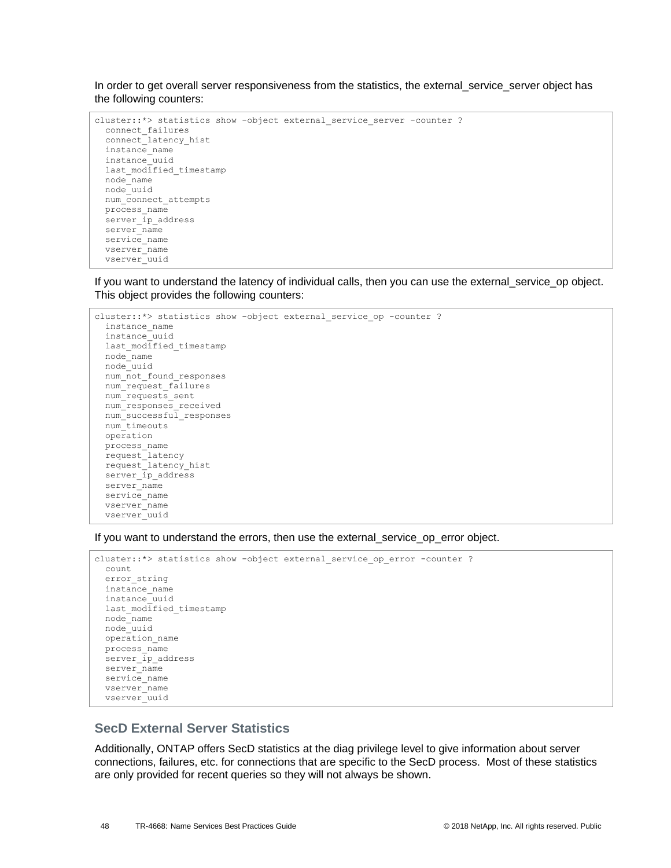In order to get overall server responsiveness from the statistics, the external service server object has the following counters:

```
cluster::*> statistics show -object external service server -counter ?
  connect_failures 
   connect_latency_hist 
   instance_name 
  instance_uuid 
 last modified timestamp
  node_name 
  node_uuid 
 num_connect_attempts
 process name
 server ip address
 server name
 service_name
  vserver_name 
  vserver_uuid
```
If you want to understand the latency of individual calls, then you can use the external\_service\_op object. This object provides the following counters:

```
cluster::*> statistics show -object external service op -counter ?
   instance_name 
   instance_uuid 
  last modified timestamp
  node_name 
   node_uuid 
  num not found responses
  num_request_failures 
  num_requests_sent
  num_responses_received 
   num_successful_responses 
  num_timeouts 
  operation 
  process_name 
  request_latency 
   request_latency_hist 
   server_ip_address 
  server name
  service name
   vserver_name 
   vserver_uuid
```
If you want to understand the errors, then use the external\_service\_op\_error object.

```
cluster::*> statistics show -object external_service_op_error -counter ?
  count
  error_string
  instance_name
  instance_uuid
  last_modified_timestamp
  node_name
  node_uuid
  operation_name
  process_name
 server ip address
 server name
 service name
  vserver_name
  vserver_uuid
```
## **SecD External Server Statistics**

Additionally, ONTAP offers SecD statistics at the diag privilege level to give information about server connections, failures, etc. for connections that are specific to the SecD process. Most of these statistics are only provided for recent queries so they will not always be shown.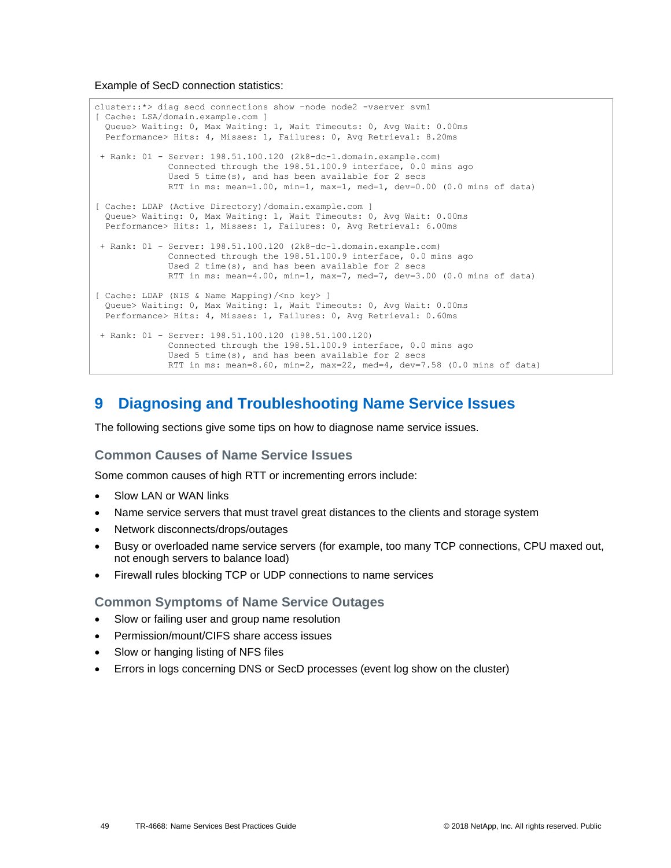Example of SecD connection statistics:

```
cluster::*> diag secd connections show –node node2 -vserver svm1
[ Cache: LSA/domain.example.com ]
  Queue> Waiting: 0, Max Waiting: 1, Wait Timeouts: 0, Avg Wait: 0.00ms
  Performance> Hits: 4, Misses: 1, Failures: 0, Avg Retrieval: 8.20ms
+ Rank: 01 - Server: 198.51.100.120 (2k8-dc-1.domain.example.com)
              Connected through the 198.51.100.9 interface, 0.0 mins ago
              Used 5 time(s), and has been available for 2 secs
             RTT in ms: mean=1.00, min=1, max=1, med=1, dev=0.00 (0.0 mins of data)
[ Cache: LDAP (Active Directory) / domain.example.com ]
  Queue> Waiting: 0, Max Waiting: 1, Wait Timeouts: 0, Avg Wait: 0.00ms
  Performance> Hits: 1, Misses: 1, Failures: 0, Avg Retrieval: 6.00ms
+ Rank: 01 - Server: 198.51.100.120 (2k8-dc-1.domain.example.com)
               Connected through the 198.51.100.9 interface, 0.0 mins ago
               Used 2 time(s), and has been available for 2 secs
              RTT in ms: mean=4.00, min=1, max=7, med=7, dev=3.00 (0.0 mins of data)
[ Cache: LDAP (NIS & Name Mapping)/<no key> ]
  Queue> Waiting: 0, Max Waiting: 1, Wait Timeouts: 0, Avg Wait: 0.00ms
  Performance> Hits: 4, Misses: 1, Failures: 0, Avg Retrieval: 0.60ms
+ Rank: 01 - Server: 198.51.100.120 (198.51.100.120)
              Connected through the 198.51.100.9 interface, 0.0 mins ago
              Used 5 time(s), and has been available for 2 secs
              RTT in ms: mean=8.60, min=2, max=22, med=4, dev=7.58 (0.0 mins of data)
```
# <span id="page-48-0"></span>**9 Diagnosing and Troubleshooting Name Service Issues**

The following sections give some tips on how to diagnose name service issues.

### **Common Causes of Name Service Issues**

Some common causes of high RTT or incrementing errors include:

- Slow LAN or WAN links
- Name service servers that must travel great distances to the clients and storage system
- Network disconnects/drops/outages
- Busy or overloaded name service servers (for example, too many TCP connections, CPU maxed out, not enough servers to balance load)
- Firewall rules blocking TCP or UDP connections to name services

### **Common Symptoms of Name Service Outages**

- Slow or failing user and group name resolution
- Permission/mount/CIFS share access issues
- Slow or hanging listing of NFS files
- Errors in logs concerning DNS or SecD processes (event log show on the cluster)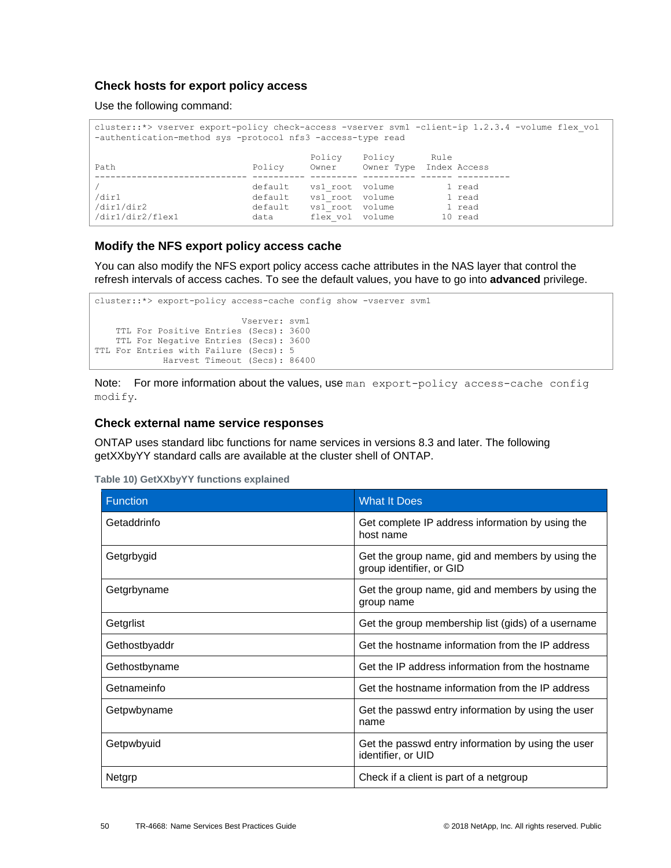### **Check hosts for export policy access**

Use the following command:

| cluster::*> vserver export-policy check-access -vserver svm1 -client-ip 1.2.3.4 -volume flex vol<br>-authentication-method sys -protocol nfs3 -access-type read |                                       |                                                                          |                                   |      |                                       |  |  |
|-----------------------------------------------------------------------------------------------------------------------------------------------------------------|---------------------------------------|--------------------------------------------------------------------------|-----------------------------------|------|---------------------------------------|--|--|
| Path                                                                                                                                                            | Policy                                | Policy<br>Owner                                                          | Policy<br>Owner Type Index Access | Rule |                                       |  |  |
| /dir1<br>/dir1/dir2<br>/dir1/dir2/flex1                                                                                                                         | default<br>default<br>default<br>data | vs1 root volume<br>vsl root volume<br>vs1 root volume<br>flex vol volume |                                   |      | 1 read<br>1 read<br>1 read<br>10 read |  |  |

### **Modify the NFS export policy access cache**

You can also modify the NFS export policy access cache attributes in the NAS layer that control the refresh intervals of access caches. To see the default values, you have to go into **advanced** privilege.

```
cluster::*> export-policy access-cache config show -vserver svm1
                            Vserver: svm1
    TTL For Positive Entries (Secs): 3600
    TTL For Negative Entries (Secs): 3600
TTL For Entries with Failure (Secs): 5
             Harvest Timeout (Secs): 86400
```
Note: For more information about the values, use man export-policy access-cache config modify.

### **Check external name service responses**

ONTAP uses standard libc functions for name services in versions 8.3 and later. The following getXXbyYY standard calls are available at the cluster shell of ONTAP.

<span id="page-49-0"></span>

| Function      | <b>What It Does</b>                                                          |
|---------------|------------------------------------------------------------------------------|
| Getaddrinfo   | Get complete IP address information by using the<br>host name                |
| Getgrbygid    | Get the group name, gid and members by using the<br>group identifier, or GID |
| Getgrbyname   | Get the group name, gid and members by using the<br>group name               |
| Getgrlist     | Get the group membership list (gids) of a username                           |
| Gethostbyaddr | Get the hostname information from the IP address                             |
| Gethostbyname | Get the IP address information from the hostname                             |
| Getnameinfo   | Get the hostname information from the IP address                             |
| Getpwbyname   | Get the passwd entry information by using the user<br>name                   |
| Getpwbyuid    | Get the passwd entry information by using the user<br>identifier, or UID     |
| Netgrp        | Check if a client is part of a netgroup                                      |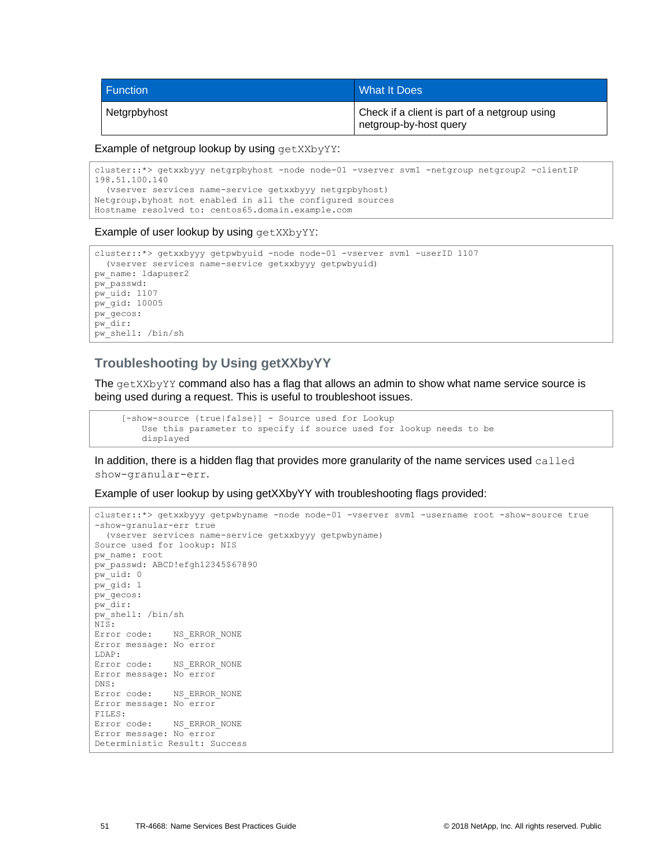| l Function   | <b>What It Does</b>                                                     |
|--------------|-------------------------------------------------------------------------|
| Netgrpbyhost | Check if a client is part of a netgroup using<br>netgroup-by-host query |

Example of netgroup lookup by using getXXbyYY:

cluster::\*> getxxbyyy netgrpbyhost -node node-01 -vserver svm1 -netgroup netgroup2 -clientIP 198.51.100.140 (vserver services name-service getxxbyyy netgrpbyhost) Netgroup.byhost not enabled in all the configured sources Hostname resolved to: centos65.domain.example.com

#### Example of user lookup by using getXXbyYY:

```
cluster::*> getxxbyyy getpwbyuid -node node-01 -vserver svm1 -userID 1107
  (vserver services name-service getxxbyyy getpwbyuid)
pw_name: ldapuser2
pw_passwd:
pw_uid: 1107
pw_gid: 10005
pw_gecos:
pw_dir:
pw_shell: /bin/sh
```
## **Troubleshooting by Using getXXbyYY**

The getXXbyYY command also has a flag that allows an admin to show what name service source is being used during a request. This is useful to troubleshoot issues.

```
 [-show-source {true|false}] - Source used for Lookup
    Use this parameter to specify if source used for lookup needs to be
    displayed
```
In addition, there is a hidden flag that provides more granularity of the name services used called show-granular-err.

Example of user lookup by using getXXbyYY with troubleshooting flags provided:

```
cluster::*> getxxbyyy getpwbyname -node node-01 -vserver svm1 -username root -show-source true 
-show-granular-err true
  (vserver services name-service getxxbyyy getpwbyname)
Source used for lookup: NIS
pw_name: root
pw_passwd: ABCD!efgh12345$67890
pw_uid: 0
pw_gid: 1
pw_gecos:
pw_dir:
pw_shell: /bin/sh
NIS:
Error code: NS_ERROR_NONE
Error message: No error
LDAP:
Error code: NS_ERROR_NONE
Error message: No error
DNS:
Error code: NS_ERROR_NONE
Error message: No error
FILES:
Error code: NS_ERROR_NONE
Error message: No error
Deterministic Result: Success
```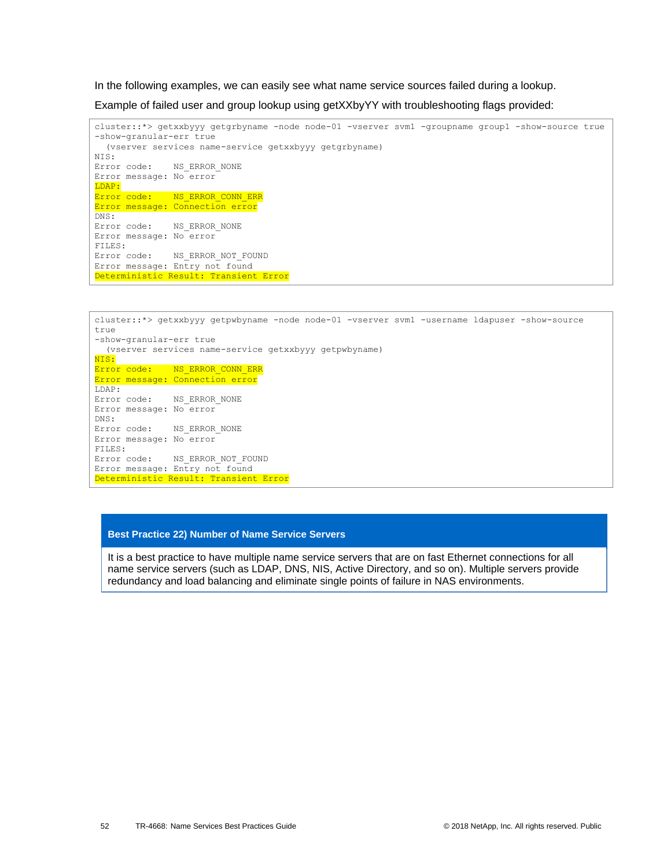In the following examples, we can easily see what name service sources failed during a lookup.

Example of failed user and group lookup using getXXbyYY with troubleshooting flags provided:

```
cluster::*> getxxbyyy getgrbyname -node node-01 -vserver svm1 -groupname group1 -show-source true 
-show-granular-err true
   (vserver services name-service getxxbyyy getgrbyname)
NIS:
Error code: NS_ERROR_NONE
Error message: No error
LDAP:
Error code: NS_ERROR_CONN_ERR
Error message: Connection error
DNS:
Error code: NS_ERROR_NONE
Error message: No error
FILES:
Error code: NS_ERROR_NOT_FOUND
Error message: Entry not found
Deterministic Result: Transient Error
```

```
cluster::*> getxxbyyy getpwbyname -node node-01 -vserver svm1 -username ldapuser -show-source 
true 
-show-granular-err true
   (vserver services name-service getxxbyyy getpwbyname)
NIS:
Error code: NS_ERROR_CONN_ERR
Error message: Connection error
LDAP:
Error code: NS_ERROR_NONE
Error message: No error
DNS:
Error code: NS_ERROR_NONE
Error message: No error
FILES:
Error code: NS_ERROR_NOT_FOUND
Error message: Entry not found
Deterministic Result: Transient Error
```
#### **Best Practice 22) Number of Name Service Servers**

It is a best practice to have multiple name service servers that are on fast Ethernet connections for all name service servers (such as LDAP, DNS, NIS, Active Directory, and so on). Multiple servers provide redundancy and load balancing and eliminate single points of failure in NAS environments.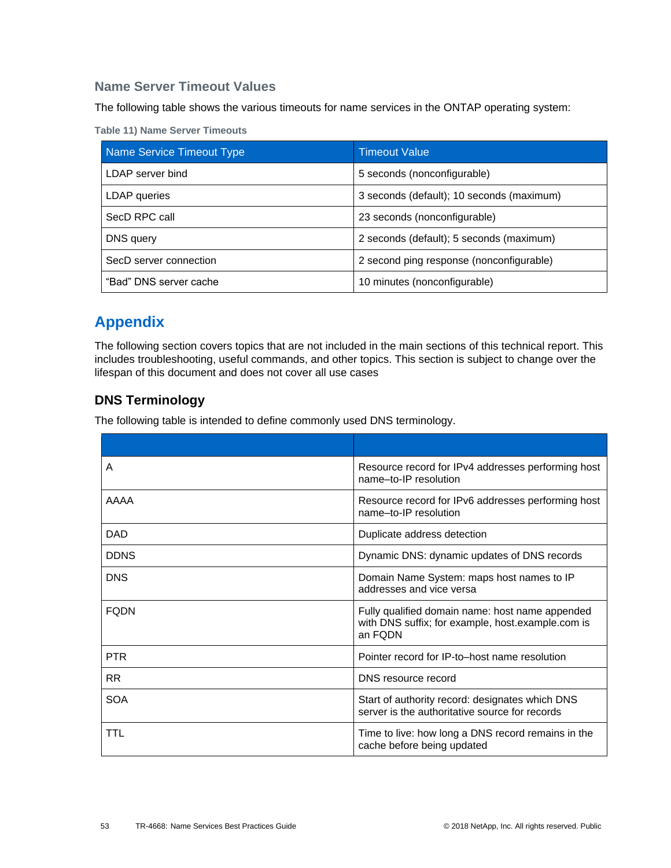## **Name Server Timeout Values**

The following table shows the various timeouts for name services in the ONTAP operating system:

<span id="page-52-2"></span>

|  |  | <b>Table 11) Name Server Timeouts</b> |
|--|--|---------------------------------------|
|  |  |                                       |

| Name Service Timeout Type | <b>Timeout Value</b>                      |
|---------------------------|-------------------------------------------|
| LDAP server bind          | 5 seconds (nonconfigurable)               |
| LDAP queries              | 3 seconds (default); 10 seconds (maximum) |
| SecD RPC call             | 23 seconds (nonconfigurable)              |
| DNS query                 | 2 seconds (default); 5 seconds (maximum)  |
| SecD server connection    | 2 second ping response (nonconfigurable)  |
| "Bad" DNS server cache    | 10 minutes (nonconfigurable)              |

# <span id="page-52-0"></span>**Appendix**

The following section covers topics that are not included in the main sections of this technical report. This includes troubleshooting, useful commands, and other topics. This section is subject to change over the lifespan of this document and does not cover all use cases

## <span id="page-52-1"></span>**DNS Terminology**

The following table is intended to define commonly used DNS terminology.

| A           | Resource record for IPv4 addresses performing host<br>name-to-IP resolution                                     |
|-------------|-----------------------------------------------------------------------------------------------------------------|
| <b>AAAA</b> | Resource record for IPv6 addresses performing host<br>name-to-IP resolution                                     |
| <b>DAD</b>  | Duplicate address detection                                                                                     |
| <b>DDNS</b> | Dynamic DNS: dynamic updates of DNS records                                                                     |
| <b>DNS</b>  | Domain Name System: maps host names to IP<br>addresses and vice versa                                           |
| <b>FODN</b> | Fully qualified domain name: host name appended<br>with DNS suffix; for example, host.example.com is<br>an FQDN |
| <b>PTR</b>  | Pointer record for IP-to-host name resolution                                                                   |
| <b>RR</b>   | DNS resource record                                                                                             |
| <b>SOA</b>  | Start of authority record: designates which DNS<br>server is the authoritative source for records               |
| TTL         | Time to live: how long a DNS record remains in the<br>cache before being updated                                |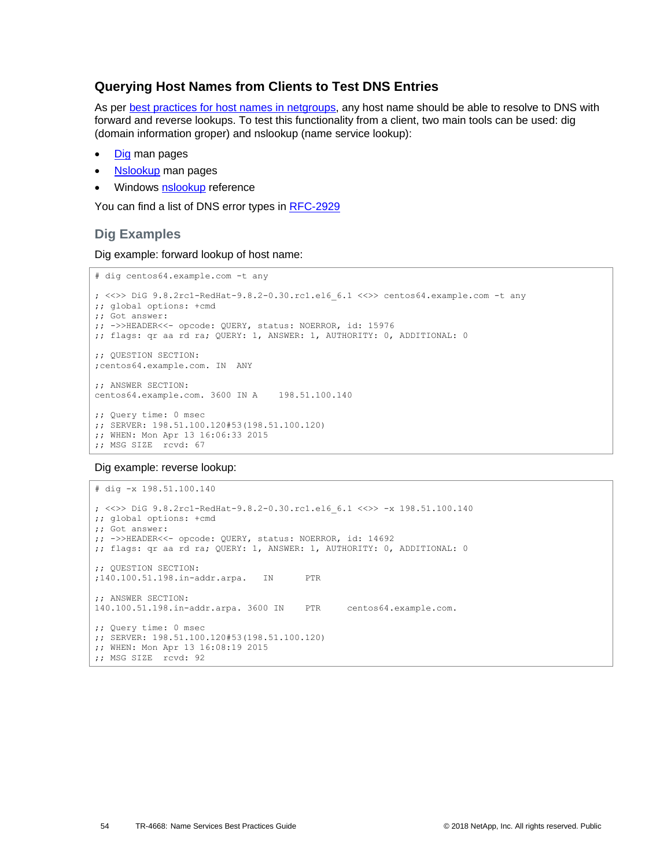### <span id="page-53-0"></span>**Querying Host Names from Clients to Test DNS Entries**

As per [best practices for host names in netgroups,](#page-39-1) any host name should be able to resolve to DNS with forward and reverse lookups. To test this functionality from a client, two main tools can be used: dig (domain information groper) and nslookup (name service lookup):

- [Dig](https://linux.die.net/man/1/dig) man pages
- [Nslookup](https://linux.die.net/man/1/nslookup) man pages
- Windows [nslookup](https://docs.microsoft.com/en-us/previous-versions/windows/it-pro/windows-xp/bb490950(v=technet.10)) reference

You can find a list of DNS error types in [RFC-2929](http://www.ietf.org/rfc/rfc2929.txt)

## **Dig Examples**

Dig example: forward lookup of host name:

```
# dig centos64.example.com -t any
; <<>> DiG 9.8.2rc1-RedHat-9.8.2-0.30.rc1.el6_6.1 <<>> centos64.example.com -t any
;; global options: +cmd
;; Got answer:
;; ->>HEADER<<- opcode: QUERY, status: NOERROR, id: 15976
;; flags: qr aa rd ra; QUERY: 1, ANSWER: 1, AUTHORITY: 0, ADDITIONAL: 0
;; QUESTION SECTION:
;centos64.example.com. IN ANY
;; ANSWER SECTION:
centos64.example.com. 3600 IN A 198.51.100.140
;; Query time: 0 msec
;; SERVER: 198.51.100.120#53(198.51.100.120)
;; WHEN: Mon Apr 13 16:06:33 2015
;; MSG SIZE rcvd: 67
```
Dig example: reverse lookup:

```
# dig -x 198.51.100.140
; <<>> DiG 9.8.2rc1-RedHat-9.8.2-0.30.rc1.el6_6.1 <<>> -x 198.51.100.140
;; global options: +cmd
;; Got answer:
;; ->>HEADER<<- opcode: QUERY, status: NOERROR, id: 14692
;; flags: qr aa rd ra; QUERY: 1, ANSWER: 1, AUTHORITY: 0, ADDITIONAL: 0
;; QUESTION SECTION:
;140.100.51.198.in-addr.arpa. IN PTR
;; ANSWER SECTION:
140.100.51.198.in-addr.arpa. 3600 IN PTR centos64.example.com.
;; Query time: 0 msec
;; SERVER: 198.51.100.120#53(198.51.100.120)
;; WHEN: Mon Apr 13 16:08:19 2015
;; MSG SIZE rcvd: 92
```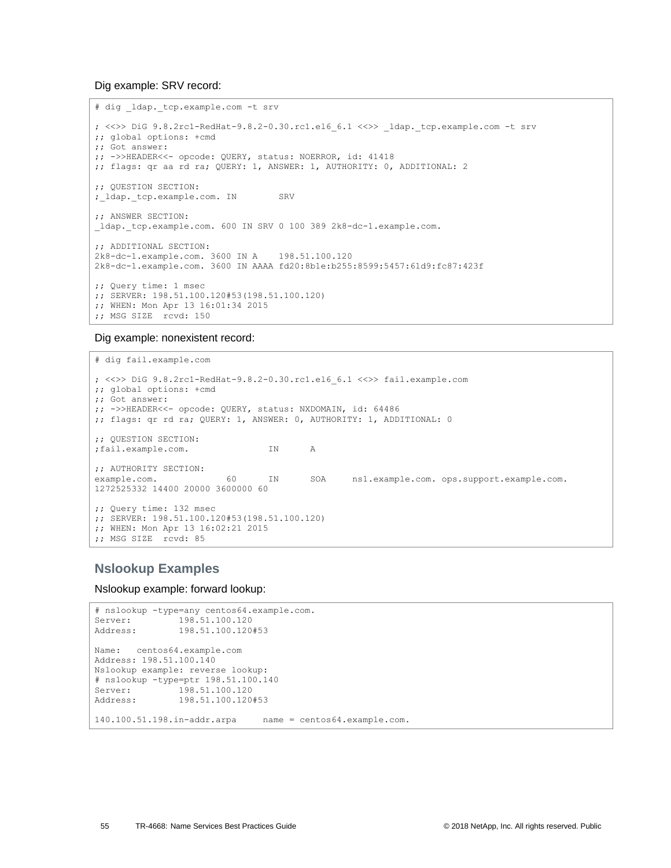Dig example: SRV record:

```
# dig _ldap._tcp.example.com -t srv
; <<>> DiG 9.8.2rc1-RedHat-9.8.2-0.30.rc1.el6_6.1 <<>> _ldap._tcp.example.com -t srv
;; global options: +cmd
;; Got answer:
;; ->>HEADER<<- opcode: QUERY, status: NOERROR, id: 41418
;; flags: qr aa rd ra; QUERY: 1, ANSWER: 1, AUTHORITY: 0, ADDITIONAL: 2
;; QUESTION SECTION:
; ldap. tcp.example.com. IN SRV
;; ANSWER SECTION:
_ldap._tcp.example.com. 600 IN SRV 0 100 389 2k8-dc-1.example.com.
;; ADDITIONAL SECTION:
2k8-dc-1.example.com. 3600 IN A 198.51.100.120
2k8-dc-1.example.com. 3600 IN AAAA fd20:8b1e:b255:8599:5457:61d9:fc87:423f
;; Query time: 1 msec
;; SERVER: 198.51.100.120#53(198.51.100.120)
;; WHEN: Mon Apr 13 16:01:34 2015
;; MSG SIZE rcvd: 150
```
Dig example: nonexistent record:

```
# dig fail.example.com
; <<>> DiG 9.8.2rc1-RedHat-9.8.2-0.30.rc1.el6_6.1 <<>> fail.example.com
;; global options: +cmd
;; Got answer:
;; ->>HEADER<<- opcode: QUERY, status: NXDOMAIN, id: 64486
;; flags: qr rd ra; QUERY: 1, ANSWER: 0, AUTHORITY: 1, ADDITIONAL: 0
;; QUESTION SECTION:
;fail.example.com. IN A
;; AUTHORITY SECTION:
example.com. 60 IN SOA ns1.example.com. ops.support.example.com. 
1272525332 14400 20000 3600000 60
;; Query time: 132 msec
;; SERVER: 198.51.100.120#53(198.51.100.120)
;; WHEN: Mon Apr 13 16:02:21 2015
;; MSG SIZE rcvd: 85
```
### **Nslookup Examples**

Nslookup example: forward lookup:

```
# nslookup -type=any centos64.example.com.
           Server: 198.51.100.120
Address: 198.51.100.120#53
Name: centos64.example.com
Address: 198.51.100.140
Nslookup example: reverse lookup:
# nslookup -type=ptr 198.51.100.140
Server: 198.51.100.120
Address: 198.51.100.120#53
140.100.51.198.in-addr.arpa name = centos64.example.com.
```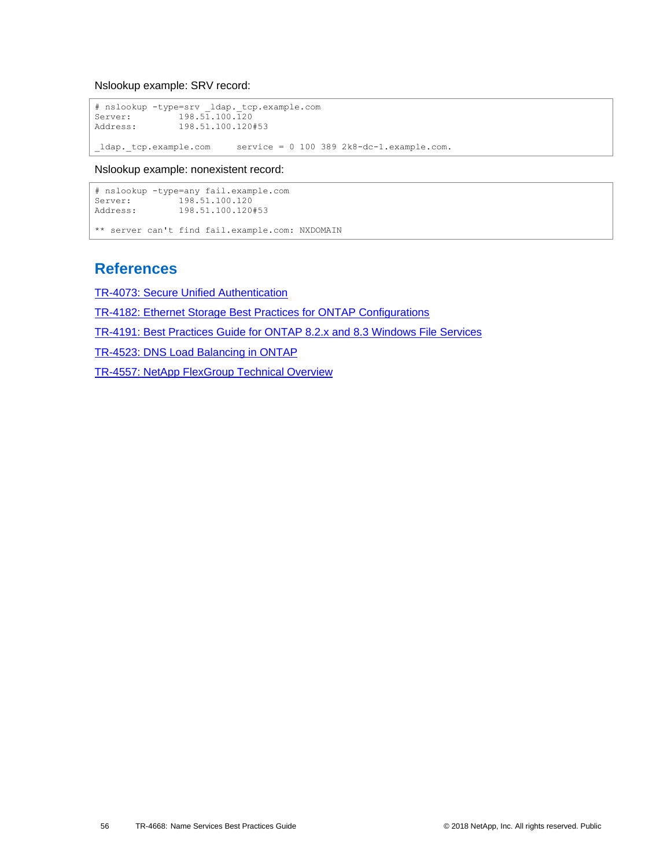Nslookup example: SRV record:

```
# nslookup -type=srv _ldap._tcp.example.com
Server: 198.51.100.120
Address: 198.51.100.120#53
ldap. tcp. example.com service = 0 100 389 2k8-dc-1.example.com.
```
Nslookup example: nonexistent record:

```
# nslookup -type=any fail.example.com
Server: 198.51.100.120
Address: 198.51.100.120#53
** server can't find fail.example.com: NXDOMAIN
```
## <span id="page-55-0"></span>**References**

[TR-4073: Secure Unified Authentication](http://www.netapp.com/us/media/tr-4073.pdf)

[TR-4182: Ethernet Storage Best Practices for ONTAP Configurations](http://www.netapp.com/us/media/tr-4182.pdf)

[TR-4191: Best Practices Guide for ONTAP 8.2.x and 8.3 Windows File Services](http://www.netapp.com/us/media/tr-4191.pdf)

[TR-4523: DNS Load Balancing in ONTAP](http://www.netapp.com/us/media/tr-4523.pdf)

[TR-4557: NetApp FlexGroup Technical Overview](http://www.netapp.com/us/media/tr-4557.pdf)